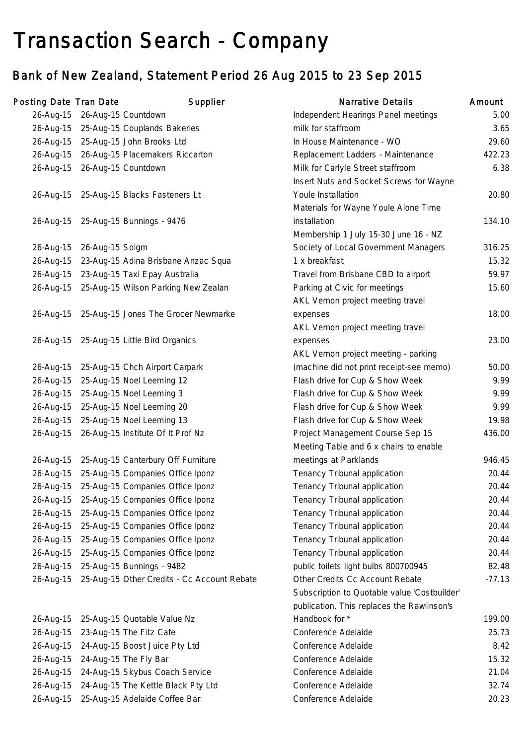# Transaction Search - Company

## Bank of New Zealand, Statement Period 26 Aug 2015 to 23 Sep 2015

| Posting Date Tran Date |                               | Supplier                                              | <b>Narrative Details</b>                     | Amount   |
|------------------------|-------------------------------|-------------------------------------------------------|----------------------------------------------|----------|
|                        | 26-Aug-15 26-Aug-15 Countdown |                                                       | Independent Hearings Panel meetings          | 5.00     |
|                        |                               | 26-Aug-15 25-Aug-15 Couplands Bakeries                | milk for staffroom                           | 3.65     |
|                        |                               | 26-Aug-15 25-Aug-15 John Brooks Ltd                   | In House Maintenance - WO                    | 29.60    |
|                        |                               | 26-Aug-15 26-Aug-15 Placemakers Riccarton             | Replacement Ladders - Maintenance            | 422.23   |
|                        | 26-Aug-15 26-Aug-15 Countdown |                                                       | Milk for Carlyle Street staffroom            | 6.38     |
|                        |                               |                                                       | Insert Nuts and Socket Screws for Wayne      |          |
|                        |                               | 26-Aug-15 25-Aug-15 Blacks Fasteners Lt               | Youle Installation                           | 20.80    |
|                        |                               |                                                       | Materials for Wayne Youle Alone Time         |          |
|                        |                               | 26-Aug-15 25-Aug-15 Bunnings - 9476                   | installation                                 | 134.10   |
|                        |                               |                                                       | Membership 1 July 15-30 June 16 - NZ         |          |
|                        | 26-Aug-15 26-Aug-15 Solgm     |                                                       | Society of Local Government Managers         | 316.25   |
|                        |                               | 26-Aug-15 23-Aug-15 Adina Brisbane Anzac Squa         | 1 x breakfast                                | 15.32    |
|                        |                               | 26-Aug-15 23-Aug-15 Taxi Epay Australia               | Travel from Brisbane CBD to airport          | 59.97    |
|                        |                               | 26-Aug-15 25-Aug-15 Wilson Parking New Zealan         | Parking at Civic for meetings                | 15.60    |
|                        |                               |                                                       | AKL Vernon project meeting travel            |          |
|                        |                               | 26-Aug-15 25-Aug-15 Jones The Grocer Newmarke         | expenses                                     | 18.00    |
|                        |                               |                                                       | AKL Vernon project meeting travel            |          |
|                        |                               | 26-Aug-15 25-Aug-15 Little Bird Organics              | expenses                                     | 23.00    |
|                        |                               |                                                       | AKL Vernon project meeting - parking         |          |
|                        |                               | 26-Aug-15 25-Aug-15 Chch Airport Carpark              | (machine did not print receipt-see memo)     | 50.00    |
|                        |                               | 26-Aug-15 25-Aug-15 Noel Leeming 12                   | Flash drive for Cup & Show Week              | 9.99     |
|                        |                               | 26-Aug-15 25-Aug-15 Noel Leeming 3                    | Flash drive for Cup & Show Week              | 9.99     |
|                        |                               | 26-Aug-15 25-Aug-15 Noel Leeming 20                   | Flash drive for Cup & Show Week              | 9.99     |
|                        |                               | 26-Aug-15 25-Aug-15 Noel Leeming 13                   | Flash drive for Cup & Show Week              | 19.98    |
|                        |                               | 26-Aug-15 26-Aug-15 Institute Of It Prof Nz           | Project Management Course Sep 15             | 436.00   |
|                        |                               |                                                       | Meeting Table and 6 x chairs to enable       |          |
|                        |                               | 26-Aug-15 25-Aug-15 Canterbury Off Furniture          | meetings at Parklands                        | 946.45   |
|                        |                               | 26-Aug-15 25-Aug-15 Companies Office Iponz            | Tenancy Tribunal application                 | 20.44    |
|                        |                               | 26-Aug-15 25-Aug-15 Companies Office Iponz            | Tenancy Tribunal application                 | 20.44    |
|                        |                               | 26-Aug-15 25-Aug-15 Companies Office Iponz            | Tenancy Tribunal application                 | 20.44    |
|                        |                               | 26-Aug-15 25-Aug-15 Companies Office Iponz            | Tenancy Tribunal application                 | 20.44    |
|                        |                               | 26-Aug-15 25-Aug-15 Companies Office Iponz            | Tenancy Tribunal application                 | 20.44    |
|                        |                               | 26-Aug-15 25-Aug-15 Companies Office Iponz            | Tenancy Tribunal application                 | 20.44    |
| 26-Aug-15              |                               | 25-Aug-15 Companies Office Iponz                      | Tenancy Tribunal application                 | 20.44    |
|                        |                               | 26-Aug-15 25-Aug-15 Bunnings - 9482                   | public toilets light bulbs 800700945         | 82.48    |
|                        |                               | 26-Aug-15 25-Aug-15 Other Credits - Cc Account Rebate | Other Credits Cc Account Rebate              | $-77.13$ |
|                        |                               |                                                       | Subscription to Quotable value 'Costbuilder' |          |
|                        |                               |                                                       | publication. This replaces the Rawlinson's   |          |
| 26-Aug-15              |                               | 25-Aug-15 Quotable Value Nz                           | Handbook for *                               | 199.00   |
| 26-Aug-15              |                               | 23-Aug-15 The Fitz Cafe                               | Conference Adelaide                          | 25.73    |
|                        |                               | 26-Aug-15 24-Aug-15 Boost Juice Pty Ltd               | Conference Adelaide                          | 8.42     |
|                        |                               | 26-Aug-15 24-Aug-15 The Fly Bar                       | Conference Adelaide                          | 15.32    |
|                        |                               | 26-Aug-15 24-Aug-15 Skybus Coach Service              | Conference Adelaide                          | 21.04    |
| 26-Aug-15              |                               | 24-Aug-15 The Kettle Black Pty Ltd                    | Conference Adelaide                          | 32.74    |
|                        |                               | 26-Aug-15 25-Aug-15 Adelaide Coffee Bar               | Conference Adelaide                          | 20.23    |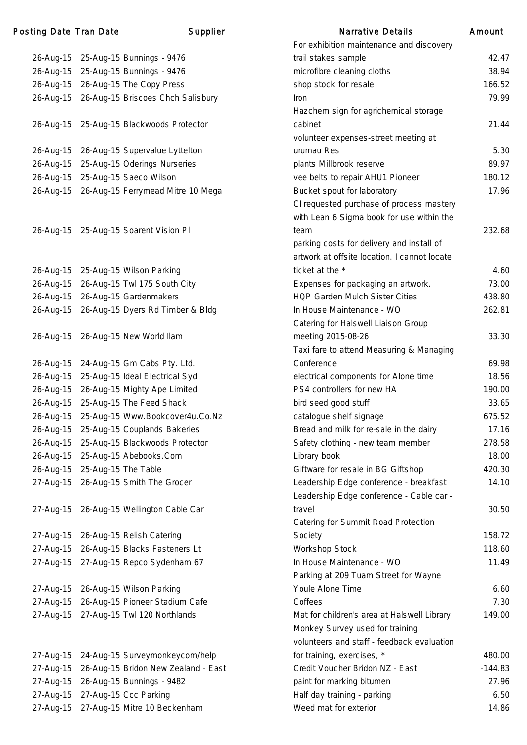### Posting Date Tran Date **Supplier** Supplier Narrative Details Amount

| 26-Aug-15 | 25-Aug-15 Bunnings - 9476           |
|-----------|-------------------------------------|
| 26-Aug-15 | 25-Aug-15 Bunnings - 9476           |
| 26-Aug-15 | 26-Aug-15 The Copy Press            |
| 26-Aug-15 | 26-Aug-15 Briscoes Chch Salisbury   |
|           |                                     |
|           |                                     |
| 26-Aug-15 | 25-Aug-15 Blackwoods Protector      |
| 26-Aug-15 | 26-Aug-15 Supervalue Lyttelton      |
|           |                                     |
| 26-Aug-15 | 25-Aug-15 Oderings Nurseries        |
| 26-Aug-15 | 25-Aug-15 Saeco Wilson              |
| 26-Aug-15 | 26-Aug-15 Ferrymead Mitre 10 Mega   |
|           |                                     |
|           |                                     |
| 26-Aug-15 | 25-Aug-15 Soarent Vision Pl         |
|           |                                     |
|           |                                     |
| 26-Aug-15 | 25-Aug-15 Wilson Parking            |
| 26-Aug-15 | 26-Aug-15 Twl 175 South City        |
| 26-Aug-15 | 26-Aug-15 Gardenmakers              |
| 26-Aug-15 | 26-Aug-15 Dyers Rd Timber & Bldg    |
|           |                                     |
| 26-Aug-15 | 26-Aug-15 New World Ilam            |
|           |                                     |
| 26-Aug-15 | 24-Aug-15 Gm Cabs Pty. Ltd.         |
| 26-Aug-15 | 25-Aug-15 Ideal Electrical Syd      |
| 26-Aug-15 | 26-Aug-15 Mighty Ape Limited        |
| 26-Aug-15 | 25-Aug-15 The Feed Shack            |
| 26-Aug-15 | 25-Aug-15 Www.Bookcover4u.Co.Nz     |
| 26-Aug-15 | 25-Aug-15 Couplands Bakeries        |
| 26-Aug-15 | 25-Aug-15 Blackwoods Protector      |
| 26-Aug-15 | 25-Aug-15 Abebooks.Com              |
| 26-Aug-15 | 25-Aug-15 The Table                 |
| 27-Aug-15 | 26-Aug-15 Smith The Grocer          |
|           |                                     |
| 27-Aug-15 | 26-Aug-15 Wellington Cable Car      |
|           |                                     |
| 27-Aug-15 | 26-Aug-15 Relish Catering           |
| 27-Aug-15 | 26-Aug-15 Blacks Fasteners Lt       |
| 27-Aug-15 | 27-Aug-15 Repco Sydenham 67         |
|           |                                     |
| 27-Aug-15 | 26-Aug-15 Wilson Parking            |
| 27-Aug-15 |                                     |
|           | 26-Aug-15 Pioneer Stadium Cafe      |
| 27-Aug-15 | 27-Aug-15 Twl 120 Northlands        |
|           |                                     |
|           |                                     |
| 27-Aug-15 | 24-Aug-15 Surveymonkeycom/help      |
| 27-Aug-15 | 26-Aug-15 Bridon New Zealand - East |
| 27-Aug-15 | 26-Aug-15 Bunnings - 9482           |
| 27-Aug-15 | 27-Aug-15 Ccc Parking               |

|           |                                             | For exhibition maintenance and discovery     |           |
|-----------|---------------------------------------------|----------------------------------------------|-----------|
| 26-Aug-15 | 25-Aug-15 Bunnings - 9476                   | trail stakes sample                          | 42.47     |
| 26-Aug-15 | 25-Aug-15 Bunnings - 9476                   | microfibre cleaning cloths                   | 38.94     |
|           | 26-Aug-15 26-Aug-15 The Copy Press          | shop stock for resale                        | 166.52    |
|           | 26-Aug-15 26-Aug-15 Briscoes Chch Salisbury | <b>Iron</b>                                  | 79.99     |
|           |                                             | Hazchem sign for agrichemical storage        |           |
| 26-Aug-15 | 25-Aug-15 Blackwoods Protector              | cabinet                                      | 21.44     |
|           |                                             | volunteer expenses-street meeting at         |           |
|           | 26-Aug-15 26-Aug-15 Supervalue Lyttelton    | urumau Res                                   | 5.30      |
| 26-Aug-15 | 25-Aug-15 Oderings Nurseries                | plants Millbrook reserve                     | 89.97     |
| 26-Aug-15 | 25-Aug-15 Saeco Wilson                      | vee belts to repair AHU1 Pioneer             | 180.12    |
|           | 26-Aug-15 26-Aug-15 Ferrymead Mitre 10 Mega | Bucket spout for laboratory                  | 17.96     |
|           |                                             | CI requested purchase of process mastery     |           |
|           |                                             | with Lean 6 Sigma book for use within the    |           |
|           | 26-Aug-15 25-Aug-15 Soarent Vision Pl       | team                                         | 232.68    |
|           |                                             | parking costs for delivery and install of    |           |
|           |                                             | artwork at offsite location. I cannot locate |           |
| 26-Aug-15 | 25-Aug-15 Wilson Parking                    | ticket at the *                              | 4.60      |
| 26-Aug-15 | 26-Aug-15 Twl 175 South City                | Expenses for packaging an artwork.           | 73.00     |
|           | 26-Aug-15 26-Aug-15 Gardenmakers            | <b>HQP Garden Mulch Sister Cities</b>        | 438.80    |
|           | 26-Aug-15 26-Aug-15 Dyers Rd Timber & Bldg  | In House Maintenance - WO                    | 262.81    |
|           |                                             | Catering for Halswell Liaison Group          |           |
| 26-Aug-15 | 26-Aug-15 New World Ilam                    | meeting 2015-08-26                           | 33.30     |
|           |                                             | Taxi fare to attend Measuring & Managing     |           |
| 26-Aug-15 | 24-Aug-15 Gm Cabs Pty. Ltd.                 | Conference                                   | 69.98     |
| 26-Aug-15 | 25-Aug-15 Ideal Electrical Syd              | electrical components for Alone time         | 18.56     |
| 26-Aug-15 | 26-Aug-15 Mighty Ape Limited                | PS4 controllers for new HA                   | 190.00    |
| 26-Aug-15 | 25-Aug-15 The Feed Shack                    | bird seed good stuff                         | 33.65     |
| 26-Aug-15 | 25-Aug-15 Www.Bookcover4u.Co.Nz             | catalogue shelf signage                      | 675.52    |
| 26-Aug-15 | 25-Aug-15 Couplands Bakeries                | Bread and milk for re-sale in the dairy      | 17.16     |
| 26-Aug-15 | 25-Aug-15 Blackwoods Protector              | Safety clothing - new team member            | 278.58    |
| 26-Aug-15 | 25-Aug-15 Abebooks.Com                      | Library book                                 | 18.00     |
| 26-Aug-15 | 25-Aug-15 The Table                         | Giftware for resale in BG Giftshop           | 420.30    |
| 27-Aug-15 | 26-Aug-15 Smith The Grocer                  | Leadership Edge conference - breakfast       | 14.10     |
|           |                                             | Leadership Edge conference - Cable car -     |           |
| 27-Aug-15 | 26-Aug-15 Wellington Cable Car              | travel                                       | 30.50     |
|           |                                             | Catering for Summit Road Protection          |           |
| 27-Aug-15 | 26-Aug-15 Relish Catering                   | Society                                      | 158.72    |
| 27-Aug-15 | 26-Aug-15 Blacks Fasteners Lt               | Workshop Stock                               | 118.60    |
|           | 27-Aug-15 27-Aug-15 Repco Sydenham 67       | In House Maintenance - WO                    | 11.49     |
|           |                                             | Parking at 209 Tuam Street for Wayne         |           |
|           | 27-Aug-15 26-Aug-15 Wilson Parking          | Youle Alone Time                             | 6.60      |
| 27-Aug-15 | 26-Aug-15 Pioneer Stadium Cafe              | Coffees                                      | 7.30      |
| 27-Aug-15 | 27-Aug-15 Twl 120 Northlands                | Mat for children's area at Halswell Library  | 149.00    |
|           |                                             | Monkey Survey used for training              |           |
|           |                                             | volunteers and staff - feedback evaluation   |           |
|           | 27-Aug-15 24-Aug-15 Surveymonkeycom/help    | for training, exercises, *                   | 480.00    |
| 27-Aug-15 | 26-Aug-15 Bridon New Zealand - East         | Credit Voucher Bridon NZ - East              | $-144.83$ |
| 27-Aug-15 | 26-Aug-15 Bunnings - 9482                   | paint for marking bitumen                    | 27.96     |
|           | 27-Aug-15 27-Aug-15 Ccc Parking             | Half day training - parking                  | 6.50      |
|           | 27-Aug-15 27-Aug-15 Mitre 10 Beckenham      | Weed mat for exterior                        | 14.86     |
|           |                                             |                                              |           |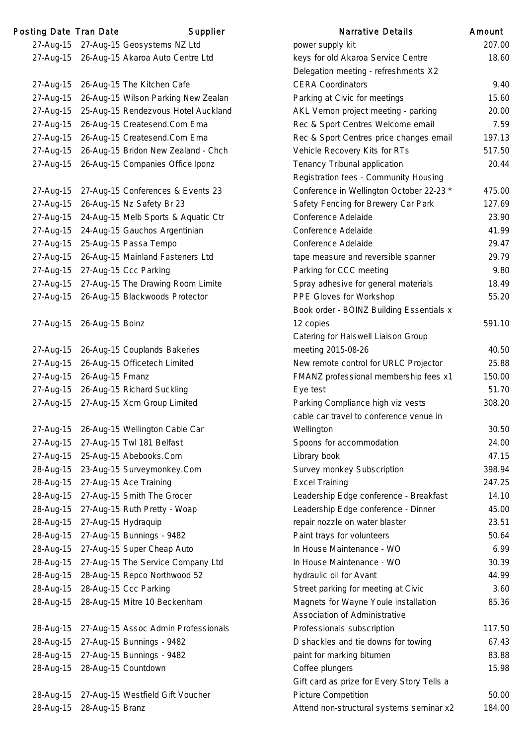| Posting Date Tran Date |                               | Supplier                                      | <b>Narrative Details</b>                   | Amount |
|------------------------|-------------------------------|-----------------------------------------------|--------------------------------------------|--------|
|                        |                               | 27-Aug-15 27-Aug-15 Geosystems NZ Ltd         | power supply kit                           | 207.0  |
|                        |                               | 27-Aug-15 26-Aug-15 Akaroa Auto Centre Ltd    | keys for old Akaroa Service Centre         | 18.6   |
|                        |                               |                                               | Delegation meeting - refreshments X2       |        |
|                        |                               | 27-Aug-15 26-Aug-15 The Kitchen Cafe          | <b>CERA Coordinators</b>                   | 9.4    |
| 27-Aug-15              |                               | 26-Aug-15 Wilson Parking New Zealan           | Parking at Civic for meetings              | 15.6   |
| 27-Aug-15              |                               | 25-Aug-15 Rendezvous Hotel Auckland           | AKL Vernon project meeting - parking       | 20.0   |
| 27-Aug-15              |                               | 26-Aug-15 Createsend.Com Ema                  | Rec & Sport Centres Welcome email          | 7.5    |
| 27-Aug-15              |                               | 26-Aug-15 Createsend.Com Ema                  | Rec & Sport Centres price changes email    | 197.7  |
| 27-Aug-15              |                               | 26-Aug-15 Bridon New Zealand - Chch           | Vehicle Recovery Kits for RTs              | 517.   |
|                        |                               | 27-Aug-15 26-Aug-15 Companies Office Iponz    | Tenancy Tribunal application               | 20.4   |
|                        |                               |                                               | Registration fees - Community Housing      |        |
|                        |                               | 27-Aug-15 27-Aug-15 Conferences & Events 23   | Conference in Wellington October 22-23 *   | 475.0  |
|                        |                               | 27-Aug-15 26-Aug-15 Nz Safety Br 23           | Safety Fencing for Brewery Car Park        | 127.6  |
|                        |                               | 27-Aug-15 24-Aug-15 Melb Sports & Aquatic Ctr | Conference Adelaide                        | 23.9   |
|                        |                               | 27-Aug-15 24-Aug-15 Gauchos Argentinian       | Conference Adelaide                        | 41.9   |
|                        |                               | 27-Aug-15 25-Aug-15 Passa Tempo               | Conference Adelaide                        | 29.4   |
| 27-Aug-15              |                               | 26-Aug-15 Mainland Fasteners Ltd              | tape measure and reversible spanner        | 29.7   |
|                        |                               | 27-Aug-15 27-Aug-15 Ccc Parking               | Parking for CCC meeting                    | 9.8    |
|                        |                               | 27-Aug-15 27-Aug-15 The Drawing Room Limite   | Spray adhesive for general materials       | 18.4   |
| 27-Aug-15              |                               | 26-Aug-15 Blackwoods Protector                | PPE Gloves for Workshop                    | 55.2   |
|                        |                               |                                               | Book order - BOINZ Building Essentials x   |        |
|                        | 27-Aug-15 26-Aug-15 Boinz     |                                               | 12 copies                                  | 591.   |
|                        |                               |                                               | Catering for Halswell Liaison Group        |        |
|                        |                               | 27-Aug-15 26-Aug-15 Couplands Bakeries        | meeting 2015-08-26                         | 40.    |
| 27-Aug-15              |                               | 26-Aug-15 Officetech Limited                  | New remote control for URLC Projector      | 25.8   |
|                        | 27-Aug-15 26-Aug-15 Fmanz     |                                               | FMANZ professional membership fees x1      | 150.0  |
|                        |                               | 27-Aug-15 26-Aug-15 Richard Suckling          | Eye test                                   | 51.    |
| 27-Aug-15              |                               | 27-Aug-15 Xcm Group Limited                   | Parking Compliance high viz vests          | 308.2  |
|                        |                               |                                               | cable car travel to conference venue in    |        |
|                        |                               | 27-Aug-15 26-Aug-15 Wellington Cable Car      | Wellington                                 | 30.5   |
| 27-Aug-15              |                               | 27-Aug-15 Twl 181 Belfast                     | Spoons for accommodation                   | 24.0   |
|                        |                               | 27-Aug-15 25-Aug-15 Abebooks.Com              | Library book                               | 47.7   |
| 28-Aug-15              |                               | 23-Aug-15 Surveymonkey.Com                    | Survey monkey Subscription                 | 398.   |
| 28-Aug-15              |                               | 27-Aug-15 Ace Training                        | <b>Excel Training</b>                      | 247.2  |
| 28-Aug-15              |                               | 27-Aug-15 Smith The Grocer                    | Leadership Edge conference - Breakfast     | 14.    |
| 28-Aug-15              |                               | 27-Aug-15 Ruth Pretty - Woap                  | Leadership Edge conference - Dinner        | 45.0   |
| 28-Aug-15              | 27-Aug-15 Hydraquip           |                                               | repair nozzle on water blaster             | 23.    |
| 28-Aug-15              |                               | 27-Aug-15 Bunnings - 9482                     | Paint trays for volunteers                 | 50.6   |
| 28-Aug-15              |                               | 27-Aug-15 Super Cheap Auto                    | In House Maintenance - WO                  | 6.9    |
| 28-Aug-15              |                               | 27-Aug-15 The Service Company Ltd             | In House Maintenance - WO                  | 30.3   |
| 28-Aug-15              |                               | 28-Aug-15 Repco Northwood 52                  | hydraulic oil for Avant                    | 44.9   |
| 28-Aug-15              |                               | 28-Aug-15 Ccc Parking                         | Street parking for meeting at Civic        | 3.6    |
| 28-Aug-15              |                               | 28-Aug-15 Mitre 10 Beckenham                  | Magnets for Wayne Youle installation       | 85.3   |
|                        |                               |                                               | <b>Association of Administrative</b>       |        |
|                        |                               | 28-Aug-15 27-Aug-15 Assoc Admin Professionals | Professionals subscription                 | 117.5  |
|                        |                               | 28-Aug-15 27-Aug-15 Bunnings - 9482           | D shackles and tie downs for towing        | 67.4   |
| 28-Aug-15              |                               | 27-Aug-15 Bunnings - 9482                     | paint for marking bitumen                  | 83.    |
|                        | 28-Aug-15 28-Aug-15 Countdown |                                               | Coffee plungers                            | 15.9   |
|                        |                               |                                               | Gift card as prize for Every Story Tells a |        |
|                        |                               | 28-Aug-15 27-Aug-15 Westfield Gift Voucher    | <b>Picture Competition</b>                 | 50.0   |
|                        | 28-Aug-15 28-Aug-15 Branz     |                                               | Attend non-structural systems seminar x2   | 184.0  |

|           | ing Date Tran Date | Supplier                                   | <b>Narrative Details</b>                   | Amount |
|-----------|--------------------|--------------------------------------------|--------------------------------------------|--------|
| 27-Aug-15 |                    | 27-Aug-15 Geosystems NZ Ltd                | power supply kit                           | 207.00 |
|           |                    | 27-Aug-15 26-Aug-15 Akaroa Auto Centre Ltd | keys for old Akaroa Service Centre         | 18.60  |
|           |                    |                                            | Delegation meeting - refreshments X2       |        |
| 27-Aug-15 |                    | 26-Aug-15 The Kitchen Cafe                 | <b>CERA Coordinators</b>                   | 9.40   |
| 27-Aug-15 |                    | 26-Aug-15 Wilson Parking New Zealan        | Parking at Civic for meetings              | 15.60  |
| 27-Aug-15 |                    | 25-Aug-15 Rendezvous Hotel Auckland        | AKL Vernon project meeting - parking       | 20.00  |
| 27-Aug-15 |                    | 26-Aug-15 Createsend.Com Ema               | Rec & Sport Centres Welcome email          | 7.59   |
| 27-Aug-15 |                    | 26-Aug-15 Createsend.Com Ema               | Rec & Sport Centres price changes email    | 197.13 |
| 27-Aug-15 |                    | 26-Aug-15 Bridon New Zealand - Chch        | Vehicle Recovery Kits for RTs              | 517.50 |
| 27-Aug-15 |                    | 26-Aug-15 Companies Office Iponz           | Tenancy Tribunal application               | 20.44  |
|           |                    |                                            | Registration fees - Community Housing      |        |
| 27-Aug-15 |                    | 27-Aug-15 Conferences & Events 23          | Conference in Wellington October 22-23 *   | 475.00 |
| 27-Aug-15 |                    | 26-Aug-15 Nz Safety Br 23                  | Safety Fencing for Brewery Car Park        | 127.69 |
| 27-Aug-15 |                    | 24-Aug-15 Melb Sports & Aquatic Ctr        | Conference Adelaide                        | 23.90  |
| 27-Aug-15 |                    | 24-Aug-15 Gauchos Argentinian              | Conference Adelaide                        | 41.99  |
| 27-Aug-15 |                    | 25-Aug-15 Passa Tempo                      | Conference Adelaide                        | 29.47  |
| 27-Aug-15 |                    | 26-Aug-15 Mainland Fasteners Ltd           | tape measure and reversible spanner        | 29.79  |
| 27-Aug-15 |                    | 27-Aug-15 Ccc Parking                      | Parking for CCC meeting                    | 9.80   |
| 27-Aug-15 |                    | 27-Aug-15 The Drawing Room Limite          | Spray adhesive for general materials       | 18.49  |
| 27-Aug-15 |                    | 26-Aug-15 Blackwoods Protector             | PPE Gloves for Workshop                    | 55.20  |
|           |                    |                                            | Book order - BOINZ Building Essentials x   |        |
| 27-Aug-15 | 26-Aug-15 Boinz    |                                            | 12 copies                                  | 591.10 |
|           |                    |                                            | Catering for Halswell Liaison Group        |        |
| 27-Aug-15 |                    | 26-Aug-15 Couplands Bakeries               | meeting 2015-08-26                         | 40.50  |
| 27-Aug-15 |                    | 26-Aug-15 Officetech Limited               | New remote control for URLC Projector      | 25.88  |
| 27-Aug-15 | 26-Aug-15 Fmanz    |                                            | FMANZ professional membership fees x1      | 150.00 |
| 27-Aug-15 |                    | 26-Aug-15 Richard Suckling                 | Eye test                                   | 51.70  |
| 27-Aug-15 |                    | 27-Aug-15 Xcm Group Limited                | Parking Compliance high viz vests          | 308.20 |
|           |                    |                                            | cable car travel to conference venue in    |        |
| 27-Aug-15 |                    | 26-Aug-15 Wellington Cable Car             | Wellington                                 | 30.50  |
| 27-Aug-15 |                    | 27-Aug-15 Twl 181 Belfast                  | Spoons for accommodation                   | 24.00  |
|           |                    | 27-Aug-15 25-Aug-15 Abebooks.Com           | Library book                               | 47.15  |
| 28-Aug-15 |                    | 23-Aug-15 Surveymonkey.Com                 | Survey monkey Subscription                 | 398.94 |
| 28-Aug-15 |                    | 27-Aug-15 Ace Training                     | <b>Excel Training</b>                      | 247.25 |
| 28-Aug-15 |                    | 27-Aug-15 Smith The Grocer                 | Leadership Edge conference - Breakfast     | 14.10  |
| 28-Aug-15 |                    | 27-Aug-15 Ruth Pretty - Woap               | Leadership Edge conference - Dinner        | 45.00  |
| 28-Aug-15 |                    | 27-Aug-15 Hydraquip                        | repair nozzle on water blaster             | 23.51  |
| 28-Aug-15 |                    | 27-Aug-15 Bunnings - 9482                  | Paint trays for volunteers                 | 50.64  |
| 28-Aug-15 |                    | 27-Aug-15 Super Cheap Auto                 | In House Maintenance - WO                  | 6.99   |
| 28-Aug-15 |                    | 27-Aug-15 The Service Company Ltd          | In House Maintenance - WO                  | 30.39  |
| 28-Aug-15 |                    | 28-Aug-15 Repco Northwood 52               | hydraulic oil for Avant                    | 44.99  |
| 28-Aug-15 |                    | 28-Aug-15 Ccc Parking                      | Street parking for meeting at Civic        | 3.60   |
| 28-Aug-15 |                    | 28-Aug-15 Mitre 10 Beckenham               | Magnets for Wayne Youle installation       | 85.36  |
|           |                    |                                            | Association of Administrative              |        |
| 28-Aug-15 |                    | 27-Aug-15 Assoc Admin Professionals        | Professionals subscription                 | 117.50 |
| 28-Aug-15 |                    | 27-Aug-15 Bunnings - 9482                  | D shackles and tie downs for towing        | 67.43  |
| 28-Aug-15 |                    | 27-Aug-15 Bunnings - 9482                  | paint for marking bitumen                  | 83.88  |
| 28-Aug-15 |                    | 28-Aug-15 Countdown                        | Coffee plungers                            | 15.98  |
|           |                    |                                            | Gift card as prize for Every Story Tells a |        |
| 28-Aug-15 |                    | 27-Aug-15 Westfield Gift Voucher           | <b>Picture Competition</b>                 | 50.00  |
| 28-Aug-15 | 28-Aug-15 Branz    |                                            | Attend non-structural systems seminar x2   | 184.00 |
|           |                    |                                            |                                            |        |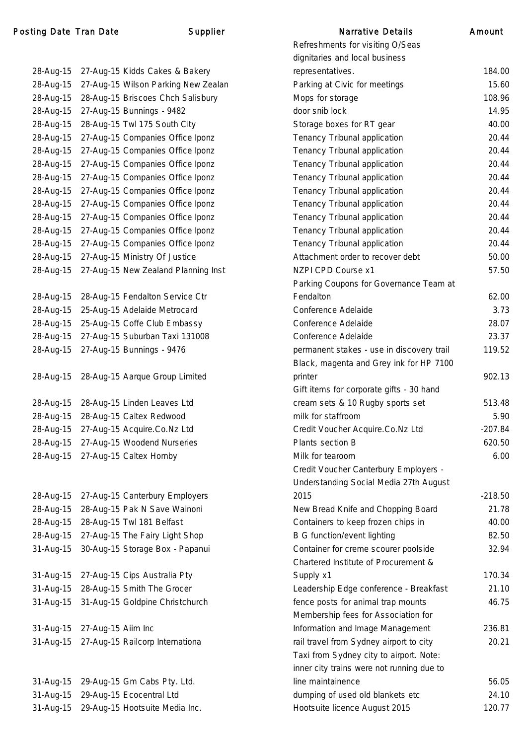### Posting Date Tran Date Narrative Supplier

28-Aug-15 27-Aug-15 Kidds Cakes & Bakery 28-Aug-15 27-Aug-15 Wilson Parking New Zealan 28-Aug-15 28-Aug-15 Briscoes Chch Salisbury 28-Aug-15 27-Aug-15 Bunnings - 9482 28-Aug-15 28-Aug-15 Twl 175 South City 28-Aug-15 27-Aug-15 Companies Office Iponz 28-Aug-15 27-Aug-15 Companies Office Iponz 28-Aug-15 27-Aug-15 Companies Office Iponz 28-Aug-15 27-Aug-15 Companies Office Iponz 28-Aug-15 27-Aug-15 Companies Office Iponz 28-Aug-15 27-Aug-15 Companies Office Iponz 28-Aug-15 27-Aug-15 Companies Office Iponz 28-Aug-15 27-Aug-15 Companies Office Iponz 28-Aug-15 27-Aug-15 Companies Office Iponz 28-Aug-15 27-Aug-15 Ministry Of Justice 28-Aug-15 27-Aug-15 New Zealand Planning Inst 28-Aug-15 28-Aug-15 Fendalton Service Ctr 28-Aug-15 25-Aug-15 Adelaide Metrocard 28-Aug-15 25-Aug-15 Coffe Club Embassy 28-Aug-15 27-Aug-15 Suburban Taxi 131008 28-Aug-15 27-Aug-15 Bunnings - 9476 28-Aug-15 28-Aug-15 Aarque Group Limited 28-Aug-15 28-Aug-15 Linden Leaves Ltd 28-Aug-15 28-Aug-15 Caltex Redwood 28-Aug-15 27-Aug-15 Acquire.Co.Nz Ltd 28-Aug-15 27-Aug-15 Woodend Nurseries 28-Aug-15 27-Aug-15 Caltex Hornby 28-Aug-15 27-Aug-15 Canterbury Employers 28-Aug-15 28-Aug-15 Pak N Save Wainoni 28-Aug-15 28-Aug-15 Twl 181 Belfast 28-Aug-15 27-Aug-15 The Fairy Light Shop 31-Aug-15 30-Aug-15 Storage Box - Papanui 31-Aug-15 27-Aug-15 Cips Australia Pty 31-Aug-15 28-Aug-15 Smith The Grocer 31-Aug-15 31-Aug-15 Goldpine Christchurch 31-Aug-15 27-Aug-15 Aiim Inc 31-Aug-15 27-Aug-15 Railcorp Internationa 31-Aug-15 29-Aug-15 Gm Cabs Pty. Ltd. 31-Aug-15 29-Aug-15 Ecocentral Ltd

31-Aug-15 29-Aug-15 Hootsuite Media Inc.

| <b>Narrative Details</b>                  | Amount    |
|-------------------------------------------|-----------|
| Refreshments for visiting O/Seas          |           |
| dignitaries and local business            |           |
| representatives.                          | 184.00    |
| Parking at Civic for meetings             | 15.60     |
| Mops for storage                          | 108.96    |
| door snib lock                            | 14.95     |
| Storage boxes for RT gear                 | 40.00     |
| Tenancy Tribunal application              | 20.44     |
| Tenancy Tribunal application              | 20.44     |
| Tenancy Tribunal application              | 20.44     |
| Tenancy Tribunal application              | 20.44     |
| Tenancy Tribunal application              | 20.44     |
| Tenancy Tribunal application              | 20.44     |
| Tenancy Tribunal application              | 20.44     |
| Tenancy Tribunal application              | 20.44     |
| Tenancy Tribunal application              | 20.44     |
| Attachment order to recover debt          | 50.00     |
| NZPI CPD Course x1                        | 57.50     |
| Parking Coupons for Governance Team at    |           |
| Fendalton                                 | 62.00     |
| Conference Adelaide                       | 3.73      |
| Conference Adelaide                       | 28.07     |
| Conference Adelaide                       | 23.37     |
| permanent stakes - use in discovery trail | 119.52    |
| Black, magenta and Grey ink for HP 7100   |           |
| printer                                   | 902.13    |
| Gift items for corporate gifts - 30 hand  |           |
| cream sets & 10 Rugby sports set          | 513.48    |
| milk for staffroom                        | 5.90      |
| Credit Voucher Acquire.Co.Nz Ltd          | $-207.84$ |
| Plants section B                          | 620.50    |
| Milk for tearoom                          | 6.00      |
| Credit Voucher Canterbury Employers -     |           |
| Understanding Social Media 27th August    |           |
| 2015                                      | $-218.50$ |
| New Bread Knife and Chopping Board        | 21.78     |
| Containers to keep frozen chips in        | 40.00     |
| <b>B G function/event lighting</b>        | 82.50     |
| Container for creme scourer poolside      | 32.94     |
| Chartered Institute of Procurement &      |           |
| Supply x1                                 | 170.34    |
| Leadership Edge conference - Breakfast    | 21.10     |
| fence posts for animal trap mounts        | 46.75     |
| Membership fees for Association for       |           |
| Information and Image Management          | 236.81    |
| rail travel from Sydney airport to city   | 20.21     |
| Taxi from Sydney city to airport. Note:   |           |
| inner city trains were not running due to |           |
| line maintainence                         | 56.05     |
| dumping of used old blankets etc          | 24.10     |
| Hootsuite licence August 2015             | 120.77    |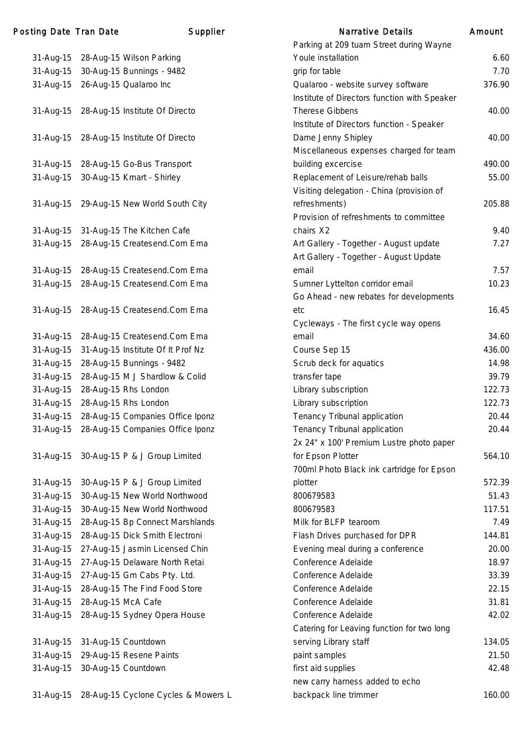| 31-Aug-15              |                    | 28-Aug-15 Wilson Parking                                    |
|------------------------|--------------------|-------------------------------------------------------------|
| 31-Aug-15              |                    | 30-Aug-15 Bunnings - 9482                                   |
| 31-Aug-15              |                    | 26-Aug-15 Qualaroo Inc                                      |
|                        |                    |                                                             |
| 31-Aug-15              |                    | 28-Aug-15 Institute Of Directo                              |
|                        |                    |                                                             |
| 31-Aug-15              |                    | 28-Aug-15 Institute Of Directo                              |
|                        |                    |                                                             |
| 31-Aug-15              |                    | 28-Aug-15 Go-Bus Transport                                  |
| 31-Aug-15              |                    | 30-Aug-15 Kmart - Shirley                                   |
|                        |                    |                                                             |
| 31-Aug-15              |                    | 29-Aug-15 New World South City                              |
|                        |                    |                                                             |
| 31-Aug-15              |                    | 31-Aug-15 The Kitchen Cafe                                  |
| 31-Aug-15              |                    | 28-Aug-15 Createsend.Com Ema                                |
|                        |                    |                                                             |
| 31-Aug-15              |                    | 28-Aug-15 Createsend.Com Ema                                |
| 31-Aug-15              |                    | 28-Aug-15 Createsend.Com Ema                                |
|                        |                    |                                                             |
| 31-Aug-15              |                    | 28-Aug-15 Createsend.Com Ema                                |
|                        |                    | 28-Aug-15 Createsend.Com Ema                                |
| 31-Aug-15              |                    |                                                             |
| 31-Aug-15              |                    | 31-Aug-15 Institute Of It Prof Nz                           |
| 31-Aug-15<br>31-Aug-15 |                    | 28-Aug-15 Bunnings - 9482<br>28-Aug-15 M J Shardlow & Colid |
| 31-Aug-15              |                    | 28-Aug-15 Rhs London                                        |
| 31-Aug-15              |                    | 28-Aug-15 Rhs London                                        |
| 31-Aug-15              |                    | 28-Aug-15 Companies Office Iponz                            |
| 31-Aug-15              |                    | 28-Aug-15 Companies Office Iponz                            |
|                        |                    |                                                             |
| 31-Aug-15              |                    | 30-Aug-15 P & J Group Limited                               |
|                        |                    |                                                             |
| 31-Aug-15              |                    | 30-Aug-15 P & J Group Limited                               |
| 31-Aug-15              |                    | 30-Aug-15 New World Northwood                               |
| 31-Aug-15              |                    | 30-Aug-15 New World Northwood                               |
| 31-Aug-15              |                    | 28-Aug-15 Bp Connect Marshlands                             |
| 31-Aug-15              |                    | 28-Aug-15 Dick Smith Electroni                              |
| 31-Aug-15              |                    | 27-Aug-15 Jasmin Licensed Chin                              |
| 31-Aug-15              |                    | 27-Aug-15 Delaware North Retai                              |
| 31-Aug-15              |                    | 27-Aug-15 Gm Cabs Pty. Ltd.                                 |
| 31-Aug-15              |                    | 28-Aug-15 The Find Food Store                               |
| 31-Aug-15              | 28-Aug-15 McA Cafe |                                                             |
| 31-Aug-15              |                    | 28-Aug-15 Sydney Opera House                                |
|                        |                    |                                                             |
| 31-Aug-15              |                    | 31-Aug-15 Countdown                                         |
| 31-Aug-15              |                    | 29-Aug-15 Resene Paints                                     |
| 31-Aug-15              |                    | 30-Aug-15 Countdown                                         |
|                        |                    |                                                             |
| 31-Aug-15              |                    | 28-Aug-15 Cyclone Cycles & Mower                            |

| 31-Aug-15 27-Aug-15 Gm Cabs Pty. Ltd.         | Conference Adelaide                        | 33.39  |
|-----------------------------------------------|--------------------------------------------|--------|
| 31-Aug-15 28-Aug-15 The Find Food Store       | Conference Adelaide                        | 22.15  |
| 31-Aug-15 28-Aug-15 McA Cafe                  | Conference Adelaide                        | 31.81  |
| 31-Aug-15 28-Aug-15 Sydney Opera House        | Conference Adelaide                        | 42.02  |
|                                               | Catering for Leaving function for two long |        |
| 31-Aug-15 31-Aug-15 Countdown                 | serving Library staff                      | 134.05 |
| 31-Aug-15 29-Aug-15 Resene Paints             | paint samples                              | 21.50  |
| 31-Aug-15 30-Aug-15 Countdown                 | first aid supplies                         | 42.48  |
|                                               | new carry harness added to echo            |        |
| 31-Aug-15 28-Aug-15 Cyclone Cycles & Mowers L | backpack line trimmer                      | 160.00 |
|                                               |                                            |        |

|           | ing Date Tran Date            | Supplier                                      | <b>Narrative Details</b>                     | Amount |
|-----------|-------------------------------|-----------------------------------------------|----------------------------------------------|--------|
|           |                               |                                               | Parking at 209 tuam Street during Wayne      |        |
|           |                               | 31-Aug-15 28-Aug-15 Wilson Parking            | Youle installation                           | 6.60   |
|           |                               | 31-Aug-15 30-Aug-15 Bunnings - 9482           | grip for table                               | 7.70   |
|           |                               | 31-Aug-15 26-Aug-15 Qualaroo Inc              | Qualaroo - website survey software           | 376.90 |
|           |                               |                                               | Institute of Directors function with Speaker |        |
|           |                               | 31-Aug-15 28-Aug-15 Institute Of Directo      | Therese Gibbens                              | 40.00  |
|           |                               |                                               | Institute of Directors function - Speaker    |        |
|           |                               | 31-Aug-15 28-Aug-15 Institute Of Directo      | Dame Jenny Shipley                           | 40.00  |
|           |                               |                                               | Miscellaneous expenses charged for team      |        |
|           |                               | 31-Aug-15 28-Aug-15 Go-Bus Transport          | building excercise                           | 490.00 |
|           |                               | 31-Aug-15 30-Aug-15 Kmart - Shirley           | Replacement of Leisure/rehab balls           | 55.00  |
|           |                               |                                               | Visiting delegation - China (provision of    |        |
|           |                               | 31-Aug-15 29-Aug-15 New World South City      | refreshments)                                | 205.88 |
|           |                               |                                               | Provision of refreshments to committee       |        |
|           |                               | 31-Aug-15 31-Aug-15 The Kitchen Cafe          | chairs X2                                    | 9.40   |
|           |                               | 31-Aug-15 28-Aug-15 Createsend.Com Ema        | Art Gallery - Together - August update       | 7.27   |
|           |                               |                                               | Art Gallery - Together - August Update       |        |
|           |                               | 31-Aug-15 28-Aug-15 Createsend.Com Ema        | email                                        | 7.57   |
|           |                               | 31-Aug-15 28-Aug-15 Createsend.Com Ema        | Sumner Lyttelton corridor email              | 10.23  |
|           |                               |                                               | Go Ahead - new rebates for developments      |        |
|           |                               | 31-Aug-15 28-Aug-15 Createsend.Com Ema        | etc                                          | 16.45  |
|           |                               |                                               | Cycleways - The first cycle way opens        |        |
|           |                               | 31-Aug-15 28-Aug-15 Createsend.Com Ema        | email                                        | 34.60  |
|           |                               | 31-Aug-15 31-Aug-15 Institute Of It Prof Nz   | Course Sep 15                                | 436.00 |
| 31-Aug-15 |                               | 28-Aug-15 Bunnings - 9482                     | Scrub deck for aquatics                      | 14.98  |
|           |                               | 31-Aug-15 28-Aug-15 M J Shardlow & Colid      | transfer tape                                | 39.79  |
| 31-Aug-15 |                               | 28-Aug-15 Rhs London                          | Library subscription                         | 122.73 |
|           |                               | 31-Aug-15 28-Aug-15 Rhs London                | Library subscription                         | 122.73 |
|           |                               | 31-Aug-15 28-Aug-15 Companies Office Iponz    | Tenancy Tribunal application                 | 20.44  |
|           |                               | 31-Aug-15 28-Aug-15 Companies Office Iponz    | Tenancy Tribunal application                 | 20.44  |
|           |                               |                                               | 2x 24" x 100' Premium Lustre photo paper     |        |
|           |                               | 31-Aug-15 30-Aug-15 P & J Group Limited       | for Epson Plotter                            | 564.10 |
|           |                               |                                               | 700ml Photo Black ink cartridge for Epson    |        |
| 31-Aug-15 |                               | 30-Aug-15 P & J Group Limited                 | plotter                                      | 572.39 |
| 31-Aug-15 |                               | 30-Aug-15 New World Northwood                 | 800679583                                    | 51.43  |
|           |                               | 31-Aug-15 30-Aug-15 New World Northwood       | 800679583                                    | 117.51 |
| 31-Aug-15 |                               | 28-Aug-15 Bp Connect Marshlands               | Milk for BLFP tearoom                        | 7.49   |
|           |                               | 31-Aug-15 28-Aug-15 Dick Smith Electroni      | Flash Drives purchased for DPR               | 144.81 |
| 31-Aug-15 |                               | 27-Aug-15 Jasmin Licensed Chin                | Evening meal during a conference             | 20.00  |
|           |                               | 31-Aug-15 27-Aug-15 Delaware North Retai      | Conference Adelaide                          | 18.97  |
| 31-Aug-15 |                               | 27-Aug-15 Gm Cabs Pty. Ltd.                   | Conference Adelaide                          | 33.39  |
|           |                               | 31-Aug-15 28-Aug-15 The Find Food Store       | Conference Adelaide                          | 22.15  |
| 31-Aug-15 |                               | 28-Aug-15 McA Cafe                            | Conference Adelaide                          | 31.81  |
|           |                               | 31-Aug-15 28-Aug-15 Sydney Opera House        | Conference Adelaide                          | 42.02  |
|           |                               |                                               | Catering for Leaving function for two long   |        |
|           | 31-Aug-15 31-Aug-15 Countdown |                                               | serving Library staff                        | 134.05 |
|           |                               | 31-Aug-15 29-Aug-15 Resene Paints             | paint samples                                | 21.50  |
|           | 31-Aug-15 30-Aug-15 Countdown |                                               | first aid supplies                           | 42.48  |
|           |                               |                                               | new carry harness added to echo              |        |
|           |                               | 31-Aug-15 28-Aug-15 Cyclone Cycles & Mowers L | backpack line trimmer                        | 160.00 |
|           |                               |                                               |                                              |        |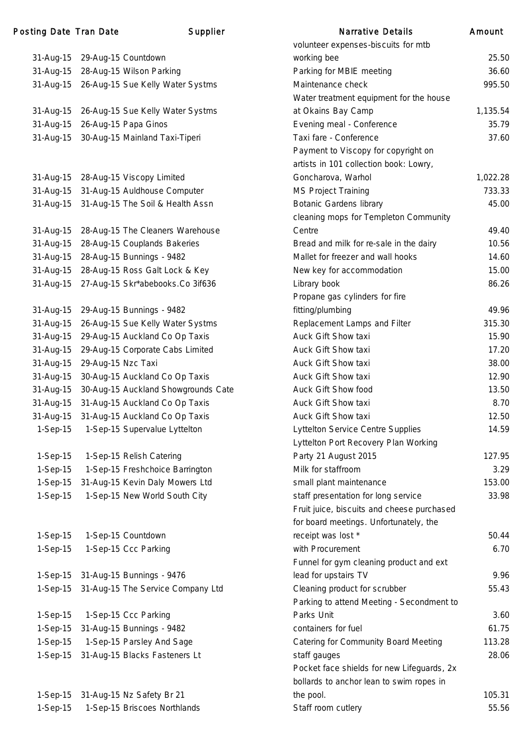### Posting Date Tran Date **Supplier** Supplier Narrative Details Amount

| 31-Aug-15  |                    | 29-Aug-15 Countdown                |
|------------|--------------------|------------------------------------|
| 31-Aug-15  |                    | 28-Aug-15 Wilson Parking           |
| 31-Aug-15  |                    | 26-Aug-15 Sue Kelly Water Systms   |
|            |                    |                                    |
| 31-Aug-15  |                    | 26-Aug-15 Sue Kelly Water Systms   |
| 31-Aug-15  |                    | 26-Aug-15 Papa Ginos               |
| 31-Aug-15  |                    | 30-Aug-15 Mainland Taxi-Tiperi     |
|            |                    |                                    |
| 31-Aug-15  |                    | 28-Aug-15 Viscopy Limited          |
| 31-Aug-15  |                    | 31-Aug-15 Auldhouse Computer       |
| 31-Aug-15  |                    | 31-Aug-15 The Soil & Health Assn   |
|            |                    |                                    |
| 31-Aug-15  |                    | 28-Aug-15 The Cleaners Warehouse   |
| 31-Aug-15  |                    | 28-Aug-15 Couplands Bakeries       |
| 31-Aug-15  |                    | 28-Aug-15 Bunnings - 9482          |
| 31-Aug-15  |                    | 28-Aug-15 Ross Galt Lock & Key     |
| 31-Aug-15  |                    | 27-Aug-15 Skr*abebooks.Co 3if636   |
|            |                    |                                    |
| 31-Aug-15  |                    | 29-Aug-15 Bunnings - 9482          |
| 31-Aug-15  |                    | 26-Aug-15 Sue Kelly Water Systms   |
| 31-Aug-15  |                    | 29-Aug-15 Auckland Co Op Taxis     |
| 31-Aug-15  |                    | 29-Aug-15 Corporate Cabs Limited   |
| 31-Aug-15  | 29-Aug-15 Nzc Taxi |                                    |
| 31-Aug-15  |                    | 30-Aug-15 Auckland Co Op Taxis     |
| 31-Aug-15  |                    | 30-Aug-15 Auckland Showgrounds Cat |
| 31-Aug-15  |                    | 31-Aug-15 Auckland Co Op Taxis     |
| 31-Aug-15  |                    | 31-Aug-15 Auckland Co Op Taxis     |
| 1-Sep-15   |                    | 1-Sep-15 Supervalue Lyttelton      |
|            |                    |                                    |
| 1-Sep-15   |                    | 1-Sep-15 Relish Catering           |
| 1-Sep-15   |                    | 1-Sep-15 Freshchoice Barrington    |
| 1-Sep-15   |                    | 31-Aug-15 Kevin Daly Mowers Ltd    |
| 1-Sep-15   |                    | 1-Sep-15 New World South City      |
|            |                    |                                    |
| $1-Sep-15$ |                    | 1-Sep-15 Countdown                 |
| 1-Sep-15   |                    | 1-Sep-15 Ccc Parking               |
| 1-Sep-15   |                    | 31-Aug-15 Bunnings - 9476          |
| 1-Sep-15   |                    | 31-Aug-15 The Service Company Ltd  |
|            |                    |                                    |
| 1-Sep-15   |                    | 1-Sep-15 Ccc Parking               |
| 1-Sep-15   |                    | 31-Aug-15 Bunnings - 9482          |
| 1-Sep-15   |                    | 1-Sep-15 Parsley And Sage          |
| 1-Sep-15   |                    | 31-Aug-15 Blacks Fasteners Lt      |
|            |                    |                                    |
| 1-Sep-15   |                    | 31-Aug-15 Nz Safety Br 21          |

|            |                                            | volunteer expenses-biscuits for mtb        |          |
|------------|--------------------------------------------|--------------------------------------------|----------|
| 31-Aug-15  | 29-Aug-15 Countdown                        | working bee                                | 25.50    |
| 31-Aug-15  | 28-Aug-15 Wilson Parking                   | Parking for MBIE meeting                   | 36.60    |
|            | 31-Aug-15 26-Aug-15 Sue Kelly Water Systms | Maintenance check                          | 995.50   |
|            |                                            | Water treatment equipment for the house    |          |
| 31-Aug-15  | 26-Aug-15 Sue Kelly Water Systms           | at Okains Bay Camp                         | 1,135.54 |
| 31-Aug-15  | 26-Aug-15 Papa Ginos                       | Evening meal - Conference                  | 35.79    |
|            | 31-Aug-15 30-Aug-15 Mainland Taxi-Tiperi   | Taxi fare - Conference                     | 37.60    |
|            |                                            | Payment to Viscopy for copyright on        |          |
|            |                                            | artists in 101 collection book: Lowry,     |          |
| 31-Aug-15  | 28-Aug-15 Viscopy Limited                  | Goncharova, Warhol                         | 1,022.28 |
|            | 31-Aug-15 31-Aug-15 Auldhouse Computer     | <b>MS Project Training</b>                 | 733.33   |
|            | 31-Aug-15 31-Aug-15 The Soil & Health Assn | <b>Botanic Gardens library</b>             | 45.00    |
|            |                                            | cleaning mops for Templeton Community      |          |
| 31-Aug-15  | 28-Aug-15 The Cleaners Warehouse           | Centre                                     | 49.40    |
| 31-Aug-15  | 28-Aug-15 Couplands Bakeries               | Bread and milk for re-sale in the dairy    | 10.56    |
| 31-Aug-15  | 28-Aug-15 Bunnings - 9482                  | Mallet for freezer and wall hooks          | 14.60    |
|            | 31-Aug-15 28-Aug-15 Ross Galt Lock & Key   | New key for accommodation                  | 15.00    |
|            | 31-Aug-15 27-Aug-15 Skr*abebooks.Co 3if636 | Library book                               | 86.26    |
|            |                                            | Propane gas cylinders for fire             |          |
|            | 31-Aug-15 29-Aug-15 Bunnings - 9482        | fitting/plumbing                           | 49.96    |
| 31-Aug-15  | 26-Aug-15 Sue Kelly Water Systms           | Replacement Lamps and Filter               | 315.30   |
| 31-Aug-15  | 29-Aug-15 Auckland Co Op Taxis             | Auck Gift Show taxi                        | 15.90    |
| 31-Aug-15  | 29-Aug-15 Corporate Cabs Limited           | Auck Gift Show taxi                        | 17.20    |
| 31-Aug-15  | 29-Aug-15 Nzc Taxi                         | Auck Gift Show taxi                        | 38.00    |
| 31-Aug-15  | 30-Aug-15 Auckland Co Op Taxis             | Auck Gift Show taxi                        | 12.90    |
| 31-Aug-15  | 30-Aug-15 Auckland Showgrounds Cate        | Auck Gift Show food                        | 13.50    |
| 31-Aug-15  | 31-Aug-15 Auckland Co Op Taxis             | Auck Gift Show taxi                        | 8.70     |
| 31-Aug-15  | 31-Aug-15 Auckland Co Op Taxis             | Auck Gift Show taxi                        | 12.50    |
| $1-Sep-15$ | 1-Sep-15 Supervalue Lyttelton              | <b>Lyttelton Service Centre Supplies</b>   | 14.59    |
|            |                                            | Lyttelton Port Recovery Plan Working       |          |
| $1-Sep-15$ | 1-Sep-15 Relish Catering                   | Party 21 August 2015                       | 127.95   |
| $1-Sep-15$ | 1-Sep-15 Freshchoice Barrington            | Milk for staffroom                         | 3.29     |
| $1-Sep-15$ | 31-Aug-15 Kevin Daly Mowers Ltd            | small plant maintenance                    | 153.00   |
| $1-Sep-15$ | 1-Sep-15 New World South City              | staff presentation for long service        | 33.98    |
|            |                                            | Fruit juice, biscuits and cheese purchased |          |
|            |                                            | for board meetings. Unfortunately, the     |          |
| $1-Sep-15$ | 1-Sep-15 Countdown                         | receipt was lost *                         | 50.44    |
| $1-Sep-15$ | 1-Sep-15 Ccc Parking                       | with Procurement                           | 6.70     |
|            |                                            | Funnel for gym cleaning product and ext    |          |
| $1-Sep-15$ | 31-Aug-15 Bunnings - 9476                  | lead for upstairs TV                       | 9.96     |
| $1-Sep-15$ | 31-Aug-15 The Service Company Ltd          | Cleaning product for scrubber              | 55.43    |
|            |                                            | Parking to attend Meeting - Secondment to  |          |
| $1-Sep-15$ | 1-Sep-15 Ccc Parking                       | Parks Unit                                 | 3.60     |
|            |                                            | containers for fuel                        | 61.75    |
| $1-Sep-15$ | 31-Aug-15 Bunnings - 9482                  |                                            | 113.28   |
| $1-Sep-15$ | 1-Sep-15 Parsley And Sage                  | Catering for Community Board Meeting       |          |
| $1-Sep-15$ | 31-Aug-15 Blacks Fasteners Lt              | staff gauges                               | 28.06    |
|            |                                            | Pocket face shields for new Lifeguards, 2x |          |
|            |                                            | bollards to anchor lean to swim ropes in   |          |
| $1-Sep-15$ | 31-Aug-15 Nz Safety Br 21                  | the pool.                                  | 105.31   |

1-Sep-15 1-Sep-15 Briscoes Northlands Staff room cutlery S5.56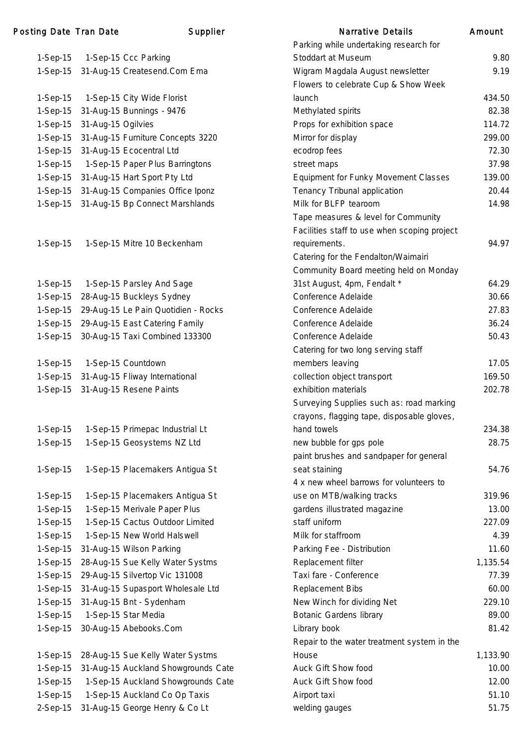| 1-Sep-15   |                    | 1-Sep-15 Ccc Parking                |
|------------|--------------------|-------------------------------------|
| 1-Sep-15   |                    | 31-Aug-15 Createsend.Com Ema        |
|            |                    |                                     |
| 1-Sep-15   |                    | 1-Sep-15 City Wide Florist          |
| 1-Sep-15   |                    | 31-Aug-15 Bunnings - 9476           |
| $1-Sep-15$ | 31-Aug-15 Ogilvies |                                     |
| 1-Sep-15   |                    | 31-Aug-15 Furniture Concepts 3220   |
| 1-Sep-15   |                    | 31-Aug-15 Ecocentral Ltd            |
| $1-Sep-15$ |                    | 1-Sep-15 Paper Plus Barringtons     |
|            |                    |                                     |
| 1-Sep-15   |                    | 31-Aug-15 Hart Sport Pty Ltd        |
| 1-Sep-15   |                    | 31-Aug-15 Companies Office Iponz    |
| 1-Sep-15   |                    | 31-Aug-15 Bp Connect Marshlands     |
|            |                    |                                     |
|            |                    |                                     |
| 1-Sep-15   |                    | 1-Sep-15 Mitre 10 Beckenham         |
|            |                    |                                     |
|            |                    |                                     |
| 1-Sep-15   |                    | 1-Sep-15 Parsley And Sage           |
| 1-Sep-15   |                    | 28-Aug-15 Buckleys Sydney           |
| 1-Sep-15   |                    | 29-Aug-15 Le Pain Quotidien - Rocks |
| 1-Sep-15   |                    | 29-Aug-15 East Catering Family      |
|            |                    | 30-Aug-15 Taxi Combined 133300      |
| 1-Sep-15   |                    |                                     |
|            |                    |                                     |
| 1-Sep-15   |                    | 1-Sep-15 Countdown                  |
| 1-Sep-15   |                    | 31-Aug-15 Fliway International      |
| 1-Sep-15   |                    | 31-Aug-15 Resene Paints             |
|            |                    |                                     |
|            |                    |                                     |
| $1-Sep-15$ |                    | 1-Sep-15 Primepac Industrial Lt     |
| 1-Sep-15   |                    | 1-Sep-15 Geosystems NZ Ltd          |
|            |                    |                                     |
| 1-Sep-15   |                    | 1-Sep-15 Placemakers Antigua St     |
|            |                    |                                     |
| 1-Sep-15   |                    | 1-Sep-15 Placemakers Antigua St     |
| 1-Sep-15   |                    | 1-Sep-15 Merivale Paper Plus        |
| $1-Sep-15$ |                    | 1-Sep-15 Cactus Outdoor Limited     |
|            |                    |                                     |
| 1-Sep-15   |                    | 1-Sep-15 New World Halswell         |
| 1-Sep-15   |                    | 31-Aug-15 Wilson Parking            |
| 1-Sep-15   |                    | 28-Aug-15 Sue Kelly Water Systms    |
| $1-Sep-15$ |                    | 29-Aug-15 Silvertop Vic 131008      |
| 1-Sep-15   |                    | 31-Aug-15 Supasport Wholesale Ltd   |
| 1-Sep-15   |                    | 31-Aug-15 Bnt - Sydenham            |
| $1-Sep-15$ |                    | 1-Sep-15 Star Media                 |
| 1-Sep-15   |                    | 30-Aug-15 Abebooks.Com              |
|            |                    |                                     |
| 1-Sep-15   |                    | 28-Aug-15 Sue Kelly Water Systms    |
| 1-Sep-15   |                    | 31-Aug-15 Auckland Showgrounds Cate |
| 1-Sep-15   |                    | 1-Sep-15 Auckland Showgrounds Cate  |
| 1-Sep-15   |                    | 1-Sep-15 Auckland Co Op Taxis       |
| 2-Sep-15   |                    | 31-Aug-15 George Henry & Co Lt      |
|            |                    |                                     |

|            | ng Date Tran Date  | Supplier                            | <b>Narrative Details</b>                     | Amount   |
|------------|--------------------|-------------------------------------|----------------------------------------------|----------|
|            |                    |                                     | Parking while undertaking research for       |          |
| 1-Sep-15   |                    | 1-Sep-15 Ccc Parking                | Stoddart at Museum                           | 9.80     |
| 1-Sep-15   |                    | 31-Aug-15 Createsend.Com Ema        | Wigram Magdala August newsletter             | 9.19     |
|            |                    |                                     | Flowers to celebrate Cup & Show Week         |          |
| 1-Sep-15   |                    | 1-Sep-15 City Wide Florist          | launch                                       | 434.50   |
| 1-Sep-15   |                    | 31-Aug-15 Bunnings - 9476           | Methylated spirits                           | 82.38    |
| 1-Sep-15   | 31-Aug-15 Ogilvies |                                     | Props for exhibition space                   | 114.72   |
| $1-Sep-15$ |                    | 31-Aug-15 Furniture Concepts 3220   | Mirror for display                           | 299.00   |
| 1-Sep-15   |                    | 31-Aug-15 Ecocentral Ltd            | ecodrop fees                                 | 72.30    |
| 1-Sep-15   |                    | 1-Sep-15 Paper Plus Barringtons     | street maps                                  | 37.98    |
| 1-Sep-15   |                    | 31-Aug-15 Hart Sport Pty Ltd        | <b>Equipment for Funky Movement Classes</b>  | 139.00   |
| 1-Sep-15   |                    | 31-Aug-15 Companies Office Iponz    | Tenancy Tribunal application                 | 20.44    |
| 1-Sep-15   |                    | 31-Aug-15 Bp Connect Marshlands     | Milk for BLFP tearoom                        | 14.98    |
|            |                    |                                     | Tape measures & level for Community          |          |
|            |                    |                                     | Facilities staff to use when scoping project |          |
| 1-Sep-15   |                    | 1-Sep-15 Mitre 10 Beckenham         | requirements.                                | 94.97    |
|            |                    |                                     | Catering for the Fendalton/Waimairi          |          |
|            |                    |                                     | Community Board meeting held on Monday       |          |
| 1-Sep-15   |                    | 1-Sep-15 Parsley And Sage           | 31st August, 4pm, Fendalt *                  | 64.29    |
| 1-Sep-15   |                    | 28-Aug-15 Buckleys Sydney           | Conference Adelaide                          | 30.66    |
| 1-Sep-15   |                    | 29-Aug-15 Le Pain Quotidien - Rocks | Conference Adelaide                          | 27.83    |
| 1-Sep-15   |                    | 29-Aug-15 East Catering Family      | Conference Adelaide                          | 36.24    |
| 1-Sep-15   |                    | 30-Aug-15 Taxi Combined 133300      | Conference Adelaide                          | 50.43    |
|            |                    |                                     | Catering for two long serving staff          |          |
| 1-Sep-15   |                    | 1-Sep-15 Countdown                  | members leaving                              | 17.05    |
| 1-Sep-15   |                    | 31-Aug-15 Fliway International      | collection object transport                  | 169.50   |
| 1-Sep-15   |                    | 31-Aug-15 Resene Paints             | exhibition materials                         | 202.78   |
|            |                    |                                     | Surveying Supplies such as: road marking     |          |
|            |                    |                                     | crayons, flagging tape, disposable gloves,   |          |
| 1-Sep-15   |                    | 1-Sep-15 Primepac Industrial Lt     | hand towels                                  | 234.38   |
| 1-Sep-15   |                    | 1-Sep-15 Geosystems NZ Ltd          | new bubble for gps pole                      | 28.75    |
|            |                    |                                     | paint brushes and sandpaper for general      |          |
| 1-Sep-15   |                    | 1-Sep-15 Placemakers Antigua St     | seat staining                                | 54.76    |
|            |                    |                                     | 4 x new wheel barrows for volunteers to      |          |
| 1-Sep-15   |                    | 1-Sep-15 Placemakers Antigua St     | use on MTB/walking tracks                    | 319.96   |
| 1-Sep-15   |                    | 1-Sep-15 Merivale Paper Plus        | gardens illustrated magazine                 | 13.00    |
| 1-Sep-15   |                    | 1-Sep-15 Cactus Outdoor Limited     | staff uniform                                | 227.09   |
| 1-Sep-15   |                    | 1-Sep-15 New World Halswell         | Milk for staffroom                           | 4.39     |
| 1-Sep-15   |                    | 31-Aug-15 Wilson Parking            | Parking Fee - Distribution                   | 11.60    |
| 1-Sep-15   |                    | 28-Aug-15 Sue Kelly Water Systms    | Replacement filter                           | 1,135.54 |
| 1-Sep-15   |                    | 29-Aug-15 Silvertop Vic 131008      | Taxi fare - Conference                       | 77.39    |
| 1-Sep-15   |                    | 31-Aug-15 Supasport Wholesale Ltd   | Replacement Bibs                             | 60.00    |
| 1-Sep-15   |                    | 31-Aug-15 Bnt - Sydenham            | New Winch for dividing Net                   | 229.10   |
| 1-Sep-15   |                    | 1-Sep-15 Star Media                 | <b>Botanic Gardens library</b>               | 89.00    |
| 1-Sep-15   |                    | 30-Aug-15 Abebooks.Com              | Library book                                 | 81.42    |
|            |                    |                                     | Repair to the water treatment system in the  |          |
| 1-Sep-15   |                    | 28-Aug-15 Sue Kelly Water Systms    | House                                        | 1,133.90 |
| 1-Sep-15   |                    | 31-Aug-15 Auckland Showgrounds Cate | Auck Gift Show food                          | 10.00    |
| 1-Sep-15   |                    | 1-Sep-15 Auckland Showgrounds Cate  | Auck Gift Show food                          | 12.00    |
| 1-Sep-15   |                    | 1-Sep-15 Auckland Co Op Taxis       | Airport taxi                                 | 51.10    |
| 2-Sep-15   |                    | 31-Aug-15 George Henry & Co Lt      | welding gauges                               | 51.75    |
|            |                    |                                     |                                              |          |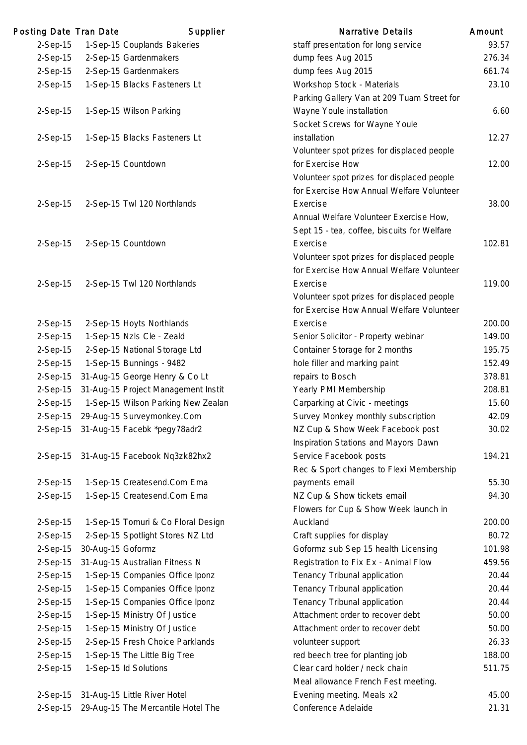| Posting Date Tran Date |                   | Supplier                              | <b>Narrative Details</b>                    | Amount |
|------------------------|-------------------|---------------------------------------|---------------------------------------------|--------|
| $2-Sep-15$             |                   | 1-Sep-15 Couplands Bakeries           | staff presentation for long service         | 93.57  |
| $2-Sep-15$             |                   | 2-Sep-15 Gardenmakers                 | dump fees Aug 2015                          | 276.34 |
| $2-Sep-15$             |                   | 2-Sep-15 Gardenmakers                 | dump fees Aug 2015                          | 661.74 |
| 2-Sep-15               |                   | 1-Sep-15 Blacks Fasteners Lt          | Workshop Stock - Materials                  | 23.10  |
|                        |                   |                                       | Parking Gallery Van at 209 Tuam Street for  |        |
| $2-Sep-15$             |                   | 1-Sep-15 Wilson Parking               | Wayne Youle installation                    | 6.60   |
|                        |                   |                                       | Socket Screws for Wayne Youle               |        |
| 2-Sep-15               |                   | 1-Sep-15 Blacks Fasteners Lt          | installation                                | 12.27  |
|                        |                   |                                       | Volunteer spot prizes for displaced people  |        |
| $2-Sep-15$             |                   | 2-Sep-15 Countdown                    | for Exercise How                            | 12.00  |
|                        |                   |                                       | Volunteer spot prizes for displaced people  |        |
|                        |                   |                                       | for Exercise How Annual Welfare Volunteer   |        |
| $2-Sep-15$             |                   | 2-Sep-15 Twl 120 Northlands           | Exercise                                    | 38.00  |
|                        |                   |                                       | Annual Welfare Volunteer Exercise How,      |        |
|                        |                   |                                       | Sept 15 - tea, coffee, biscuits for Welfare |        |
| 2-Sep-15               |                   | 2-Sep-15 Countdown                    | Exercise                                    | 102.81 |
|                        |                   |                                       | Volunteer spot prizes for displaced people  |        |
|                        |                   |                                       | for Exercise How Annual Welfare Volunteer   |        |
| $2-Sep-15$             |                   | 2-Sep-15 Twl 120 Northlands           | Exercise                                    | 119.00 |
|                        |                   |                                       | Volunteer spot prizes for displaced people  |        |
|                        |                   |                                       | for Exercise How Annual Welfare Volunteer   |        |
| 2-Sep-15               |                   | 2-Sep-15 Hoyts Northlands             | Exercise                                    | 200.00 |
| $2-Sep-15$             |                   | 1-Sep-15 Nzls Cle - Zeald             | Senior Solicitor - Property webinar         | 149.00 |
| 2-Sep-15               |                   | 2-Sep-15 National Storage Ltd         | Container Storage for 2 months              | 195.75 |
| $2-Sep-15$             |                   | 1-Sep-15 Bunnings - 9482              | hole filler and marking paint               | 152.49 |
| $2-Sep-15$             |                   | 31-Aug-15 George Henry & Co Lt        | repairs to Bosch                            | 378.81 |
| $2-Sep-15$             |                   | 31-Aug-15 Project Management Instit   | Yearly PMI Membership                       | 208.81 |
| 2-Sep-15               |                   | 1-Sep-15 Wilson Parking New Zealan    | Carparking at Civic - meetings              | 15.60  |
| $2-Sep-15$             |                   | 29-Aug-15 Surveymonkey.Com            | Survey Monkey monthly subscription          | 42.09  |
|                        |                   | 2-Sep-15 31-Aug-15 Facebk *pegy78adr2 | NZ Cup & Show Week Facebook post            | 30.02  |
|                        |                   |                                       | Inspiration Stations and Mayors Dawn        |        |
| $2-Sep-15$             |                   | 31-Aug-15 Facebook Nq3zk82hx2         | Service Facebook posts                      | 194.21 |
|                        |                   |                                       | Rec & Sport changes to Flexi Membership     |        |
| $2-Sep-15$             |                   | 1-Sep-15 Createsend.Com Ema           | payments email                              | 55.30  |
| $2-Sep-15$             |                   | 1-Sep-15 Createsend.Com Ema           | NZ Cup & Show tickets email                 | 94.30  |
|                        |                   |                                       | Flowers for Cup & Show Week launch in       |        |
| $2-Sep-15$             |                   | 1-Sep-15 Tomuri & Co Floral Design    | Auckland                                    | 200.00 |
| $2-Sep-15$             |                   | 2-Sep-15 Spotlight Stores NZ Ltd      | Craft supplies for display                  | 80.72  |
| $2-Sep-15$             | 30-Aug-15 Goformz |                                       | Goformz sub Sep 15 health Licensing         | 101.98 |
| $2-Sep-15$             |                   | 31-Aug-15 Australian Fitness N        | Registration to Fix Ex - Animal Flow        | 459.56 |
| $2-Sep-15$             |                   | 1-Sep-15 Companies Office Iponz       | Tenancy Tribunal application                | 20.44  |
| $2-Sep-15$             |                   | 1-Sep-15 Companies Office Iponz       | Tenancy Tribunal application                | 20.44  |
| $2-Sep-15$             |                   | 1-Sep-15 Companies Office Iponz       | Tenancy Tribunal application                | 20.44  |
| 2-Sep-15               |                   | 1-Sep-15 Ministry Of Justice          | Attachment order to recover debt            | 50.00  |
| $2-Sep-15$             |                   | 1-Sep-15 Ministry Of Justice          | Attachment order to recover debt            | 50.00  |
| $2-Sep-15$             |                   | 2-Sep-15 Fresh Choice Parklands       | volunteer support                           | 26.33  |
| $2-Sep-15$             |                   | 1-Sep-15 The Little Big Tree          | red beech tree for planting job             | 188.00 |
| 2-Sep-15               |                   | 1-Sep-15 ld Solutions                 | Clear card holder / neck chain              | 511.75 |
|                        |                   |                                       | Meal allowance French Fest meeting.         |        |
| $2-Sep-15$             |                   | 31-Aug-15 Little River Hotel          | Evening meeting. Meals x2                   | 45.00  |
| $2-Sep-15$             |                   | 29-Aug-15 The Mercantile Hotel The    | Conference Adelaide                         | 21.31  |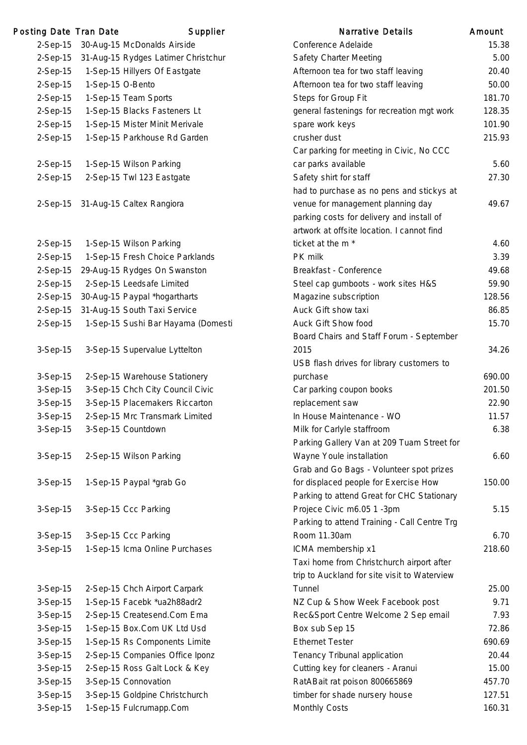| Posting Date Tran Date |                  | Supplier                                              | <b>Narrative Details</b>                                           | Amount       |
|------------------------|------------------|-------------------------------------------------------|--------------------------------------------------------------------|--------------|
| $2-Sep-15$             |                  | 30-Aug-15 McDonalds Airside                           | Conference Adelaide                                                | 15.3         |
| $2-Sep-15$             |                  | 31-Aug-15 Rydges Latimer Christchur                   | Safety Charter Meeting                                             | 5.0          |
| 2-Sep-15               |                  | 1-Sep-15 Hillyers Of Eastgate                         | Afternoon tea for two staff leaving                                | 20.4         |
| $2-Sep-15$             | 1-Sep-15 O-Bento |                                                       | Afternoon tea for two staff leaving                                | 50.0         |
| 2-Sep-15               |                  | 1-Sep-15 Team Sports                                  | Steps for Group Fit                                                | 181.         |
| 2-Sep-15               |                  | 1-Sep-15 Blacks Fasteners Lt                          | general fastenings for recreation mgt work                         | 128.3        |
| $2-Sep-15$             |                  | 1-Sep-15 Mister Minit Merivale                        | spare work keys                                                    | 101.9        |
| 2-Sep-15               |                  | 1-Sep-15 Parkhouse Rd Garden                          | crusher dust                                                       | 215.9        |
|                        |                  |                                                       | Car parking for meeting in Civic, No CCC                           |              |
| $2-Sep-15$             |                  | 1-Sep-15 Wilson Parking                               | car parks available                                                | 5.6          |
| 2-Sep-15               |                  | 2-Sep-15 Twl 123 Eastgate                             | Safety shirt for staff                                             | 27.3         |
|                        |                  |                                                       | had to purchase as no pens and stickys at                          |              |
|                        |                  | 2-Sep-15 31-Aug-15 Caltex Rangiora                    | venue for management planning day                                  | 49.6         |
|                        |                  |                                                       | parking costs for delivery and install of                          |              |
|                        |                  |                                                       | artwork at offsite location. I cannot find                         |              |
| $2-Sep-15$             |                  | 1-Sep-15 Wilson Parking                               | ticket at the m <sup>*</sup>                                       | 4.0          |
| $2-Sep-15$             |                  | 1-Sep-15 Fresh Choice Parklands                       | PK milk                                                            | 3.3          |
| $2-Sep-15$             |                  | 29-Aug-15 Rydges On Swanston                          | Breakfast - Conference                                             | 49.0         |
| 2-Sep-15               |                  | 2-Sep-15 Leedsafe Limited                             | Steel cap gumboots - work sites H&S                                | 59.          |
| $2-Sep-15$             |                  | 30-Aug-15 Paypal *hogartharts                         | Magazine subscription                                              | 128.         |
| 2-Sep-15               |                  | 31-Aug-15 South Taxi Service                          | Auck Gift show taxi                                                | 86.8         |
| 2-Sep-15               |                  | 1-Sep-15 Sushi Bar Hayama (Domesti                    | Auck Gift Show food                                                | 15.          |
|                        |                  |                                                       | Board Chairs and Staff Forum - September                           |              |
| 3-Sep-15               |                  | 3-Sep-15 Supervalue Lyttelton                         | 2015                                                               | 34.2         |
|                        |                  |                                                       | USB flash drives for library customers to                          |              |
| $3-Sep-15$             |                  | 2-Sep-15 Warehouse Stationery                         | purchase                                                           | 690.0        |
| $3-Sep-15$             |                  | 3-Sep-15 Chch City Council Civic                      | Car parking coupon books                                           | 201.         |
| 3-Sep-15               |                  | 3-Sep-15 Placemakers Riccarton                        | replacement saw                                                    | 22.9         |
| 3-Sep-15               |                  | 2-Sep-15 Mrc Transmark Limited                        | In House Maintenance - WO                                          | 11.5         |
| $3-Sep-15$             |                  | 3-Sep-15 Countdown                                    | Milk for Carlyle staffroom                                         | 6.3          |
|                        |                  |                                                       | Parking Gallery Van at 209 Tuam Street for                         |              |
| $3-Sep-15$             |                  | 2-Sep-15 Wilson Parking                               | Wayne Youle installation                                           | 6.0          |
|                        |                  |                                                       | Grab and Go Bags - Volunteer spot prizes                           |              |
| 3-Sep-15               |                  | 1-Sep-15 Paypal *grab Go                              | for displaced people for Exercise How                              | 150.0        |
|                        |                  |                                                       | Parking to attend Great for CHC Stationary                         |              |
| 3-Sep-15               |                  | 3-Sep-15 Ccc Parking                                  | Projece Civic m6.05 1 -3pm                                         | 5.1          |
|                        |                  |                                                       | Parking to attend Training - Call Centre Trg                       |              |
| 3-Sep-15               |                  | 3-Sep-15 Ccc Parking                                  | Room 11.30am                                                       | 6.           |
| 3-Sep-15               |                  | 1-Sep-15 Icma Online Purchases                        | ICMA membership x1                                                 | 218.6        |
|                        |                  |                                                       | Taxi home from Christchurch airport after                          |              |
|                        |                  |                                                       | trip to Auckland for site visit to Waterview                       |              |
| 3-Sep-15               |                  | 2-Sep-15 Chch Airport Carpark                         | Tunnel                                                             | 25.0         |
| 3-Sep-15               |                  | 1-Sep-15 Facebk *ua2h88adr2                           | NZ Cup & Show Week Facebook post                                   | 9.1          |
| 3-Sep-15               |                  | 2-Sep-15 Createsend.Com Ema                           | Rec&Sport Centre Welcome 2 Sep email                               | 7.9          |
| 3-Sep-15               |                  | 1-Sep-15 Box.Com UK Ltd Usd                           | Box sub Sep 15<br><b>Ethernet Tester</b>                           | 72.8         |
| 3-Sep-15               |                  | 1-Sep-15 Rs Components Limite                         |                                                                    | 690.         |
| 3-Sep-15<br>3-Sep-15   |                  | 2-Sep-15 Companies Office Iponz                       | Tenancy Tribunal application                                       | 20.4<br>15.0 |
| 3-Sep-15               |                  | 2-Sep-15 Ross Galt Lock & Key<br>3-Sep-15 Connovation | Cutting key for cleaners - Aranui<br>RatABait rat poison 800665869 | 457.         |
| 3-Sep-15               |                  | 3-Sep-15 Goldpine Christchurch                        | timber for shade nursery house                                     | 127.5        |
| 3-Sep-15               |                  | 1-Sep-15 Fulcrumapp.Com                               | <b>Monthly Costs</b>                                               | 160.3        |
|                        |                  |                                                       |                                                                    |              |

|            | ng Date Tran Date | Supplier                            | <b>Narrative Details</b>                     | Amount |
|------------|-------------------|-------------------------------------|----------------------------------------------|--------|
| 2-Sep-15   |                   | 30-Aug-15 McDonalds Airside         | Conference Adelaide                          | 15.38  |
| 2-Sep-15   |                   | 31-Aug-15 Rydges Latimer Christchur | <b>Safety Charter Meeting</b>                | 5.00   |
| 2-Sep-15   |                   | 1-Sep-15 Hillyers Of Eastgate       | Afternoon tea for two staff leaving          | 20.40  |
| 2-Sep-15   | 1-Sep-15 O-Bento  |                                     | Afternoon tea for two staff leaving          | 50.00  |
| 2-Sep-15   |                   | 1-Sep-15 Team Sports                | Steps for Group Fit                          | 181.70 |
| 2-Sep-15   |                   | 1-Sep-15 Blacks Fasteners Lt        | general fastenings for recreation mgt work   | 128.35 |
| 2-Sep-15   |                   | 1-Sep-15 Mister Minit Merivale      | spare work keys                              | 101.90 |
| 2-Sep-15   |                   | 1-Sep-15 Parkhouse Rd Garden        | crusher dust                                 | 215.93 |
|            |                   |                                     | Car parking for meeting in Civic, No CCC     |        |
| 2-Sep-15   |                   | 1-Sep-15 Wilson Parking             | car parks available                          | 5.60   |
| 2-Sep-15   |                   | 2-Sep-15 Twl 123 Eastgate           | Safety shirt for staff                       | 27.30  |
|            |                   |                                     | had to purchase as no pens and stickys at    |        |
| 2-Sep-15   |                   | 31-Aug-15 Caltex Rangiora           | venue for management planning day            | 49.67  |
|            |                   |                                     | parking costs for delivery and install of    |        |
|            |                   |                                     | artwork at offsite location. I cannot find   |        |
| 2-Sep-15   |                   | 1-Sep-15 Wilson Parking             | ticket at the m <sup>*</sup>                 | 4.60   |
| 2-Sep-15   |                   | 1-Sep-15 Fresh Choice Parklands     | PK milk                                      | 3.39   |
| 2-Sep-15   |                   | 29-Aug-15 Rydges On Swanston        | Breakfast - Conference                       | 49.68  |
| 2-Sep-15   |                   | 2-Sep-15 Leedsafe Limited           | Steel cap gumboots - work sites H&S          | 59.90  |
| 2-Sep-15   |                   | 30-Aug-15 Paypal *hogartharts       | Magazine subscription                        | 128.56 |
| 2-Sep-15   |                   | 31-Aug-15 South Taxi Service        | Auck Gift show taxi                          | 86.85  |
| 2-Sep-15   |                   | 1-Sep-15 Sushi Bar Hayama (Domesti  | Auck Gift Show food                          | 15.70  |
|            |                   |                                     | Board Chairs and Staff Forum - September     |        |
| 3-Sep-15   |                   | 3-Sep-15 Supervalue Lyttelton       | 2015                                         | 34.26  |
|            |                   |                                     | USB flash drives for library customers to    |        |
| 3-Sep-15   |                   | 2-Sep-15 Warehouse Stationery       | purchase                                     | 690.00 |
| 3-Sep-15   |                   | 3-Sep-15 Chch City Council Civic    | Car parking coupon books                     | 201.50 |
| 3-Sep-15   |                   | 3-Sep-15 Placemakers Riccarton      | replacement saw                              | 22.90  |
| 3-Sep-15   |                   | 2-Sep-15 Mrc Transmark Limited      | In House Maintenance - WO                    | 11.57  |
| 3-Sep-15   |                   | 3-Sep-15 Countdown                  | Milk for Carlyle staffroom                   | 6.38   |
|            |                   |                                     | Parking Gallery Van at 209 Tuam Street for   |        |
| 3-Sep-15   |                   | 2-Sep-15 Wilson Parking             | Wayne Youle installation                     | 6.60   |
|            |                   |                                     | Grab and Go Bags - Volunteer spot prizes     |        |
| 3-Sep-15   |                   | 1-Sep-15 Paypal *grab Go            | for displaced people for Exercise How        | 150.00 |
|            |                   |                                     | Parking to attend Great for CHC Stationary   |        |
| 3-Sep-15   |                   | 3-Sep-15 Ccc Parking                | Projece Civic m6.05 1 -3pm                   | 5.15   |
|            |                   |                                     | Parking to attend Training - Call Centre Trg |        |
| 3-Sep-15   |                   | 3-Sep-15 Ccc Parking                | Room 11.30am                                 | 6.70   |
| 3-Sep-15   |                   | 1-Sep-15 Icma Online Purchases      | ICMA membership x1                           | 218.60 |
|            |                   |                                     | Taxi home from Christchurch airport after    |        |
|            |                   |                                     | trip to Auckland for site visit to Waterview |        |
| 3-Sep-15   |                   | 2-Sep-15 Chch Airport Carpark       | Tunnel                                       | 25.00  |
| 3-Sep-15   |                   | 1-Sep-15 Facebk *ua2h88adr2         | NZ Cup & Show Week Facebook post             | 9.71   |
| 3-Sep-15   |                   | 2-Sep-15 Createsend.Com Ema         | Rec&Sport Centre Welcome 2 Sep email         | 7.93   |
| 3-Sep-15   |                   | 1-Sep-15 Box.Com UK Ltd Usd         | Box sub Sep 15                               | 72.86  |
| 3-Sep-15   |                   | 1-Sep-15 Rs Components Limite       | <b>Ethernet Tester</b>                       | 690.69 |
| 3-Sep-15   |                   | 2-Sep-15 Companies Office Iponz     | Tenancy Tribunal application                 | 20.44  |
| 3-Sep-15   |                   | 2-Sep-15 Ross Galt Lock & Key       | Cutting key for cleaners - Aranui            | 15.00  |
| 3-Sep-15   |                   | 3-Sep-15 Connovation                | RatABait rat poison 800665869                | 457.70 |
| 3-Sep-15   |                   | 3-Sep-15 Goldpine Christchurch      | timber for shade nursery house               | 127.51 |
| $3-Sep-15$ |                   | 1-Sep-15 Fulcrumapp.Com             | Monthly Costs                                | 160.31 |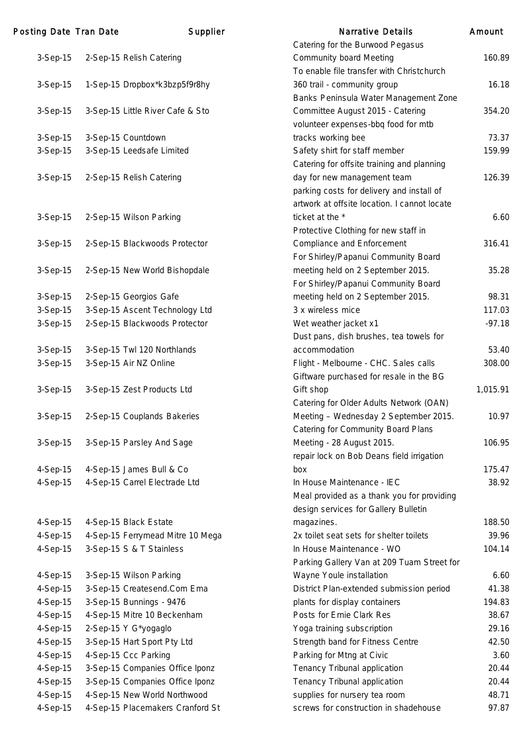| Posting Date Tran Date | Supplier                         | <b>Narrative Details</b>                     | Amount   |
|------------------------|----------------------------------|----------------------------------------------|----------|
|                        |                                  | Catering for the Burwood Pegasus             |          |
| 3-Sep-15               | 2-Sep-15 Relish Catering         | <b>Community board Meeting</b>               | 160.89   |
|                        |                                  | To enable file transfer with Christchurch    |          |
| 3-Sep-15               | 1-Sep-15 Dropbox*k3bzp5f9r8hy    | 360 trail - community group                  | 16.18    |
|                        |                                  | Banks Peninsula Water Management Zone        |          |
| $3-Sep-15$             | 3-Sep-15 Little River Cafe & Sto | Committee August 2015 - Catering             | 354.20   |
|                        |                                  | volunteer expenses-bbq food for mtb          |          |
| $3-Sep-15$             | 3-Sep-15 Countdown               | tracks working bee                           | 73.37    |
| 3-Sep-15               | 3-Sep-15 Leedsafe Limited        | Safety shirt for staff member                | 159.99   |
|                        |                                  | Catering for offsite training and planning   |          |
| 3-Sep-15               | 2-Sep-15 Relish Catering         | day for new management team                  | 126.39   |
|                        |                                  | parking costs for delivery and install of    |          |
|                        |                                  | artwork at offsite location. I cannot locate |          |
| 3-Sep-15               | 2-Sep-15 Wilson Parking          | ticket at the *                              | 6.60     |
|                        |                                  | Protective Clothing for new staff in         |          |
| 3-Sep-15               | 2-Sep-15 Blackwoods Protector    | <b>Compliance and Enforcement</b>            | 316.41   |
|                        |                                  | For Shirley/Papanui Community Board          |          |
| 3-Sep-15               | 2-Sep-15 New World Bishopdale    | meeting held on 2 September 2015.            | 35.28    |
|                        |                                  | For Shirley/Papanui Community Board          |          |
| $3-Sep-15$             | 2-Sep-15 Georgios Gafe           | meeting held on 2 September 2015.            | 98.31    |
| 3-Sep-15               | 3-Sep-15 Ascent Technology Ltd   | 3 x wireless mice                            | 117.03   |
| $3-Sep-15$             | 2-Sep-15 Blackwoods Protector    | Wet weather jacket x1                        | $-97.18$ |
|                        |                                  | Dust pans, dish brushes, tea towels for      |          |
| 3-Sep-15               | 3-Sep-15 Twl 120 Northlands      | accommodation                                | 53.40    |
| 3-Sep-15               | 3-Sep-15 Air NZ Online           | Flight - Melbourne - CHC. Sales calls        | 308.00   |
|                        |                                  | Giftware purchased for resale in the BG      |          |
| 3-Sep-15               | 3-Sep-15 Zest Products Ltd       | Gift shop                                    | 1,015.91 |
|                        |                                  | Catering for Older Adults Network (OAN)      |          |
| 3-Sep-15               | 2-Sep-15 Couplands Bakeries      | Meeting - Wednesday 2 September 2015.        | 10.97    |
|                        |                                  | <b>Catering for Community Board Plans</b>    |          |
| 3-Sep-15               | 3-Sep-15 Parsley And Sage        | Meeting - 28 August 2015.                    | 106.95   |
|                        |                                  | repair lock on Bob Deans field irrigation    |          |
| 4-Sep-15               | 4-Sep-15 James Bull & Co         | box                                          | 175.47   |
| 4-Sep-15               | 4-Sep-15 Carrel Electrade Ltd    | In House Maintenance - IEC                   | 38.92    |
|                        |                                  | Meal provided as a thank you for providing   |          |
|                        |                                  | design services for Gallery Bulletin         |          |
| 4-Sep-15               | 4-Sep-15 Black Estate            | magazines.                                   | 188.50   |
| 4-Sep-15               | 4-Sep-15 Ferrymead Mitre 10 Mega | 2x toilet seat sets for shelter toilets      | 39.96    |
| 4-Sep-15               | 3-Sep-15 S & T Stainless         | In House Maintenance - WO                    | 104.14   |
|                        |                                  | Parking Gallery Van at 209 Tuam Street for   |          |
| 4-Sep-15               | 3-Sep-15 Wilson Parking          | Wayne Youle installation                     | 6.60     |
| 4-Sep-15               | 3-Sep-15 Createsend.Com Ema      | District Plan-extended submission period     | 41.38    |
| 4-Sep-15               | 3-Sep-15 Bunnings - 9476         | plants for display containers                | 194.83   |
| 4-Sep-15               | 4-Sep-15 Mitre 10 Beckenham      | Posts for Ernie Clark Res                    | 38.67    |
| 4-Sep-15               | 2-Sep-15 Y G*yogaglo             | Yoga training subscription                   | 29.16    |
| 4-Sep-15               | 3-Sep-15 Hart Sport Pty Ltd      | Strength band for Fitness Centre             | 42.50    |
| 4-Sep-15               | 4-Sep-15 Ccc Parking             | Parking for Mtng at Civic                    | 3.60     |
| 4-Sep-15               | 3-Sep-15 Companies Office Iponz  | Tenancy Tribunal application                 | 20.44    |
| 4-Sep-15               | 3-Sep-15 Companies Office Iponz  | Tenancy Tribunal application                 | 20.44    |
| 4-Sep-15               | 4-Sep-15 New World Northwood     | supplies for nursery tea room                | 48.71    |
| 4-Sep-15               | 4-Sep-15 Placemakers Cranford St | screws for construction in shadehouse        | 97.87    |
|                        |                                  |                                              |          |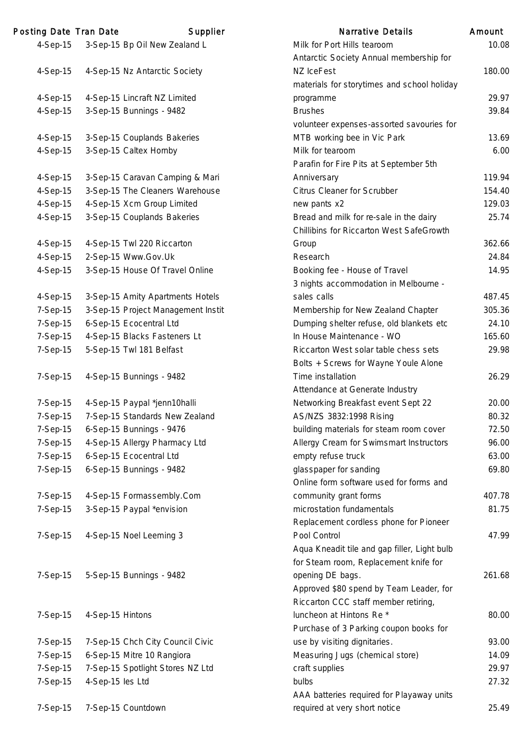| Posting Date Tran Date |                  | Supplier                           | <b>Narrative Details</b>                     | Amount |
|------------------------|------------------|------------------------------------|----------------------------------------------|--------|
| $4-Sep-15$             |                  | 3-Sep-15 Bp Oil New Zealand L      | Milk for Port Hills tearoom                  | 10.0   |
|                        |                  |                                    | Antarctic Society Annual membership for      |        |
| 4-Sep-15               |                  | 4-Sep-15 Nz Antarctic Society      | NZ IceFest                                   | 180.0  |
|                        |                  |                                    | materials for storytimes and school holiday  |        |
| 4-Sep-15               |                  | 4-Sep-15 Lincraft NZ Limited       | programme                                    | 29.9   |
| 4-Sep-15               |                  | 3-Sep-15 Bunnings - 9482           | <b>Brushes</b>                               | 39.8   |
|                        |                  |                                    | volunteer expenses-assorted savouries for    |        |
| 4-Sep-15               |                  | 3-Sep-15 Couplands Bakeries        | MTB working bee in Vic Park                  | 13.6   |
| 4-Sep-15               |                  | 3-Sep-15 Caltex Hornby             | Milk for tearoom                             | 6.0    |
|                        |                  |                                    | Parafin for Fire Pits at September 5th       |        |
| 4-Sep-15               |                  | 3-Sep-15 Caravan Camping & Mari    | Anniversary                                  | 119.   |
| 4-Sep-15               |                  | 3-Sep-15 The Cleaners Warehouse    | <b>Citrus Cleaner for Scrubber</b>           | 154.4  |
| 4-Sep-15               |                  | 4-Sep-15 Xcm Group Limited         | new pants x2                                 | 129.0  |
| 4-Sep-15               |                  | 3-Sep-15 Couplands Bakeries        | Bread and milk for re-sale in the dairy      | 25.    |
|                        |                  |                                    | Chillibins for Riccarton West SafeGrowth     |        |
| 4-Sep-15               |                  | 4-Sep-15 Twl 220 Riccarton         | Group                                        | 362.0  |
| 4-Sep-15               |                  | 2-Sep-15 Www.Gov.Uk                | Research                                     | 24.8   |
| $4-Sep-15$             |                  | 3-Sep-15 House Of Travel Online    | Booking fee - House of Travel                | 14.9   |
|                        |                  |                                    | 3 nights accommodation in Melbourne -        |        |
| 4-Sep-15               |                  | 3-Sep-15 Amity Apartments Hotels   | sales calls                                  | 487.   |
| 7-Sep-15               |                  | 3-Sep-15 Project Management Instit | Membership for New Zealand Chapter           | 305.3  |
| 7-Sep-15               |                  | 6-Sep-15 Ecocentral Ltd            | Dumping shelter refuse, old blankets etc     | 24.7   |
| 7-Sep-15               |                  | 4-Sep-15 Blacks Fasteners Lt       | In House Maintenance - WO                    | 165.6  |
| 7-Sep-15               |                  | 5-Sep-15 Twl 181 Belfast           | Riccarton West solar table chess sets        | 29.9   |
|                        |                  |                                    | Bolts + Screws for Wayne Youle Alone         |        |
| 7-Sep-15               |                  | 4-Sep-15 Bunnings - 9482           | Time installation                            | 26.2   |
|                        |                  |                                    | Attendance at Generate Industry              |        |
| 7-Sep-15               |                  | 4-Sep-15 Paypal *jenn10halli       | Networking Breakfast event Sept 22           | 20.0   |
| 7-Sep-15               |                  | 7-Sep-15 Standards New Zealand     | AS/NZS 3832:1998 Rising                      | 80.3   |
| 7-Sep-15               |                  | 6-Sep-15 Bunnings - 9476           | building materials for steam room cover      | 72.5   |
| 7-Sep-15               |                  | 4-Sep-15 Allergy Pharmacy Ltd      | Allergy Cream for Swimsmart Instructors      | 96.    |
| 7-Sep-15               |                  | 6-Sep-15 Ecocentral Ltd            | empty refuse truck                           | 63.0   |
| 7-Sep-15               |                  | 6-Sep-15 Bunnings - 9482           | glasspaper for sanding                       | 69.8   |
|                        |                  |                                    | Online form software used for forms and      |        |
| 7-Sep-15               |                  | 4-Sep-15 Formassembly.Com          | community grant forms                        | 407.   |
| 7-Sep-15               |                  | 3-Sep-15 Paypal *envision          | microstation fundamentals                    | 81.    |
|                        |                  |                                    | Replacement cordless phone for Pioneer       |        |
| 7-Sep-15               |                  | 4-Sep-15 Noel Leeming 3            | Pool Control                                 | 47.9   |
|                        |                  |                                    | Aqua Kneadit tile and gap filler, Light bulb |        |
|                        |                  |                                    | for Steam room, Replacement knife for        |        |
| 7-Sep-15               |                  | 5-Sep-15 Bunnings - 9482           | opening DE bags.                             | 261.6  |
|                        |                  |                                    | Approved \$80 spend by Team Leader, for      |        |
|                        |                  |                                    | Riccarton CCC staff member retiring,         |        |
| 7-Sep-15               | 4-Sep-15 Hintons |                                    | luncheon at Hintons Re*                      | 80.0   |
|                        |                  |                                    | Purchase of 3 Parking coupon books for       |        |
| 7-Sep-15               |                  | 7-Sep-15 Chch City Council Civic   | use by visiting dignitaries.                 | 93.0   |
| 7-Sep-15               |                  | 6-Sep-15 Mitre 10 Rangiora         | Measuring Jugs (chemical store)              | 14.0   |
| 7-Sep-15               |                  | 7-Sep-15 Spotlight Stores NZ Ltd   | craft supplies                               | 29.9   |
| 7-Sep-15               | 4-Sep-15 les Ltd |                                    | bulbs                                        | 27.3   |
|                        |                  |                                    | AAA batteries required for Playaway units    |        |
| 7-Sep-15               |                  | 7-Sep-15 Countdown                 | required at very short notice                | 25.4   |

|          | ng Date Tran Date | Supplier                           | Narrative Details                                                      | Amount |
|----------|-------------------|------------------------------------|------------------------------------------------------------------------|--------|
| 4-Sep-15 |                   | 3-Sep-15 Bp Oil New Zealand L      | Milk for Port Hills tearoom                                            | 10.08  |
|          |                   |                                    | Antarctic Society Annual membership for                                |        |
| 4-Sep-15 |                   | 4-Sep-15 Nz Antarctic Society      | NZ IceFest                                                             | 180.00 |
|          |                   |                                    | materials for storytimes and school holiday                            |        |
| 4-Sep-15 |                   | 4-Sep-15 Lincraft NZ Limited       | programme                                                              | 29.97  |
| 4-Sep-15 |                   | 3-Sep-15 Bunnings - 9482           | <b>Brushes</b>                                                         | 39.84  |
|          |                   |                                    | volunteer expenses-assorted savouries for                              |        |
| 4-Sep-15 |                   | 3-Sep-15 Couplands Bakeries        | MTB working bee in Vic Park                                            | 13.69  |
| 4-Sep-15 |                   | 3-Sep-15 Caltex Hornby             | Milk for tearoom                                                       | 6.00   |
|          |                   |                                    | Parafin for Fire Pits at September 5th                                 |        |
| 4-Sep-15 |                   | 3-Sep-15 Caravan Camping & Mari    | Anniversary                                                            | 119.94 |
| 4-Sep-15 |                   | 3-Sep-15 The Cleaners Warehouse    | Citrus Cleaner for Scrubber                                            | 154.40 |
| 4-Sep-15 |                   | 4-Sep-15 Xcm Group Limited         | new pants x2                                                           | 129.03 |
| 4-Sep-15 |                   | 3-Sep-15 Couplands Bakeries        | Bread and milk for re-sale in the dairy                                | 25.74  |
|          |                   |                                    | Chillibins for Riccarton West SafeGrowth                               |        |
| 4-Sep-15 |                   | 4-Sep-15 Twl 220 Riccarton         | Group                                                                  | 362.66 |
| 4-Sep-15 |                   | 2-Sep-15 Www.Gov.Uk                | Research                                                               | 24.84  |
| 4-Sep-15 |                   | 3-Sep-15 House Of Travel Online    | Booking fee - House of Travel                                          | 14.95  |
|          |                   |                                    | 3 nights accommodation in Melbourne -                                  |        |
| 4-Sep-15 |                   | 3-Sep-15 Amity Apartments Hotels   | sales calls                                                            | 487.45 |
| 7-Sep-15 |                   | 3-Sep-15 Project Management Instit | Membership for New Zealand Chapter                                     | 305.36 |
| 7-Sep-15 |                   | 6-Sep-15 Ecocentral Ltd            | Dumping shelter refuse, old blankets etc                               | 24.10  |
| 7-Sep-15 |                   | 4-Sep-15 Blacks Fasteners Lt       | In House Maintenance - WO                                              | 165.60 |
| 7-Sep-15 |                   | 5-Sep-15 Twl 181 Belfast           | Riccarton West solar table chess sets                                  | 29.98  |
|          |                   |                                    | Bolts + Screws for Wayne Youle Alone                                   |        |
| 7-Sep-15 |                   | 4-Sep-15 Bunnings - 9482           | Time installation                                                      | 26.29  |
|          |                   |                                    | Attendance at Generate Industry                                        |        |
| 7-Sep-15 |                   | 4-Sep-15 Paypal *jenn10halli       | Networking Breakfast event Sept 22                                     | 20.00  |
| 7-Sep-15 |                   | 7-Sep-15 Standards New Zealand     | AS/NZS 3832:1998 Rising                                                | 80.32  |
| 7-Sep-15 |                   | 6-Sep-15 Bunnings - 9476           | building materials for steam room cover                                | 72.50  |
| 7-Sep-15 |                   | 4-Sep-15 Allergy Pharmacy Ltd      | Allergy Cream for Swimsmart Instructors                                | 96.00  |
| 7-Sep-15 |                   | 6-Sep-15 Ecocentral Ltd            | empty refuse truck                                                     | 63.00  |
| 7-Sep-15 |                   | 6-Sep-15 Bunnings - 9482           | glasspaper for sanding                                                 | 69.80  |
|          |                   |                                    | Online form software used for forms and                                |        |
| 7-Sep-15 |                   | 4-Sep-15 Formassembly.Com          | community grant forms                                                  | 407.78 |
| 7-Sep-15 |                   | 3-Sep-15 Paypal *envision          | microstation fundamentals                                              | 81.75  |
|          |                   |                                    | Replacement cordless phone for Pioneer                                 |        |
| 7-Sep-15 |                   | 4-Sep-15 Noel Leeming 3            | Pool Control                                                           | 47.99  |
|          |                   |                                    | Aqua Kneadit tile and gap filler, Light bulb                           |        |
|          |                   |                                    | for Steam room, Replacement knife for                                  |        |
| 7-Sep-15 |                   | 5-Sep-15 Bunnings - 9482           |                                                                        | 261.68 |
|          |                   |                                    | opening DE bags.                                                       |        |
|          |                   |                                    | Approved \$80 spend by Team Leader, for                                |        |
|          |                   |                                    | Riccarton CCC staff member retiring,                                   |        |
| 7-Sep-15 | 4-Sep-15 Hintons  |                                    | luncheon at Hintons Re*                                                | 80.00  |
| 7-Sep-15 |                   | 7-Sep-15 Chch City Council Civic   | Purchase of 3 Parking coupon books for<br>use by visiting dignitaries. | 93.00  |
| 7-Sep-15 |                   | 6-Sep-15 Mitre 10 Rangiora         | Measuring Jugs (chemical store)                                        | 14.09  |
|          |                   | 7-Sep-15 Spotlight Stores NZ Ltd   | craft supplies                                                         | 29.97  |
| 7-Sep-15 | 4-Sep-15 les Ltd  |                                    | bulbs                                                                  | 27.32  |
| 7-Sep-15 |                   |                                    |                                                                        |        |
|          |                   |                                    | AAA batteries required for Playaway units                              |        |
| 7-Sep-15 |                   | 7-Sep-15 Countdown                 | required at very short notice                                          | 25.49  |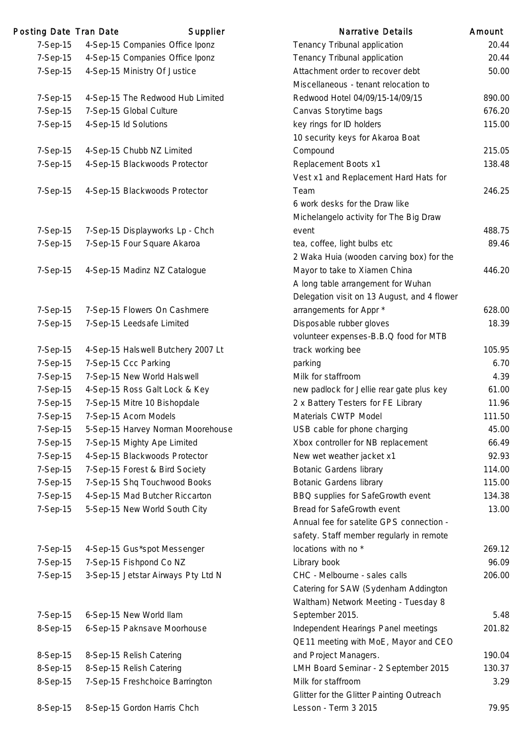| Posting Date Tran Date | Supplier                           | <b>Narrative Details</b>                    | Amount |
|------------------------|------------------------------------|---------------------------------------------|--------|
| 7-Sep-15               | 4-Sep-15 Companies Office Iponz    | Tenancy Tribunal application                | 20.44  |
| 7-Sep-15               | 4-Sep-15 Companies Office Iponz    | Tenancy Tribunal application                | 20.44  |
| 7-Sep-15               | 4-Sep-15 Ministry Of Justice       | Attachment order to recover debt            | 50.00  |
|                        |                                    | Miscellaneous - tenant relocation to        |        |
| 7-Sep-15               | 4-Sep-15 The Redwood Hub Limited   | Redwood Hotel 04/09/15-14/09/15             | 890.00 |
| 7-Sep-15               | 7-Sep-15 Global Culture            | Canvas Storytime bags                       | 676.20 |
| 7-Sep-15               | 4-Sep-15 ld Solutions              | key rings for ID holders                    | 115.00 |
|                        |                                    | 10 security keys for Akaroa Boat            |        |
| 7-Sep-15               | 4-Sep-15 Chubb NZ Limited          | Compound                                    | 215.05 |
| 7-Sep-15               | 4-Sep-15 Blackwoods Protector      | Replacement Boots x1                        | 138.48 |
|                        |                                    | Vest x1 and Replacement Hard Hats for       |        |
| 7-Sep-15               | 4-Sep-15 Blackwoods Protector      | Team                                        | 246.25 |
|                        |                                    | 6 work desks for the Draw like              |        |
|                        |                                    | Michelangelo activity for The Big Draw      |        |
| 7-Sep-15               | 7-Sep-15 Displayworks Lp - Chch    | event                                       | 488.75 |
| 7-Sep-15               | 7-Sep-15 Four Square Akaroa        | tea, coffee, light bulbs etc                | 89.46  |
|                        |                                    | 2 Waka Huia (wooden carving box) for the    |        |
| 7-Sep-15               | 4-Sep-15 Madinz NZ Catalogue       | Mayor to take to Xiamen China               | 446.20 |
|                        |                                    | A long table arrangement for Wuhan          |        |
|                        |                                    | Delegation visit on 13 August, and 4 flower |        |
| 7-Sep-15               | 7-Sep-15 Flowers On Cashmere       | arrangements for Appr *                     | 628.00 |
| 7-Sep-15               | 7-Sep-15 Leedsafe Limited          | Disposable rubber gloves                    | 18.39  |
|                        |                                    | volunteer expenses-B.B.Q food for MTB       |        |
| 7-Sep-15               | 4-Sep-15 Halswell Butchery 2007 Lt | track working bee                           | 105.95 |
| 7-Sep-15               | 7-Sep-15 Ccc Parking               | parking                                     | 6.70   |
| 7-Sep-15               | 7-Sep-15 New World Halswell        | Milk for staffroom                          | 4.39   |
| 7-Sep-15               | 4-Sep-15 Ross Galt Lock & Key      | new padlock for Jellie rear gate plus key   | 61.00  |
| 7-Sep-15               | 7-Sep-15 Mitre 10 Bishopdale       | 2 x Battery Testers for FE Library          | 11.96  |
| 7-Sep-15               | 7-Sep-15 Acorn Models              | Materials CWTP Model                        | 111.50 |
| 7-Sep-15               | 5-Sep-15 Harvey Norman Moorehouse  | USB cable for phone charging                | 45.00  |
| 7-Sep-15               | 7-Sep-15 Mighty Ape Limited        | Xbox controller for NB replacement          | 66.49  |
| 7-Sep-15               | 4-Sep-15 Blackwoods Protector      | New wet weather jacket x1                   | 92.93  |
| 7-Sep-15               | 7-Sep-15 Forest & Bird Society     | <b>Botanic Gardens library</b>              | 114.00 |
| 7-Sep-15               | 7-Sep-15 Shq Touchwood Books       | <b>Botanic Gardens library</b>              | 115.00 |
| 7-Sep-15               | 4-Sep-15 Mad Butcher Riccarton     | BBQ supplies for SafeGrowth event           | 134.38 |
| 7-Sep-15               | 5-Sep-15 New World South City      | Bread for SafeGrowth event                  | 13.00  |
|                        |                                    | Annual fee for satelite GPS connection -    |        |
|                        |                                    | safety. Staff member regularly in remote    |        |
| 7-Sep-15               | 4-Sep-15 Gus*spot Messenger        | locations with no *                         | 269.12 |
| 7-Sep-15               | 7-Sep-15 Fishpond Co NZ            | Library book                                | 96.09  |
| 7-Sep-15               | 3-Sep-15 Jetstar Airways Pty Ltd N | CHC - Melbourne - sales calls               | 206.00 |
|                        |                                    | Catering for SAW (Sydenham Addington        |        |
|                        |                                    | Waltham) Network Meeting - Tuesday 8        |        |
| 7-Sep-15               | 6-Sep-15 New World Ilam            | September 2015.                             | 5.48   |
| 8-Sep-15               | 6-Sep-15 Paknsave Moorhouse        | Independent Hearings Panel meetings         | 201.82 |
|                        |                                    | QE11 meeting with MoE, Mayor and CEO        |        |
| 8-Sep-15               | 8-Sep-15 Relish Catering           | and Project Managers.                       | 190.04 |
| 8-Sep-15               | 8-Sep-15 Relish Catering           | LMH Board Seminar - 2 September 2015        | 130.37 |
| 8-Sep-15               | 7-Sep-15 Freshchoice Barrington    | Milk for staffroom                          | 3.29   |
|                        |                                    | Glitter for the Glitter Painting Outreach   |        |
| 8-Sep-15               | 8-Sep-15 Gordon Harris Chch        | Lesson - Term 3 2015                        | 79.95  |
|                        |                                    |                                             |        |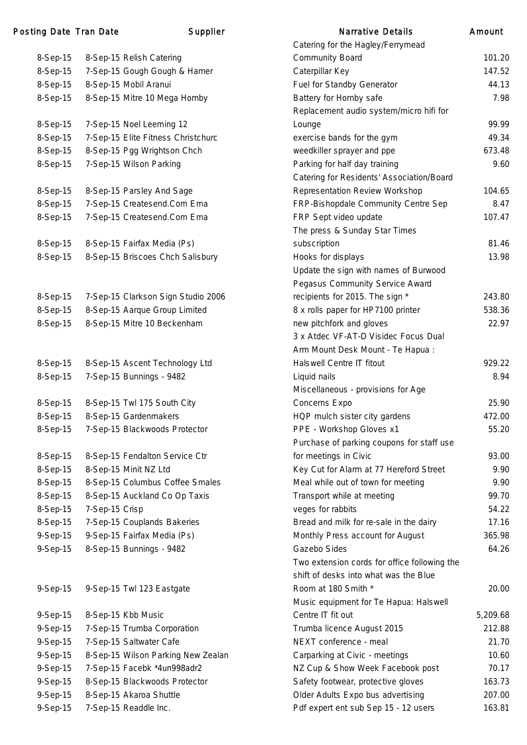### Posting Date Tran Date **Supplier** Supplier Narrative Detail

| 8-Sep-15 |                | 8-Sep-15 Relish Catering           |  |
|----------|----------------|------------------------------------|--|
| 8-Sep-15 |                | 7-Sep-15 Gough Gough & Hamer       |  |
| 8-Sep-15 |                | 8-Sep-15 Mobil Aranui              |  |
| 8-Sep-15 |                | 8-Sep-15 Mitre 10 Mega Hornby      |  |
|          |                |                                    |  |
| 8-Sep-15 |                | 7-Sep-15 Noel Leeming 12           |  |
| 8-Sep-15 |                | 7-Sep-15 Elite Fitness Christchurc |  |
| 8-Sep-15 |                | 8-Sep-15 Pgg Wrightson Chch        |  |
| 8-Sep-15 |                | 7-Sep-15 Wilson Parking            |  |
|          |                |                                    |  |
| 8-Sep-15 |                | 8-Sep-15 Parsley And Sage          |  |
| 8-Sep-15 |                | 7-Sep-15 Createsend.Com Ema        |  |
| 8-Sep-15 |                | 7-Sep-15 Createsend.Com Ema        |  |
|          |                |                                    |  |
| 8-Sep-15 |                | 8-Sep-15 Fairfax Media (Ps)        |  |
| 8-Sep-15 |                | 8-Sep-15 Briscoes Chch Salisbury   |  |
|          |                |                                    |  |
|          |                |                                    |  |
| 8-Sep-15 |                | 7-Sep-15 Clarkson Sign Studio 2006 |  |
| 8-Sep-15 |                | 8-Sep-15 Aarque Group Limited      |  |
| 8-Sep-15 |                | 8-Sep-15 Mitre 10 Beckenham        |  |
|          |                |                                    |  |
|          |                |                                    |  |
| 8-Sep-15 |                | 8-Sep-15 Ascent Technology Ltd     |  |
| 8-Sep-15 |                | 7-Sep-15 Bunnings - 9482           |  |
|          |                |                                    |  |
| 8-Sep-15 |                | 8-Sep-15 Twl 175 South City        |  |
| 8-Sep-15 |                | 8-Sep-15 Gardenmakers              |  |
| 8-Sep-15 |                | 7-Sep-15 Blackwoods Protector      |  |
|          |                |                                    |  |
| 8-Sep-15 |                | 8-Sep-15 Fendalton Service Ctr     |  |
| 8-Sep-15 |                | 8-Sep-15 Minit NZ Ltd              |  |
| 8-Sep-15 |                | 8-Sep-15 Columbus Coffee Smales    |  |
| 8-Sep-15 |                | 8-Sep-15 Auckland Co Op Taxis      |  |
| 8-Sep-15 | 7-Sep-15 Crisp |                                    |  |
| 8-Sep-15 |                | 7-Sep-15 Couplands Bakeries        |  |
| 9-Sep-15 |                | 9-Sep-15 Fairfax Media (Ps)        |  |
| 9-Sep-15 |                | 8-Sep-15 Bunnings - 9482           |  |
|          |                |                                    |  |
|          |                |                                    |  |
| 9-Sep-15 |                | 9-Sep-15 Twl 123 Eastgate          |  |
|          |                |                                    |  |
| 9-Sep-15 |                | 8-Sep-15 Kbb Music                 |  |
| 9-Sep-15 |                | 7-Sep-15 Trumba Corporation        |  |
| 9-Sep-15 |                | 7-Sep-15 Saltwater Cafe            |  |
| 9-Sep-15 |                | 8-Sep-15 Wilson Parking New Zealan |  |
| 9-Sep-15 |                | 7-Sep-15 Facebk *4un998adr2        |  |
| 9-Sep-15 |                | 8-Sep-15 Blackwoods Protector      |  |
| 9-Sep-15 |                | 8-Sep-15 Akaroa Shuttle            |  |

|          | ng Date Tran Date | Supplier                           | Narrative Details                            | Amount   |
|----------|-------------------|------------------------------------|----------------------------------------------|----------|
|          |                   |                                    | Catering for the Hagley/Ferrymead            |          |
| 8-Sep-15 |                   | 8-Sep-15 Relish Catering           | <b>Community Board</b>                       | 101.20   |
| 8-Sep-15 |                   | 7-Sep-15 Gough Gough & Hamer       | Caterpillar Key                              | 147.52   |
| 8-Sep-15 |                   | 8-Sep-15 Mobil Aranui              | Fuel for Standby Generator                   | 44.13    |
| 8-Sep-15 |                   | 8-Sep-15 Mitre 10 Mega Hornby      | Battery for Hornby safe                      | 7.98     |
|          |                   |                                    | Replacement audio system/micro hifi for      |          |
| 8-Sep-15 |                   | 7-Sep-15 Noel Leeming 12           | Lounge                                       | 99.99    |
| 8-Sep-15 |                   | 7-Sep-15 Elite Fitness Christchurc | exercise bands for the gym                   | 49.34    |
| 8-Sep-15 |                   | 8-Sep-15 Pgg Wrightson Chch        | weedkiller sprayer and ppe                   | 673.48   |
| 8-Sep-15 |                   | 7-Sep-15 Wilson Parking            | Parking for half day training                | 9.60     |
|          |                   |                                    | Catering for Residents' Association/Board    |          |
| 8-Sep-15 |                   | 8-Sep-15 Parsley And Sage          | <b>Representation Review Workshop</b>        | 104.65   |
| 8-Sep-15 |                   | 7-Sep-15 Createsend.Com Ema        | FRP-Bishopdale Community Centre Sep          | 8.47     |
| 8-Sep-15 |                   | 7-Sep-15 Createsend.Com Ema        | FRP Sept video update                        | 107.47   |
|          |                   |                                    | The press & Sunday Star Times                |          |
| 8-Sep-15 |                   | 8-Sep-15 Fairfax Media (Ps)        | subscription                                 | 81.46    |
| 8-Sep-15 |                   | 8-Sep-15 Briscoes Chch Salisbury   | Hooks for displays                           | 13.98    |
|          |                   |                                    | Update the sign with names of Burwood        |          |
|          |                   |                                    | Pegasus Community Service Award              |          |
| 8-Sep-15 |                   | 7-Sep-15 Clarkson Sign Studio 2006 | recipients for 2015. The sign *              | 243.80   |
| 8-Sep-15 |                   | 8-Sep-15 Aarque Group Limited      | 8 x rolls paper for HP7100 printer           | 538.36   |
| 8-Sep-15 |                   | 8-Sep-15 Mitre 10 Beckenham        | new pitchfork and gloves                     | 22.97    |
|          |                   |                                    | 3 x Atdec VF-AT-D Visidec Focus Dual         |          |
|          |                   |                                    | Arm Mount Desk Mount - Te Hapua:             |          |
| 8-Sep-15 |                   | 8-Sep-15 Ascent Technology Ltd     | Halswell Centre IT fitout                    | 929.22   |
| 8-Sep-15 |                   | 7-Sep-15 Bunnings - 9482           | Liquid nails                                 | 8.94     |
|          |                   |                                    | Miscellaneous - provisions for Age           |          |
| 8-Sep-15 |                   | 8-Sep-15 Twl 175 South City        | Concerns Expo                                | 25.90    |
| 8-Sep-15 |                   | 8-Sep-15 Gardenmakers              | HQP mulch sister city gardens                | 472.00   |
| 8-Sep-15 |                   | 7-Sep-15 Blackwoods Protector      | PPE - Workshop Gloves x1                     | 55.20    |
|          |                   |                                    | Purchase of parking coupons for staff use    |          |
| 8-Sep-15 |                   | 8-Sep-15 Fendalton Service Ctr     | for meetings in Civic                        | 93.00    |
| 8-Sep-15 |                   | 8-Sep-15 Minit NZ Ltd              | Key Cut for Alarm at 77 Hereford Street      | 9.90     |
| 8-Sep-15 |                   | 8-Sep-15 Columbus Coffee Smales    | Meal while out of town for meeting           | 9.90     |
| 8-Sep-15 |                   | 8-Sep-15 Auckland Co Op Taxis      | Transport while at meeting                   | 99.70    |
| 8-Sep-15 | 7-Sep-15 Crisp    |                                    | veges for rabbits                            | 54.22    |
| 8-Sep-15 |                   | 7-Sep-15 Couplands Bakeries        | Bread and milk for re-sale in the dairy      | 17.16    |
| 9-Sep-15 |                   | 9-Sep-15 Fairfax Media (Ps)        | Monthly Press account for August             | 365.98   |
| 9-Sep-15 |                   | 8-Sep-15 Bunnings - 9482           | Gazebo Sides                                 | 64.26    |
|          |                   |                                    | Two extension cords for office following the |          |
|          |                   |                                    | shift of desks into what was the Blue        |          |
| 9-Sep-15 |                   | 9-Sep-15 Twl 123 Eastgate          | Room at 180 Smith *                          | 20.00    |
|          |                   |                                    | Music equipment for Te Hapua: Halswell       |          |
| 9-Sep-15 |                   | 8-Sep-15 Kbb Music                 | Centre IT fit out                            | 5,209.68 |
| 9-Sep-15 |                   | 7-Sep-15 Trumba Corporation        | Trumba licence August 2015                   | 212.88   |
| 9-Sep-15 |                   | 7-Sep-15 Saltwater Cafe            | NEXT conference - meal                       | 21.70    |
| 9-Sep-15 |                   | 8-Sep-15 Wilson Parking New Zealan | Carparking at Civic - meetings               | 10.60    |
| 9-Sep-15 |                   | 7-Sep-15 Facebk *4un998adr2        | NZ Cup & Show Week Facebook post             | 70.17    |
| 9-Sep-15 |                   | 8-Sep-15 Blackwoods Protector      | Safety footwear, protective gloves           | 163.73   |
| 9-Sep-15 |                   | 8-Sep-15 Akaroa Shuttle            | Older Adults Expo bus advertising            | 207.00   |
| 9-Sep-15 |                   | 7-Sep-15 Readdle Inc.              | Pdf expert ent sub Sep 15 - 12 users         | 163.81   |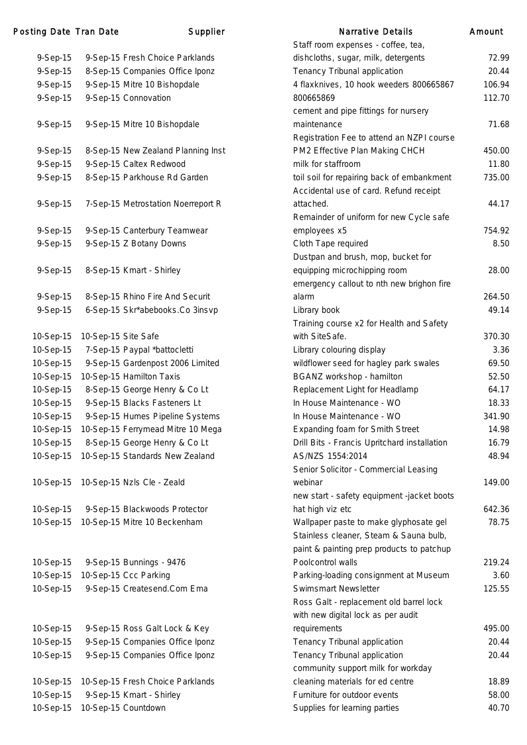### Posting Date Tran Date **Supplier** Supplier Narrative Details Amount

|           |                                    | Stall Tublit experises - Curree, tea,        |        |
|-----------|------------------------------------|----------------------------------------------|--------|
| 9-Sep-15  | 9-Sep-15 Fresh Choice Parklands    | dishcloths, sugar, milk, detergents          | 72.99  |
| 9-Sep-15  | 8-Sep-15 Companies Office Iponz    | Tenancy Tribunal application                 | 20.44  |
| 9-Sep-15  | 9-Sep-15 Mitre 10 Bishopdale       | 4 flaxknives, 10 hook weeders 800665867      | 106.94 |
| 9-Sep-15  | 9-Sep-15 Connovation               | 800665869                                    | 112.70 |
|           |                                    | cement and pipe fittings for nursery         |        |
| 9-Sep-15  | 9-Sep-15 Mitre 10 Bishopdale       | maintenance                                  | 71.68  |
|           |                                    | Registration Fee to attend an NZPI course    |        |
| 9-Sep-15  | 8-Sep-15 New Zealand Planning Inst | PM2 Effective Plan Making CHCH               | 450.00 |
| 9-Sep-15  | 9-Sep-15 Caltex Redwood            | milk for staffroom                           | 11.80  |
| 9-Sep-15  | 8-Sep-15 Parkhouse Rd Garden       | toil soil for repairing back of embankment   | 735.00 |
|           |                                    | Accidental use of card. Refund receipt       |        |
| 9-Sep-15  | 7-Sep-15 Metrostation Noerreport R | attached.                                    | 44.17  |
|           |                                    | Remainder of uniform for new Cycle safe      |        |
| 9-Sep-15  | 9-Sep-15 Canterbury Teamwear       | employees x5                                 | 754.92 |
| 9-Sep-15  | 9-Sep-15 Z Botany Downs            | Cloth Tape required                          | 8.50   |
|           |                                    | Dustpan and brush, mop, bucket for           |        |
| 9-Sep-15  | 8-Sep-15 Kmart - Shirley           | equipping microchipping room                 | 28.00  |
|           |                                    | emergency callout to nth new brighon fire    |        |
| 9-Sep-15  | 8-Sep-15 Rhino Fire And Securit    | alarm                                        | 264.50 |
| 9-Sep-15  | 6-Sep-15 Skr*abebooks.Co 3insvp    | Library book                                 | 49.14  |
|           |                                    | Training course x2 for Health and Safety     |        |
| 10-Sep-15 | 10-Sep-15 Site Safe                | with SiteSafe.                               | 370.30 |
| 10-Sep-15 | 7-Sep-15 Paypal *battocletti       | Library colouring display                    | 3.36   |
| 10-Sep-15 | 9-Sep-15 Gardenpost 2006 Limited   | wildflower seed for hagley park swales       | 69.50  |
| 10-Sep-15 | 10-Sep-15 Hamilton Taxis           | BGANZ workshop - hamilton                    | 52.50  |
| 10-Sep-15 | 8-Sep-15 George Henry & Co Lt      | Replacement Light for Headlamp               | 64.17  |
| 10-Sep-15 | 9-Sep-15 Blacks Fasteners Lt       | In House Maintenance - WO                    | 18.33  |
| 10-Sep-15 | 9-Sep-15 Humes Pipeline Systems    | In House Maintenance - WO                    | 341.90 |
| 10-Sep-15 | 10-Sep-15 Ferrymead Mitre 10 Mega  | <b>Expanding foam for Smith Street</b>       | 14.98  |
| 10-Sep-15 | 8-Sep-15 George Henry & Co Lt      | Drill Bits - Francis Upritchard installation | 16.79  |
| 10-Sep-15 | 10-Sep-15 Standards New Zealand    | AS/NZS 1554:2014                             | 48.94  |
|           |                                    | Senior Solicitor - Commercial Leasing        |        |
| 10-Sep-15 | 10-Sep-15 Nzls Cle - Zeald         | webinar                                      | 149.00 |
|           |                                    |                                              |        |
|           |                                    | new start - safety equipment -jacket boots   |        |
| 10-Sep-15 | 9-Sep-15 Blackwoods Protector      | hat high viz etc                             | 642.36 |
| 10-Sep-15 | 10-Sep-15 Mitre 10 Beckenham       | Wallpaper paste to make glyphosate gel       | 78.75  |
|           |                                    | Stainless cleaner, Steam & Sauna bulb,       |        |
|           |                                    | paint & painting prep products to patchup    |        |
| 10-Sep-15 | 9-Sep-15 Bunnings - 9476           | Poolcontrol walls                            | 219.24 |
| 10-Sep-15 | 10-Sep-15 Ccc Parking              | Parking-loading consignment at Museum        | 3.60   |
| 10-Sep-15 | 9-Sep-15 Createsend.Com Ema        | Swimsmart Newsletter                         | 125.55 |
|           |                                    | Ross Galt - replacement old barrel lock      |        |
|           |                                    | with new digital lock as per audit           |        |
| 10-Sep-15 | 9-Sep-15 Ross Galt Lock & Key      | requirements                                 | 495.00 |
| 10-Sep-15 | 9-Sep-15 Companies Office Iponz    | Tenancy Tribunal application                 | 20.44  |
| 10-Sep-15 | 9-Sep-15 Companies Office Iponz    | Tenancy Tribunal application                 | 20.44  |
|           |                                    | community support milk for workday           |        |
| 10-Sep-15 | 10-Sep-15 Fresh Choice Parklands   | cleaning materials for ed centre             | 18.89  |
| 10-Sep-15 | 9-Sep-15 Kmart - Shirley           | Furniture for outdoor events                 | 58.00  |
| 10-Sep-15 | 10-Sep-15 Countdown                | Supplies for learning parties                | 40.70  |

|           |                                    | Staff room expenses - coffee, tea,                                               |        |
|-----------|------------------------------------|----------------------------------------------------------------------------------|--------|
| 9-Sep-15  | 9-Sep-15 Fresh Choice Parklands    | dishcloths, sugar, milk, detergents                                              | 72.99  |
| 9-Sep-15  | 8-Sep-15 Companies Office Iponz    | Tenancy Tribunal application                                                     | 20.44  |
| 9-Sep-15  | 9-Sep-15 Mitre 10 Bishopdale       | 4 flaxknives, 10 hook weeders 800665867                                          | 106.94 |
| 9-Sep-15  | 9-Sep-15 Connovation               | 800665869                                                                        | 112.70 |
|           |                                    | cement and pipe fittings for nursery                                             |        |
| 9-Sep-15  | 9-Sep-15 Mitre 10 Bishopdale       | maintenance                                                                      | 71.68  |
|           |                                    | Registration Fee to attend an NZPI course                                        |        |
| 9-Sep-15  | 8-Sep-15 New Zealand Planning Inst | PM2 Effective Plan Making CHCH                                                   | 450.00 |
| 9-Sep-15  | 9-Sep-15 Caltex Redwood            | milk for staffroom                                                               | 11.80  |
| 9-Sep-15  | 8-Sep-15 Parkhouse Rd Garden       | toil soil for repairing back of embankment                                       | 735.00 |
|           |                                    | Accidental use of card. Refund receipt                                           |        |
| 9-Sep-15  | 7-Sep-15 Metrostation Noerreport R | attached.                                                                        | 44.17  |
|           |                                    | Remainder of uniform for new Cycle safe                                          |        |
| 9-Sep-15  | 9-Sep-15 Canterbury Teamwear       | employees x5                                                                     | 754.92 |
| 9-Sep-15  | 9-Sep-15 Z Botany Downs            | Cloth Tape required                                                              | 8.50   |
|           |                                    | Dustpan and brush, mop, bucket for                                               |        |
| 9-Sep-15  | 8-Sep-15 Kmart - Shirley           | equipping microchipping room                                                     | 28.00  |
|           |                                    | emergency callout to nth new brighon fire                                        |        |
| 9-Sep-15  | 8-Sep-15 Rhino Fire And Securit    | alarm                                                                            | 264.50 |
| 9-Sep-15  | 6-Sep-15 Skr*abebooks.Co 3insvp    | Library book                                                                     | 49.14  |
|           |                                    | Training course x2 for Health and Safety                                         |        |
| 10-Sep-15 | 10-Sep-15 Site Safe                | with SiteSafe.                                                                   | 370.30 |
| 10-Sep-15 | 7-Sep-15 Paypal *battocletti       | Library colouring display                                                        | 3.36   |
| 10-Sep-15 | 9-Sep-15 Gardenpost 2006 Limited   | wildflower seed for hagley park swales                                           | 69.50  |
| 10-Sep-15 | 10-Sep-15 Hamilton Taxis           | BGANZ workshop - hamilton                                                        | 52.50  |
| 10-Sep-15 | 8-Sep-15 George Henry & Co Lt      | Replacement Light for Headlamp                                                   | 64.17  |
| 10-Sep-15 | 9-Sep-15 Blacks Fasteners Lt       | In House Maintenance - WO                                                        | 18.33  |
| 10-Sep-15 | 9-Sep-15 Humes Pipeline Systems    | In House Maintenance - WO                                                        | 341.90 |
| 10-Sep-15 | 10-Sep-15 Ferrymead Mitre 10 Mega  | <b>Expanding foam for Smith Street</b>                                           | 14.98  |
| 10-Sep-15 | 8-Sep-15 George Henry & Co Lt      | Drill Bits - Francis Upritchard installation                                     | 16.79  |
| 10-Sep-15 | 10-Sep-15 Standards New Zealand    | AS/NZS 1554:2014                                                                 | 48.94  |
|           |                                    | Senior Solicitor - Commercial Leasing                                            |        |
| 10-Sep-15 | 10-Sep-15 Nzls Cle - Zeald         | webinar                                                                          | 149.00 |
|           |                                    | new start - safety equipment -jacket boots                                       |        |
| 10-Sep-15 | 9-Sep-15 Blackwoods Protector      | hat high viz etc                                                                 | 642.36 |
| 10-Sep-15 | 10-Sep-15 Mitre 10 Beckenham       | Wallpaper paste to make glyphosate gel<br>Stainless cleaner, Steam & Sauna bulb, | 78.75  |
|           |                                    | paint & painting prep products to patchup                                        |        |
| 10-Sep-15 | 9-Sep-15 Bunnings - 9476           | Poolcontrol walls                                                                | 219.24 |
| 10-Sep-15 | 10-Sep-15 Ccc Parking              | Parking-loading consignment at Museum                                            | 3.60   |
| 10-Sep-15 | 9-Sep-15 Createsend.Com Ema        | Swimsmart Newsletter                                                             | 125.55 |
|           |                                    | Ross Galt - replacement old barrel lock                                          |        |
|           |                                    | with new digital lock as per audit                                               |        |
| 10-Sep-15 | 9-Sep-15 Ross Galt Lock & Key      | requirements                                                                     | 495.00 |
| 10-Sep-15 | 9-Sep-15 Companies Office Iponz    | Tenancy Tribunal application                                                     | 20.44  |
| 10-Sep-15 | 9-Sep-15 Companies Office Iponz    | Tenancy Tribunal application                                                     | 20.44  |
|           |                                    | community support milk for workday                                               |        |
| 10-Sep-15 | 10-Sep-15 Fresh Choice Parklands   | cleaning materials for ed centre                                                 | 18.89  |
| 10-Sep-15 | 9-Sep-15 Kmart - Shirley           | Furniture for outdoor events                                                     | 58.00  |
|           | 10-Sep-15 10-Sep-15 Countdown      | Supplies for learning parties                                                    | 40.70  |
|           |                                    |                                                                                  |        |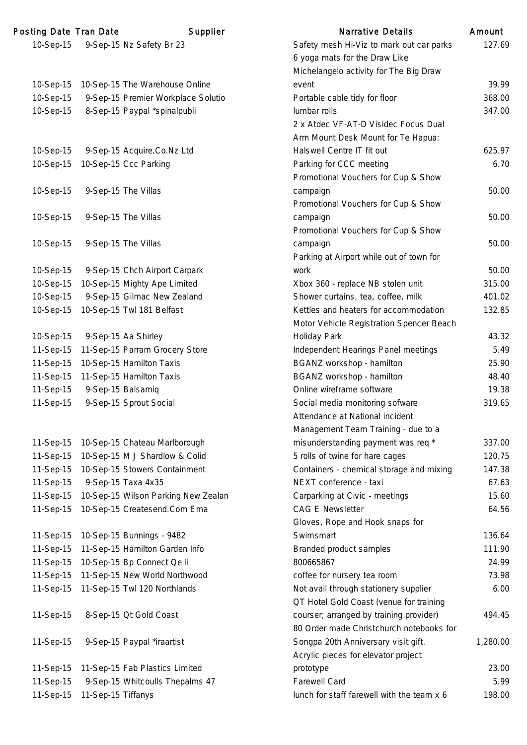| Posting Date Tran Date |                    | Supplier                            | <b>Narrative Details</b>                      | Amount   |
|------------------------|--------------------|-------------------------------------|-----------------------------------------------|----------|
| 10-Sep-15              |                    | 9-Sep-15 Nz Safety Br 23            | Safety mesh Hi-Viz to mark out car parks      | 127.69   |
|                        |                    |                                     | 6 yoga mats for the Draw Like                 |          |
|                        |                    |                                     | Michelangelo activity for The Big Draw        |          |
| 10-Sep-15              |                    | 10-Sep-15 The Warehouse Online      | event                                         | 39.99    |
| 10-Sep-15              |                    | 9-Sep-15 Premier Workplace Solutio  | Portable cable tidy for floor                 | 368.00   |
| 10-Sep-15              |                    | 8-Sep-15 Paypal *spinalpubli        | lumbar rolls                                  | 347.00   |
|                        |                    |                                     | 2 x Atdec VF-AT-D Visidec Focus Dual          |          |
|                        |                    |                                     | Arm Mount Desk Mount for Te Hapua:            |          |
| 10-Sep-15              |                    | 9-Sep-15 Acquire.Co.Nz Ltd          | Halswell Centre IT fit out                    | 625.97   |
| 10-Sep-15              |                    | 10-Sep-15 Ccc Parking               | Parking for CCC meeting                       | 6.70     |
|                        |                    |                                     | Promotional Vouchers for Cup & Show           |          |
| 10-Sep-15              |                    | 9-Sep-15 The Villas                 | campaign                                      | 50.00    |
|                        |                    |                                     | Promotional Vouchers for Cup & Show           |          |
| 10-Sep-15              |                    | 9-Sep-15 The Villas                 | campaign                                      | 50.00    |
|                        |                    |                                     | Promotional Vouchers for Cup & Show           |          |
| 10-Sep-15              |                    | 9-Sep-15 The Villas                 | campaign                                      | 50.00    |
|                        |                    |                                     | Parking at Airport while out of town for      |          |
| 10-Sep-15              |                    | 9-Sep-15 Chch Airport Carpark       | work                                          | 50.00    |
| 10-Sep-15              |                    | 10-Sep-15 Mighty Ape Limited        | Xbox 360 - replace NB stolen unit             | 315.00   |
| 10-Sep-15              |                    | 9-Sep-15 Gilmac New Zealand         | Shower curtains, tea, coffee, milk            | 401.02   |
| 10-Sep-15              |                    | 10-Sep-15 Twl 181 Belfast           | Kettles and heaters for accommodation         | 132.85   |
|                        |                    |                                     | Motor Vehicle Registration Spencer Beach      |          |
| 10-Sep-15              |                    | 9-Sep-15 Aa Shirley                 | Holiday Park                                  | 43.32    |
| 11-Sep-15              |                    | 11-Sep-15 Parram Grocery Store      | Independent Hearings Panel meetings           | 5.49     |
| 11-Sep-15              |                    | 10-Sep-15 Hamilton Taxis            | BGANZ workshop - hamilton                     | 25.90    |
| 11-Sep-15              |                    | 11-Sep-15 Hamilton Taxis            | BGANZ workshop - hamilton                     | 48.40    |
| 11-Sep-15              |                    | 9-Sep-15 Balsamiq                   | Online wireframe software                     | 19.38    |
| 11-Sep-15              |                    | 9-Sep-15 Sprout Social              | Social media monitoring sofware               | 319.65   |
|                        |                    |                                     | Attendance at National incident               |          |
|                        |                    |                                     | Management Team Training - due to a           |          |
| 11-Sep-15              |                    | 10-Sep-15 Chateau Marlborough       | misunderstanding payment was req <sup>*</sup> | 337.00   |
| 11-Sep-15              |                    | 10-Sep-15 M J Shardlow & Colid      | 5 rolls of twine for hare cages               | 120.75   |
| 11-Sep-15              |                    | 10-Sep-15 Stowers Containment       | Containers - chemical storage and mixing      | 147.38   |
| 11-Sep-15              |                    | 9-Sep-15 Taxa 4x35                  | NEXT conference - taxi                        | 67.63    |
| 11-Sep-15              |                    | 10-Sep-15 Wilson Parking New Zealan | Carparking at Civic - meetings                | 15.60    |
| 11-Sep-15              |                    | 10-Sep-15 Createsend.Com Ema        | <b>CAG E Newsletter</b>                       | 64.56    |
|                        |                    |                                     | Gloves, Rope and Hook snaps for               |          |
| 11-Sep-15              |                    | 10-Sep-15 Bunnings - 9482           | Swimsmart                                     | 136.64   |
| 11-Sep-15              |                    | 11-Sep-15 Hamilton Garden Info      | Branded product samples                       | 111.90   |
| 11-Sep-15              |                    | 10-Sep-15 Bp Connect Qe li          | 800665867                                     | 24.99    |
| 11-Sep-15              |                    | 11-Sep-15 New World Northwood       | coffee for nursery tea room                   | 73.98    |
| 11-Sep-15              |                    | 11-Sep-15 Twl 120 Northlands        | Not avail through stationery supplier         | 6.00     |
|                        |                    |                                     | QT Hotel Gold Coast (venue for training       |          |
| 11-Sep-15              |                    | 8-Sep-15 Qt Gold Coast              | courser; arranged by training provider)       | 494.45   |
|                        |                    |                                     | 80 Order made Christchurch notebooks for      |          |
| 11-Sep-15              |                    | 9-Sep-15 Paypal *iraartist          | Songpa 20th Anniversary visit gift.           | 1,280.00 |
|                        |                    |                                     | Acrylic pieces for elevator project           |          |
| 11-Sep-15              |                    | 11-Sep-15 Fab Plastics Limited      | prototype                                     | 23.00    |
| 11-Sep-15              |                    | 9-Sep-15 Whitcoulls Thepalms 47     | <b>Farewell Card</b>                          | 5.99     |
| 11-Sep-15              | 11-Sep-15 Tiffanys |                                     | lunch for staff farewell with the team x 6    | 198.00   |
|                        |                    |                                     |                                               |          |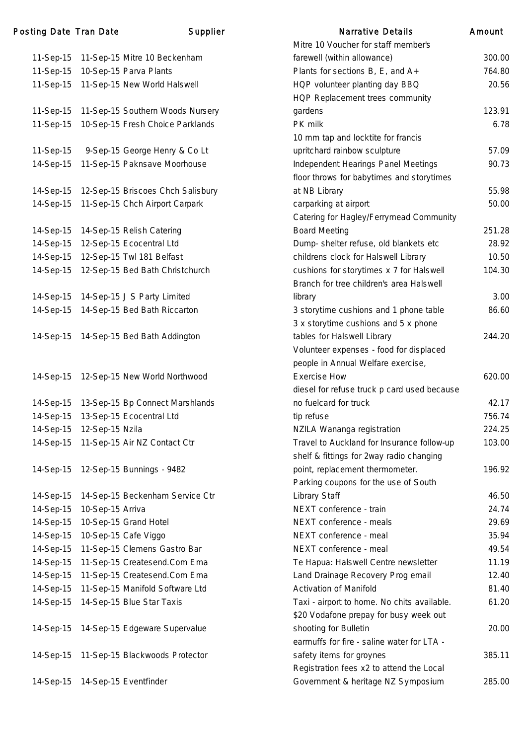|           |                                            | Mitre 10 Voucher for staff member's         |        |
|-----------|--------------------------------------------|---------------------------------------------|--------|
|           | 11-Sep-15 11-Sep-15 Mitre 10 Beckenham     | farewell (within allowance)                 | 300.00 |
| 11-Sep-15 | 10-Sep-15 Parva Plants                     | Plants for sections B, E, and A+            | 764.80 |
|           | 11-Sep-15 11-Sep-15 New World Halswell     | HQP volunteer planting day BBQ              | 20.56  |
|           |                                            | HQP Replacement trees community             |        |
|           | 11-Sep-15 11-Sep-15 Southern Woods Nursery | gardens                                     | 123.91 |
| 11-Sep-15 | 10-Sep-15 Fresh Choice Parklands           | PK milk                                     | 6.78   |
|           |                                            | 10 mm tap and locktite for francis          |        |
| 11-Sep-15 | 9-Sep-15 George Henry & Co Lt              | upritchard rainbow sculpture                | 57.09  |
| 14-Sep-15 | 11-Sep-15 Paknsave Moorhouse               | Independent Hearings Panel Meetings         | 90.73  |
|           |                                            | floor throws for babytimes and storytimes   |        |
| 14-Sep-15 | 12-Sep-15 Briscoes Chch Salisbury          | at NB Library                               | 55.98  |
|           | 14-Sep-15 11-Sep-15 Chch Airport Carpark   | carparking at airport                       | 50.00  |
|           |                                            | Catering for Hagley/Ferrymead Community     |        |
| 14-Sep-15 | 14-Sep-15 Relish Catering                  | <b>Board Meeting</b>                        | 251.28 |
| 14-Sep-15 | 12-Sep-15 Ecocentral Ltd                   | Dump- shelter refuse, old blankets etc      | 28.92  |
| 14-Sep-15 | 12-Sep-15 Twl 181 Belfast                  | childrens clock for Halswell Library        | 10.50  |
| 14-Sep-15 | 12-Sep-15 Bed Bath Christchurch            | cushions for storytimes x 7 for Halswell    | 104.30 |
|           |                                            | Branch for tree children's area Halswell    |        |
|           | 14-Sep-15 14-Sep-15 J S Party Limited      | library                                     | 3.00   |
|           | 14-Sep-15 14-Sep-15 Bed Bath Riccarton     | 3 storytime cushions and 1 phone table      | 86.60  |
|           |                                            | 3 x storytime cushions and 5 x phone        |        |
|           | 14-Sep-15 14-Sep-15 Bed Bath Addington     | tables for Halswell Library                 | 244.20 |
|           |                                            | Volunteer expenses - food for displaced     |        |
|           |                                            | people in Annual Welfare exercise,          |        |
| 14-Sep-15 | 12-Sep-15 New World Northwood              | <b>Exercise How</b>                         | 620.00 |
|           |                                            | diesel for refuse truck p card used because |        |
|           | 14-Sep-15 13-Sep-15 Bp Connect Marshlands  | no fuelcard for truck                       | 42.17  |
| 14-Sep-15 | 13-Sep-15 Ecocentral Ltd                   | tip refuse                                  | 756.74 |
| 14-Sep-15 | 12-Sep-15 Nzila                            | NZILA Wananga registration                  | 224.25 |
|           | 14-Sep-15 11-Sep-15 Air NZ Contact Ctr     | Travel to Auckland for Insurance follow-up  | 103.00 |
|           |                                            | shelf & fittings for 2way radio changing    |        |
| 14-Sep-15 | 12-Sep-15 Bunnings - 9482                  | point, replacement thermometer.             | 196.92 |
|           |                                            | Parking coupons for the use of South        |        |
| 14-Sep-15 | 14-Sep-15 Beckenham Service Ctr            | Library Staff                               | 46.50  |
| 14-Sep-15 | 10-Sep-15 Arriva                           | NEXT conference - train                     | 24.74  |
| 14-Sep-15 | 10-Sep-15 Grand Hotel                      | NEXT conference - meals                     | 29.69  |
| 14-Sep-15 | 10-Sep-15 Cafe Viggo                       | NEXT conference - meal                      | 35.94  |
| 14-Sep-15 | 11-Sep-15 Clemens Gastro Bar               | NEXT conference - meal                      | 49.54  |
| 14-Sep-15 | 11-Sep-15 Createsend.Com Ema               | Te Hapua: Halswell Centre newsletter        | 11.19  |
| 14-Sep-15 | 11-Sep-15 Createsend.Com Ema               | Land Drainage Recovery Prog email           | 12.40  |
| 14-Sep-15 | 11-Sep-15 Manifold Software Ltd            | <b>Activation of Manifold</b>               | 81.40  |
| 14-Sep-15 | 14-Sep-15 Blue Star Taxis                  | Taxi - airport to home. No chits available. | 61.20  |
|           |                                            | \$20 Vodafone prepay for busy week out      |        |
|           | 14-Sep-15 14-Sep-15 Edgeware Supervalue    | shooting for Bulletin                       | 20.00  |
|           |                                            | earmuffs for fire - saline water for LTA -  |        |
|           | 14-Sep-15 11-Sep-15 Blackwoods Protector   | safety items for groynes                    | 385.11 |
|           |                                            | Registration fees x2 to attend the Local    |        |
| 14-Sep-15 | 14-Sep-15 Eventfinder                      | Government & heritage NZ Symposium          | 285.00 |
|           |                                            |                                             |        |

| <b>Narrative Details</b>                    | Amount |
|---------------------------------------------|--------|
| Mitre 10 Voucher for staff member's         |        |
| farewell (within allowance)                 | 300.00 |
| Plants for sections $B$ , $E$ , and $A$ +   | 764.80 |
| HQP volunteer planting day BBQ              | 20.56  |
| HQP Replacement trees community             |        |
| gardens                                     | 123.91 |
| PK milk                                     | 6.78   |
| 10 mm tap and locktite for francis          |        |
| upritchard rainbow sculpture                | 57.09  |
| Independent Hearings Panel Meetings         | 90.73  |
| floor throws for babytimes and storytimes   |        |
| at NB Library                               | 55.98  |
| carparking at airport                       | 50.00  |
| Catering for Hagley/Ferrymead Community     |        |
| <b>Board Meeting</b>                        | 251.28 |
| Dump- shelter refuse, old blankets etc      | 28.92  |
| childrens clock for Halswell Library        | 10.50  |
| cushions for storytimes x 7 for Halswell    | 104.30 |
| Branch for tree children's area Halswell    |        |
| library                                     | 3.00   |
| 3 storytime cushions and 1 phone table      | 86.60  |
| 3 x storytime cushions and 5 x phone        |        |
| tables for Halswell Library                 | 244.20 |
| Volunteer expenses - food for displaced     |        |
| people in Annual Welfare exercise,          |        |
| <b>Exercise How</b>                         | 620.00 |
| diesel for refuse truck p card used because |        |
| no fuelcard for truck                       | 42.17  |
| tip refuse                                  | 756.74 |
| NZILA Wananga registration                  | 224.25 |
| Travel to Auckland for Insurance follow-up  | 103.00 |
| shelf & fittings for 2way radio changing    |        |
| point, replacement thermometer.             | 196.92 |
| Parking coupons for the use of South        |        |
| Library Staff                               | 46.50  |
| NEXT conference - train                     | 24.74  |
| NEXT conference - meals                     | 29.69  |
| NEXT conference - meal                      | 35.94  |
| NEXT conference - meal                      | 49.54  |
| Te Hapua: Halswell Centre newsletter        | 11.19  |
| Land Drainage Recovery Prog email           | 12.40  |
| <b>Activation of Manifold</b>               | 81.40  |
| Taxi - airport to home. No chits available. | 61.20  |
| \$20 Vodafone prepay for busy week out      |        |
| shooting for Bulletin                       | 20.00  |
| earmuffs for fire - saline water for LTA -  |        |
| safety items for groynes                    | 385.11 |
| Registration fees x2 to attend the Local    |        |
| Government & heritage NZ Symposium          | 285.00 |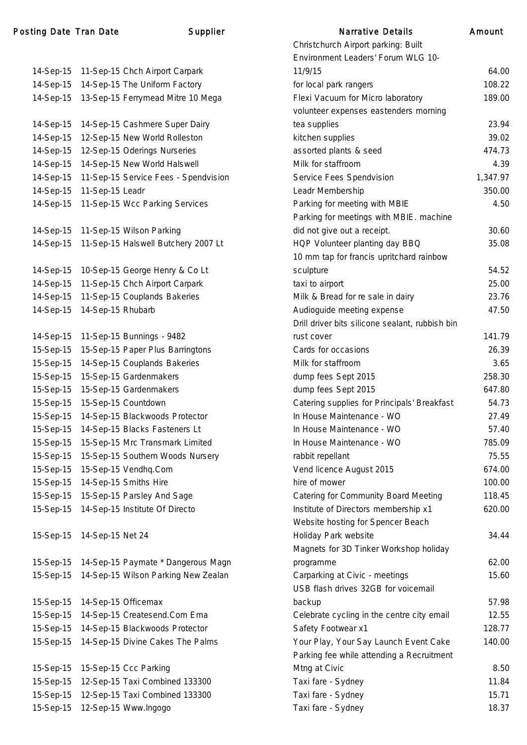| 14-Sep-15 | 11-Sep-15 Chch Airport Carpark       |
|-----------|--------------------------------------|
| 14-Sep-15 | 14-Sep-15 The Uniform Factory        |
| 14-Sep-15 | 13-Sep-15 Ferrymead Mitre 10 Mega    |
|           |                                      |
| 14-Sep-15 | 14-Sep-15 Cashmere Super Dairy       |
| 14-Sep-15 | 12-Sep-15 New World Rolleston        |
| 14-Sep-15 | 12-Sep-15 Oderings Nurseries         |
| 14-Sep-15 | 14-Sep-15 New World Halswell         |
| 14-Sep-15 | 11-Sep-15 Service Fees - Spendvision |
| 14-Sep-15 | 11-Sep-15 Leadr                      |
| 14-Sep-15 | 11-Sep-15 Wcc Parking Services       |
|           |                                      |
| 14-Sep-15 | 11-Sep-15 Wilson Parking             |
| 14-Sep-15 | 11-Sep-15 Halswell Butchery 2007 Lt  |
|           |                                      |
| 14-Sep-15 | 10-Sep-15 George Henry & Co Lt       |
| 14-Sep-15 | 11-Sep-15 Chch Airport Carpark       |
| 14-Sep-15 | 11-Sep-15 Couplands Bakeries         |
| 14-Sep-15 | 14-Sep-15 Rhubarb                    |
|           |                                      |
| 14-Sep-15 | 11-Sep-15 Bunnings - 9482            |
| 15-Sep-15 | 15-Sep-15 Paper Plus Barringtons     |
| 15-Sep-15 | 14-Sep-15 Couplands Bakeries         |
| 15-Sep-15 | 15-Sep-15 Gardenmakers               |
| 15-Sep-15 | 15-Sep-15 Gardenmakers               |
| 15-Sep-15 | 15-Sep-15 Countdown                  |
| 15-Sep-15 | 14-Sep-15 Blackwoods Protector       |
| 15-Sep-15 | 14-Sep-15 Blacks Fasteners Lt        |
| 15-Sep-15 | 15-Sep-15 Mrc Transmark Limited      |
| 15-Sep-15 | 15-Sep-15 Southern Woods Nursery     |
| 15-Sep-15 | 15-Sep-15 Vendhq.Com                 |
| 15-Sep-15 | 14-Sep-15 Smiths Hire                |
| 15-Sep-15 | 15-Sep-15 Parsley And Sage           |
| 15-Sep-15 | 14-Sep-15 Institute Of Directo       |
|           |                                      |
| 15-Sep-15 | 14-Sep-15 Net 24                     |
|           |                                      |
| 15-Sep-15 | 14-Sep-15 Paymate * Dangerous Magn   |
| 15-Sep-15 | 14-Sep-15 Wilson Parking New Zealan  |
|           |                                      |
| 15-Sep-15 | 14-Sep-15 Officemax                  |
| 15-Sep-15 | 14-Sep-15 Createsend.Com Ema         |
| 15-Sep-15 | 14-Sep-15 Blackwoods Protector       |
| 15-Sep-15 | 14-Sep-15 Divine Cakes The Palms     |
|           |                                      |
| 15-Sep-15 | 15-Sep-15 Ccc Parking                |
| 15-Sep-15 | 12-Sep-15 Taxi Combined 133300       |
| 15-Sep-15 | 12-Sep-15 Taxi Combined 133300       |
| 15-Sep-15 | 12-Sep-15 Www.Ingogo                 |

|           | ing Date Tran Date | Supplier                                      | <b>Narrative Details</b>                        | Amount   |
|-----------|--------------------|-----------------------------------------------|-------------------------------------------------|----------|
|           |                    |                                               | Christchurch Airport parking: Built             |          |
|           |                    |                                               | Environment Leaders' Forum WLG 10-              |          |
|           |                    | 14-Sep-15 11-Sep-15 Chch Airport Carpark      | 11/9/15                                         | 64.00    |
|           |                    | 14-Sep-15 14-Sep-15 The Uniform Factory       | for local park rangers                          | 108.22   |
|           |                    | 14-Sep-15 13-Sep-15 Ferrymead Mitre 10 Mega   | Flexi Vacuum for Micro laboratory               | 189.00   |
|           |                    |                                               | volunteer expenses eastenders morning           |          |
| 14-Sep-15 |                    | 14-Sep-15 Cashmere Super Dairy                | tea supplies                                    | 23.94    |
| 14-Sep-15 |                    | 12-Sep-15 New World Rolleston                 | kitchen supplies                                | 39.02    |
| 14-Sep-15 |                    | 12-Sep-15 Oderings Nurseries                  | assorted plants & seed                          | 474.73   |
| 14-Sep-15 |                    | 14-Sep-15 New World Halswell                  | Milk for staffroom                              | 4.39     |
| 14-Sep-15 |                    | 11-Sep-15 Service Fees - Spendvision          | Service Fees Spendvision                        | 1,347.97 |
| 14-Sep-15 | 11-Sep-15 Leadr    |                                               | Leadr Membership                                | 350.00   |
|           |                    | 14-Sep-15 11-Sep-15 Wcc Parking Services      | Parking for meeting with MBIE                   | 4.50     |
|           |                    |                                               | Parking for meetings with MBIE. machine         |          |
|           |                    | 14-Sep-15 11-Sep-15 Wilson Parking            | did not give out a receipt.                     | 30.60    |
|           |                    | 14-Sep-15 11-Sep-15 Halswell Butchery 2007 Lt | HQP Volunteer planting day BBQ                  | 35.08    |
|           |                    |                                               | 10 mm tap for francis upritchard rainbow        |          |
|           |                    | 14-Sep-15 10-Sep-15 George Henry & Co Lt      | sculpture                                       | 54.52    |
| 14-Sep-15 |                    | 11-Sep-15 Chch Airport Carpark                | taxi to airport                                 | 25.00    |
|           |                    | 14-Sep-15 11-Sep-15 Couplands Bakeries        | Milk & Bread for re sale in dairy               | 23.76    |
| 14-Sep-15 | 14-Sep-15 Rhubarb  |                                               | Audioguide meeting expense                      | 47.50    |
|           |                    |                                               | Drill driver bits silicone sealant, rubbish bin |          |
| 14-Sep-15 |                    | 11-Sep-15 Bunnings - 9482                     | rust cover                                      | 141.79   |
| 15-Sep-15 |                    | 15-Sep-15 Paper Plus Barringtons              | Cards for occasions                             | 26.39    |
| 15-Sep-15 |                    | 14-Sep-15 Couplands Bakeries                  | Milk for staffroom                              | 3.65     |
| 15-Sep-15 |                    | 15-Sep-15 Gardenmakers                        | dump fees Sept 2015                             | 258.30   |
| 15-Sep-15 |                    | 15-Sep-15 Gardenmakers                        | dump fees Sept 2015                             | 647.80   |
| 15-Sep-15 |                    | 15-Sep-15 Countdown                           | Catering supplies for Principals' Breakfast     | 54.73    |
| 15-Sep-15 |                    | 14-Sep-15 Blackwoods Protector                | In House Maintenance - WO                       | 27.49    |
| 15-Sep-15 |                    | 14-Sep-15 Blacks Fasteners Lt                 | In House Maintenance - WO                       | 57.40    |
| 15-Sep-15 |                    | 15-Sep-15 Mrc Transmark Limited               | In House Maintenance - WO                       | 785.09   |
| 15-Sep-15 |                    | 15-Sep-15 Southern Woods Nursery              | rabbit repellant                                | 75.55    |
| 15-Sep-15 |                    | 15-Sep-15 Vendhq.Com                          | Vend licence August 2015                        | 674.00   |
| 15-Sep-15 |                    | 14-Sep-15 Smiths Hire                         | hire of mower                                   | 100.00   |
| 15-Sep-15 |                    | 15-Sep-15 Parsley And Sage                    | <b>Catering for Community Board Meeting</b>     | 118.45   |
| 15-Sep-15 |                    | 14-Sep-15 Institute Of Directo                | Institute of Directors membership x1            | 620.00   |
|           |                    |                                               | Website hosting for Spencer Beach               |          |
| 15-Sep-15 | 14-Sep-15 Net 24   |                                               | Holiday Park website                            | 34.44    |
|           |                    |                                               | Magnets for 3D Tinker Workshop holiday          |          |
|           |                    | 15-Sep-15 14-Sep-15 Paymate * Dangerous Magn  | programme                                       | 62.00    |
|           |                    | 15-Sep-15 14-Sep-15 Wilson Parking New Zealan | Carparking at Civic - meetings                  | 15.60    |
|           |                    |                                               | USB flash drives 32GB for voicemail             |          |
| 15-Sep-15 |                    | 14-Sep-15 Officemax                           | backup                                          | 57.98    |
| 15-Sep-15 |                    | 14-Sep-15 Createsend.Com Ema                  | Celebrate cycling in the centre city email      | 12.55    |
| 15-Sep-15 |                    | 14-Sep-15 Blackwoods Protector                | Safety Footwear x1                              | 128.77   |
| 15-Sep-15 |                    | 14-Sep-15 Divine Cakes The Palms              | Your Play, Your Say Launch Event Cake           | 140.00   |
|           |                    |                                               | Parking fee while attending a Recruitment       |          |
| 15-Sep-15 |                    | 15-Sep-15 Ccc Parking                         | Mtng at Civic                                   | 8.50     |
| 15-Sep-15 |                    | 12-Sep-15 Taxi Combined 133300                | Taxi fare - Sydney                              | 11.84    |
| 15-Sep-15 |                    | 12-Sep-15 Taxi Combined 133300                | Taxi fare - Sydney                              | 15.71    |
|           |                    | 15-Sep-15 12-Sep-15 Www.Ingogo                | Taxi fare - Sydney                              | 18.37    |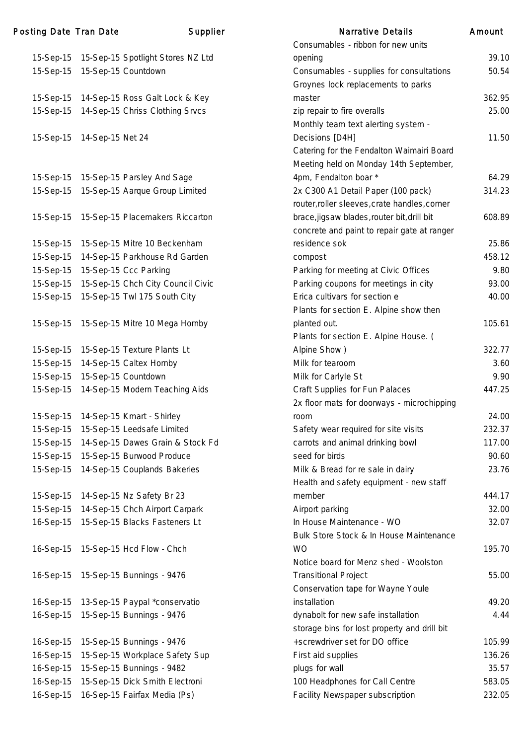| Posting Date Tran Date |                  | Supplier                              | <b>Narrative Details</b>                                                                               | Amount |
|------------------------|------------------|---------------------------------------|--------------------------------------------------------------------------------------------------------|--------|
|                        |                  |                                       | Consumables - ribbon for new units                                                                     |        |
| 15-Sep-15              |                  | 15-Sep-15 Spotlight Stores NZ Ltd     | opening                                                                                                | 39.10  |
| 15-Sep-15              |                  | 15-Sep-15 Countdown                   | Consumables - supplies for consultations<br>Groynes lock replacements to parks                         | 50.54  |
| 15-Sep-15              |                  | 14-Sep-15 Ross Galt Lock & Key        | master                                                                                                 | 362.95 |
| 15-Sep-15              |                  | 14-Sep-15 Chriss Clothing Srvcs       | zip repair to fire overalls<br>Monthly team text alerting system -                                     | 25.00  |
| 15-Sep-15              | 14-Sep-15 Net 24 |                                       | Decisions [D4H]<br>Catering for the Fendalton Waimairi Board<br>Meeting held on Monday 14th September, | 11.50  |
|                        |                  | 15-Sep-15 15-Sep-15 Parsley And Sage  | 4pm, Fendalton boar*                                                                                   | 64.29  |
| 15-Sep-15              |                  | 15-Sep-15 Aarque Group Limited        | 2x C300 A1 Detail Paper (100 pack)<br>router, roller sleeves, crate handles, corner                    | 314.23 |
| 15-Sep-15              |                  | 15-Sep-15 Placemakers Riccarton       | brace, jigsaw blades, router bit, drill bit<br>concrete and paint to repair gate at ranger             | 608.89 |
| 15-Sep-15              |                  | 15-Sep-15 Mitre 10 Beckenham          | residence sok                                                                                          | 25.86  |
| 15-Sep-15              |                  | 14-Sep-15 Parkhouse Rd Garden         | compost                                                                                                | 458.12 |
| 15-Sep-15              |                  | 15-Sep-15 Ccc Parking                 | Parking for meeting at Civic Offices                                                                   | 9.80   |
| 15-Sep-15              |                  | 15-Sep-15 Chch City Council Civic     | Parking coupons for meetings in city                                                                   | 93.00  |
| 15-Sep-15              |                  | 15-Sep-15 Twl 175 South City          | Erica cultivars for section e<br>Plants for section E. Alpine show then                                | 40.00  |
| 15-Sep-15              |                  | 15-Sep-15 Mitre 10 Mega Hornby        | planted out.<br>Plants for section E. Alpine House. (                                                  | 105.61 |
| 15-Sep-15              |                  | 15-Sep-15 Texture Plants Lt           | Alpine Show)                                                                                           | 322.77 |
| 15-Sep-15              |                  | 14-Sep-15 Caltex Hornby               | Milk for tearoom                                                                                       | 3.60   |
| 15-Sep-15              |                  | 15-Sep-15 Countdown                   | Milk for Carlyle St                                                                                    | 9.90   |
| 15-Sep-15              |                  | 14-Sep-15 Modern Teaching Aids        | Craft Supplies for Fun Palaces<br>2x floor mats for doorways - microchipping                           | 447.25 |
|                        |                  | 15-Sep-15 14-Sep-15 Kmart - Shirley   | room                                                                                                   | 24.00  |
| 15-Sep-15              |                  | 15-Sep-15 Leedsafe Limited            | Safety wear required for site visits                                                                   | 232.37 |
| 15-Sep-15              |                  | 14-Sep-15 Dawes Grain & Stock Fd      | carrots and animal drinking bowl                                                                       | 117.00 |
| 15-Sep-15              |                  | 15-Sep-15 Burwood Produce             | seed for birds                                                                                         | 90.60  |
| 15-Sep-15              |                  | 14-Sep-15 Couplands Bakeries          | Milk & Bread for re sale in dairy<br>Health and safety equipment - new staff                           | 23.76  |
| 15-Sep-15              |                  | 14-Sep-15 Nz Safety Br 23             | member                                                                                                 | 444.17 |
| 15-Sep-15              |                  | 14-Sep-15 Chch Airport Carpark        | Airport parking                                                                                        | 32.00  |
| 16-Sep-15              |                  | 15-Sep-15 Blacks Fasteners Lt         | In House Maintenance - WO                                                                              | 32.07  |
|                        |                  | 16-Sep-15 15-Sep-15 Hcd Flow - Chch   | Bulk Store Stock & In House Maintenance<br><b>WO</b><br>Notice board for Menz shed - Woolston          | 195.70 |
|                        |                  | 16-Sep-15   15-Sep-15 Bunnings - 9476 | <b>Transitional Project</b><br>Conservation tape for Wayne Youle                                       | 55.00  |
| 16-Sep-15              |                  | 13-Sep-15 Paypal *conservatio         | installation                                                                                           | 49.20  |
| 16-Sep-15              |                  | 15-Sep-15 Bunnings - 9476             | dynabolt for new safe installation                                                                     | 4.44   |
|                        |                  |                                       | storage bins for lost property and drill bit                                                           |        |
| 16-Sep-15              |                  | 15-Sep-15 Bunnings - 9476             | +screwdriver set for DO office                                                                         | 105.99 |
| 16-Sep-15              |                  | 15-Sep-15 Workplace Safety Sup        | First aid supplies                                                                                     | 136.26 |
| 16-Sep-15              |                  | 15-Sep-15 Bunnings - 9482             | plugs for wall                                                                                         | 35.57  |
| 16-Sep-15              |                  | 15-Sep-15 Dick Smith Electroni        | 100 Headphones for Call Centre                                                                         | 583.05 |
| 16-Sep-15              |                  | 16-Sep-15 Fairfax Media (Ps)          | Facility Newspaper subscription                                                                        | 232.05 |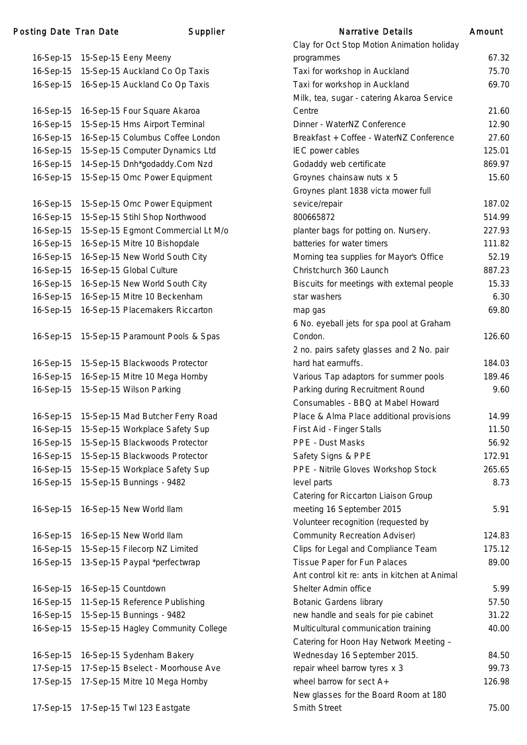### Posting Date Tran Date Narrative Supplier

| 16-Sep-15 | 15-Sep-15 Eeny Meeny               |
|-----------|------------------------------------|
| 16-Sep-15 | 15-Sep-15 Auckland Co Op Taxis     |
| 16-Sep-15 | 16-Sep-15 Auckland Co Op Taxis     |
|           |                                    |
| 16-Sep-15 | 16-Sep-15 Four Square Akaroa       |
| 16-Sep-15 | 15-Sep-15 Hms Airport Terminal     |
| 16-Sep-15 | 16-Sep-15 Columbus Coffee London   |
| 16-Sep-15 | 15-Sep-15 Computer Dynamics Ltd    |
| 16-Sep-15 | 14-Sep-15 Dnh*godaddy.Com Nzd      |
| 16-Sep-15 | 15-Sep-15 Omc Power Equipment      |
|           |                                    |
| 16-Sep-15 | 15-Sep-15 Omc Power Equipment      |
| 16-Sep-15 | 15-Sep-15 Stihl Shop Northwood     |
| 16-Sep-15 | 15-Sep-15 Egmont Commercial Lt M/o |
| 16-Sep-15 | 16-Sep-15 Mitre 10 Bishopdale      |
| 16-Sep-15 | 16-Sep-15 New World South City     |
| 16-Sep-15 | 16-Sep-15 Global Culture           |
| 16-Sep-15 | 16-Sep-15 New World South City     |
| 16-Sep-15 | 16-Sep-15 Mitre 10 Beckenham       |
| 16-Sep-15 | 16-Sep-15 Placemakers Riccarton    |
|           |                                    |
| 16-Sep-15 | 15-Sep-15 Paramount Pools & Spas   |
|           |                                    |
| 16-Sep-15 | 15-Sep-15 Blackwoods Protector     |
| 16-Sep-15 | 16-Sep-15 Mitre 10 Mega Hornby     |
| 16-Sep-15 | 15-Sep-15 Wilson Parking           |
|           |                                    |
| 16-Sep-15 | 15-Sep-15 Mad Butcher Ferry Road   |
| 16-Sep-15 | 15-Sep-15 Workplace Safety Sup     |
| 16-Sep-15 | 15-Sep-15 Blackwoods Protector     |
| 16-Sep-15 | 15-Sep-15 Blackwoods Protector     |
| 16-Sep-15 | 15-Sep-15 Workplace Safety Sup     |
| 16-Sep-15 | 15-Sep-15 Bunnings - 9482          |
|           |                                    |
| 16-Sep-15 | 16-Sep-15 New World Ilam           |
|           |                                    |
| 16-Sep-15 | 16-Sep-15 New World Ilam           |
| 16-Sep-15 | 15-Sep-15 Filecorp NZ Limited      |
| 16-Sep-15 | 13-Sep-15 Paypal *perfectwrap      |
|           |                                    |
| 16-Sep-15 | 16-Sep-15 Countdown                |
| 16-Sep-15 | 11-Sep-15 Reference Publishing     |
| 16-Sep-15 | 15-Sep-15 Bunnings - 9482          |
| 16-Sep-15 | 15-Sep-15 Hagley Community College |
|           |                                    |
| 16-Sep-15 | 16-Sep-15 Sydenham Bakery          |
| 17-Sep-15 | 17-Sep-15 Bselect - Moorhouse Ave  |
| 17-Sep-15 |                                    |
|           | 17-Sep-15 Mitre 10 Mega Hornby     |
|           |                                    |

|           | ing Date Tran Date | Supplier                                   | <b>Narrative Details</b>                      | Amount |
|-----------|--------------------|--------------------------------------------|-----------------------------------------------|--------|
|           |                    |                                            | Clay for Oct Stop Motion Animation holiday    |        |
| 16-Sep-15 |                    | 15-Sep-15 Eeny Meeny                       | programmes                                    | 67.32  |
| 16-Sep-15 |                    | 15-Sep-15 Auckland Co Op Taxis             | Taxi for workshop in Auckland                 | 75.70  |
| 16-Sep-15 |                    | 16-Sep-15 Auckland Co Op Taxis             | Taxi for workshop in Auckland                 | 69.70  |
|           |                    |                                            | Milk, tea, sugar - catering Akaroa Service    |        |
| 16-Sep-15 |                    | 16-Sep-15 Four Square Akaroa               | Centre                                        | 21.60  |
| 16-Sep-15 |                    | 15-Sep-15 Hms Airport Terminal             | Dinner - WaterNZ Conference                   | 12.90  |
| 16-Sep-15 |                    | 16-Sep-15 Columbus Coffee London           | Breakfast + Coffee - WaterNZ Conference       | 27.60  |
| 16-Sep-15 |                    | 15-Sep-15 Computer Dynamics Ltd            | IEC power cables                              | 125.01 |
| 16-Sep-15 |                    | 14-Sep-15 Dnh*godaddy.Com Nzd              | Godaddy web certificate                       | 869.97 |
| 16-Sep-15 |                    | 15-Sep-15 Omc Power Equipment              | Groynes chainsaw nuts x 5                     | 15.60  |
|           |                    |                                            | Groynes plant 1838 victa mower full           |        |
| 16-Sep-15 |                    | 15-Sep-15 Omc Power Equipment              | sevice/repair                                 | 187.02 |
| 16-Sep-15 |                    | 15-Sep-15 Stihl Shop Northwood             | 800665872                                     | 514.99 |
| 16-Sep-15 |                    | 15-Sep-15 Egmont Commercial Lt M/o         | planter bags for potting on. Nursery.         | 227.93 |
| 16-Sep-15 |                    | 16-Sep-15 Mitre 10 Bishopdale              | batteries for water timers                    | 111.82 |
| 16-Sep-15 |                    | 16-Sep-15 New World South City             | Morning tea supplies for Mayor's Office       | 52.19  |
| 16-Sep-15 |                    | 16-Sep-15 Global Culture                   | Christchurch 360 Launch                       | 887.23 |
| 16-Sep-15 |                    | 16-Sep-15 New World South City             | Biscuits for meetings with external people    | 15.33  |
| 16-Sep-15 |                    | 16-Sep-15 Mitre 10 Beckenham               | star washers                                  | 6.30   |
| 16-Sep-15 |                    | 16-Sep-15 Placemakers Riccarton            | map gas                                       | 69.80  |
|           |                    |                                            | 6 No. eyeball jets for spa pool at Graham     |        |
| 16-Sep-15 |                    | 15-Sep-15 Paramount Pools & Spas           | Condon.                                       | 126.60 |
|           |                    |                                            | 2 no. pairs safety glasses and 2 No. pair     |        |
|           |                    | 16-Sep-15 15-Sep-15 Blackwoods Protector   | hard hat earmuffs.                            | 184.03 |
| 16-Sep-15 |                    | 16-Sep-15 Mitre 10 Mega Hornby             | Various Tap adaptors for summer pools         | 189.46 |
| 16-Sep-15 |                    | 15-Sep-15 Wilson Parking                   | Parking during Recruitment Round              | 9.60   |
|           |                    |                                            | Consumables - BBQ at Mabel Howard             |        |
|           |                    | 16-Sep-15 15-Sep-15 Mad Butcher Ferry Road | Place & Alma Place additional provisions      | 14.99  |
| 16-Sep-15 |                    | 15-Sep-15 Workplace Safety Sup             | First Aid - Finger Stalls                     | 11.50  |
| 16-Sep-15 |                    | 15-Sep-15 Blackwoods Protector             | PPE - Dust Masks                              | 56.92  |
| 16-Sep-15 |                    | 15-Sep-15 Blackwoods Protector             | Safety Signs & PPE                            | 172.91 |
| 16-Sep-15 |                    | 15-Sep-15 Workplace Safety Sup             | PPE - Nitrile Gloves Workshop Stock           | 265.65 |
|           |                    | 16-Sep-15 15-Sep-15 Bunnings - 9482        | level parts                                   | 8.73   |
|           |                    |                                            | Catering for Riccarton Liaison Group          |        |
| 16-Sep-15 |                    | 16-Sep-15 New World Ilam                   | meeting 16 September 2015                     | 5.91   |
|           |                    |                                            | Volunteer recognition (requested by           |        |
| 16-Sep-15 |                    | 16-Sep-15 New World Ilam                   | <b>Community Recreation Adviser)</b>          | 124.83 |
| 16-Sep-15 |                    | 15-Sep-15 Filecorp NZ Limited              | Clips for Legal and Compliance Team           | 175.12 |
| 16-Sep-15 |                    | 13-Sep-15 Paypal *perfectwrap              | Tissue Paper for Fun Palaces                  | 89.00  |
|           |                    |                                            | Ant control kit re: ants in kitchen at Animal |        |
| 16-Sep-15 |                    | 16-Sep-15 Countdown                        | Shelter Admin office                          | 5.99   |
| 16-Sep-15 |                    | 11-Sep-15 Reference Publishing             | <b>Botanic Gardens library</b>                | 57.50  |
| 16-Sep-15 |                    | 15-Sep-15 Bunnings - 9482                  | new handle and seals for pie cabinet          | 31.22  |
| 16-Sep-15 |                    | 15-Sep-15 Hagley Community College         | Multicultural communication training          | 40.00  |
|           |                    |                                            | Catering for Hoon Hay Network Meeting -       |        |
| 16-Sep-15 |                    | 16-Sep-15 Sydenham Bakery                  | Wednesday 16 September 2015.                  | 84.50  |
| 17-Sep-15 |                    | 17-Sep-15 Bselect - Moorhouse Ave          | repair wheel barrow tyres x 3                 | 99.73  |
| 17-Sep-15 |                    | 17-Sep-15 Mitre 10 Mega Hornby             | wheel barrow for sect A+                      | 126.98 |
|           |                    |                                            | New glasses for the Board Room at 180         |        |
|           |                    | 17-Sep-15 17-Sep-15 Twl 123 Eastgate       | <b>Smith Street</b>                           | 75.00  |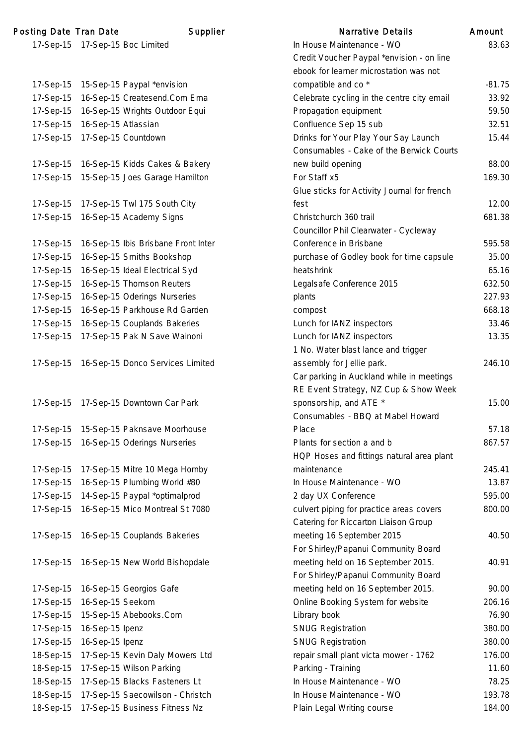| <b>Posting Date Tran Date</b> |                     | Supplier                            |
|-------------------------------|---------------------|-------------------------------------|
|                               |                     | 17-Sep-15 17-Sep-15 Boc Limited     |
|                               |                     |                                     |
|                               |                     |                                     |
| 17-Sep-15                     |                     | 15-Sep-15 Paypal *envision          |
| 17-Sep-15                     |                     | 16-Sep-15 Createsend.Com Ema        |
| 17-Sep-15                     |                     | 16-Sep-15 Wrights Outdoor Equi      |
| 17-Sep-15                     | 16-Sep-15 Atlassian |                                     |
| 17-Sep-15                     |                     | 17-Sep-15 Countdown                 |
|                               |                     |                                     |
| 17-Sep-15                     |                     | 16-Sep-15 Kidds Cakes & Bakery      |
| 17-Sep-15                     |                     | 15-Sep-15 Joes Garage Hamilton      |
|                               |                     |                                     |
| 17-Sep-15                     |                     | 17-Sep-15 Twl 175 South City        |
| 17-Sep-15                     |                     | 16-Sep-15 Academy Signs             |
|                               |                     |                                     |
| 17-Sep-15                     |                     | 16-Sep-15 Ibis Brisbane Front Inter |
| 17-Sep-15                     |                     | 16-Sep-15 Smiths Bookshop           |
| 17-Sep-15                     |                     | 16-Sep-15 Ideal Electrical Syd      |
| 17-Sep-15                     |                     | 16-Sep-15 Thomson Reuters           |
| 17-Sep-15                     |                     | 16-Sep-15 Oderings Nurseries        |
| 17-Sep-15                     |                     | 16-Sep-15 Parkhouse Rd Garden       |
| 17-Sep-15                     |                     | 16-Sep-15 Couplands Bakeries        |
| 17-Sep-15                     |                     | 17-Sep-15 Pak N Save Wainoni        |
|                               |                     |                                     |
| 17-Sep-15                     |                     | 16-Sep-15 Donco Services Limited    |
|                               |                     |                                     |
|                               |                     |                                     |
| 17-Sep-15                     |                     | 17-Sep-15 Downtown Car Park         |
|                               |                     |                                     |
| 17-Sep-15                     |                     | 15-Sep-15 Paknsave Moorhouse        |
| 17-Sep-15                     |                     | 16-Sep-15 Oderings Nurseries        |
|                               |                     |                                     |
| 17-Sep-15                     |                     | 17-Sep-15 Mitre 10 Mega Hornby      |
| 17-Sep-15                     |                     | 16-Sep-15 Plumbing World #80        |
| 17-Sep-15                     |                     | 14-Sep-15 Paypal *optimalprod       |
| 17-Sep-15                     |                     | 16-Sep-15 Mico Montreal St 7080     |
|                               |                     |                                     |
| 17-Sep-15                     |                     | 16-Sep-15 Couplands Bakeries        |
|                               |                     |                                     |
| 17-Sep-15                     |                     | 16-Sep-15 New World Bishopdale      |
|                               |                     |                                     |
| 17-Sep-15                     |                     | 16-Sep-15 Georgios Gafe             |
|                               |                     |                                     |
| 17-Sep-15                     | 16-Sep-15 Seekom    |                                     |
| 17-Sep-15                     |                     | 15-Sep-15 Abebooks.Com              |
| 17-Sep-15                     | 16-Sep-15 Ipenz     |                                     |
| 17-Sep-15                     | 16-Sep-15 Ipenz     |                                     |
| 18-Sep-15                     |                     | 17-Sep-15 Kevin Daly Mowers Ltd     |
| 18-Sep-15                     |                     | 17-Sep-15 Wilson Parking            |
| 18-Sep-15                     |                     | 17-Sep-15 Blacks Fasteners Lt       |

|           | ting Date Tran Date | Supplier                                 | <b>Narrative Details</b>                                                | Amount   |
|-----------|---------------------|------------------------------------------|-------------------------------------------------------------------------|----------|
|           |                     | 17-Sep-15 17-Sep-15 Boc Limited          | In House Maintenance - WO                                               | 83.63    |
|           |                     |                                          | Credit Voucher Paypal *envision - on line                               |          |
|           |                     |                                          | ebook for learner microstation was not                                  |          |
| 17-Sep-15 |                     | 15-Sep-15 Paypal *envision               | compatible and co <sup>*</sup>                                          | $-81.75$ |
| 17-Sep-15 |                     | 16-Sep-15 Createsend.Com Ema             | Celebrate cycling in the centre city email                              | 33.92    |
| 17-Sep-15 |                     | 16-Sep-15 Wrights Outdoor Equi           | Propagation equipment                                                   | 59.50    |
| 17-Sep-15 | 16-Sep-15 Atlassian |                                          | Confluence Sep 15 sub                                                   | 32.51    |
| 17-Sep-15 |                     | 17-Sep-15 Countdown                      | Drinks for Your Play Your Say Launch                                    | 15.44    |
|           |                     |                                          | Consumables - Cake of the Berwick Courts                                |          |
|           |                     | 17-Sep-15 16-Sep-15 Kidds Cakes & Bakery | new build opening                                                       | 88.00    |
| 17-Sep-15 |                     | 15-Sep-15 Joes Garage Hamilton           | For Staff x5                                                            | 169.30   |
|           |                     |                                          | Glue sticks for Activity Journal for french                             |          |
| 17-Sep-15 |                     | 17-Sep-15 Twl 175 South City             | fest                                                                    | 12.00    |
|           |                     | 17-Sep-15 16-Sep-15 Academy Signs        | Christchurch 360 trail                                                  | 681.38   |
|           |                     |                                          | Councillor Phil Clearwater - Cycleway                                   |          |
| 17-Sep-15 |                     | 16-Sep-15 Ibis Brisbane Front Inter      | Conference in Brisbane                                                  | 595.58   |
| 17-Sep-15 |                     | 16-Sep-15 Smiths Bookshop                | purchase of Godley book for time capsule                                | 35.00    |
| 17-Sep-15 |                     | 16-Sep-15 Ideal Electrical Syd           | heatshrink                                                              | 65.16    |
| 17-Sep-15 |                     | 16-Sep-15 Thomson Reuters                | Legalsafe Conference 2015                                               | 632.50   |
| 17-Sep-15 |                     | 16-Sep-15 Oderings Nurseries             | plants                                                                  | 227.93   |
| 17-Sep-15 |                     | 16-Sep-15 Parkhouse Rd Garden            | compost                                                                 | 668.18   |
| 17-Sep-15 |                     | 16-Sep-15 Couplands Bakeries             | Lunch for IANZ inspectors                                               | 33.46    |
| 17-Sep-15 |                     | 17-Sep-15 Pak N Save Wainoni             | Lunch for IANZ inspectors                                               | 13.35    |
|           |                     |                                          | 1 No. Water blast lance and trigger                                     |          |
| 17-Sep-15 |                     | 16-Sep-15 Donco Services Limited         | assembly for Jellie park.                                               | 246.10   |
|           |                     |                                          | Car parking in Auckland while in meetings                               |          |
|           |                     |                                          | RE Event Strategy, NZ Cup & Show Week                                   |          |
| 17-Sep-15 |                     | 17-Sep-15 Downtown Car Park              | sponsorship, and ATE *                                                  | 15.00    |
|           |                     |                                          | Consumables - BBQ at Mabel Howard                                       |          |
| 17-Sep-15 |                     | 15-Sep-15 Paknsave Moorhouse             | Place                                                                   | 57.18    |
| 17-Sep-15 |                     | 16-Sep-15 Oderings Nurseries             | Plants for section a and b<br>HQP Hoses and fittings natural area plant | 867.57   |
| 17-Sep-15 |                     | 17-Sep-15 Mitre 10 Mega Hornby           | maintenance                                                             | 245.41   |
| 17-Sep-15 |                     | 16-Sep-15 Plumbing World #80             | In House Maintenance - WO                                               | 13.87    |
| 17-Sep-15 |                     | 14-Sep-15 Paypal *optimalprod            | 2 day UX Conference                                                     | 595.00   |
| 17-Sep-15 |                     | 16-Sep-15 Mico Montreal St 7080          | culvert piping for practice areas covers                                | 800.00   |
|           |                     |                                          | Catering for Riccarton Liaison Group                                    |          |
| 17-Sep-15 |                     | 16-Sep-15 Couplands Bakeries             | meeting 16 September 2015                                               | 40.50    |
|           |                     |                                          | For Shirley/Papanui Community Board                                     |          |
| 17-Sep-15 |                     | 16-Sep-15 New World Bishopdale           | meeting held on 16 September 2015.                                      | 40.91    |
|           |                     |                                          | For Shirley/Papanui Community Board                                     |          |
| 17-Sep-15 |                     | 16-Sep-15 Georgios Gafe                  | meeting held on 16 September 2015.                                      | 90.00    |
| 17-Sep-15 | 16-Sep-15 Seekom    |                                          | Online Booking System for website                                       | 206.16   |
| 17-Sep-15 |                     | 15-Sep-15 Abebooks.Com                   | Library book                                                            | 76.90    |
| 17-Sep-15 | 16-Sep-15 Ipenz     |                                          | <b>SNUG Registration</b>                                                | 380.00   |
| 17-Sep-15 | 16-Sep-15 Ipenz     |                                          | <b>SNUG Registration</b>                                                | 380.00   |
| 18-Sep-15 |                     | 17-Sep-15 Kevin Daly Mowers Ltd          | repair small plant victa mower - 1762                                   | 176.00   |
| 18-Sep-15 |                     | 17-Sep-15 Wilson Parking                 | Parking - Training                                                      | 11.60    |
| 18-Sep-15 |                     | 17-Sep-15 Blacks Fasteners Lt            | In House Maintenance - WO                                               | 78.25    |
| 18-Sep-15 |                     | 17-Sep-15 Saecowilson - Christch         | In House Maintenance - WO                                               | 193.78   |
| 18-Sep-15 |                     | 17-Sep-15 Business Fitness Nz            | Plain Legal Writing course                                              | 184.00   |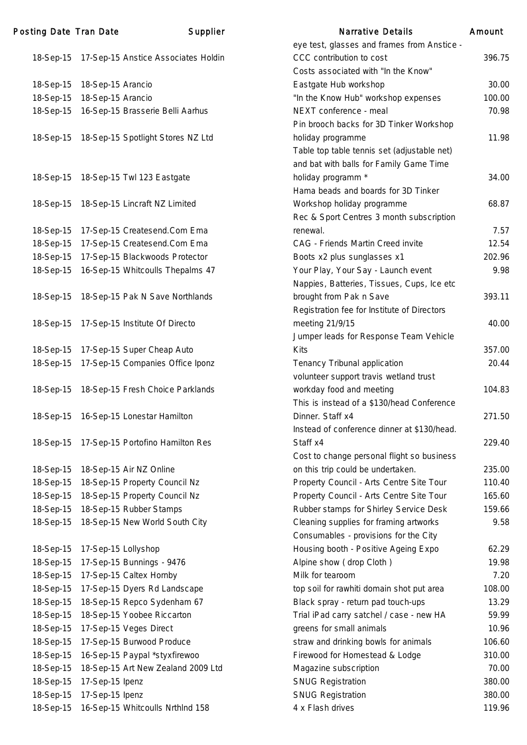|           |                                               | cyclicsi, giasses and names nom Ansucc      |        |
|-----------|-----------------------------------------------|---------------------------------------------|--------|
|           | 18-Sep-15 17-Sep-15 Anstice Associates Holdin | CCC contribution to cost                    | 396.75 |
|           |                                               | Costs associated with "In the Know"         |        |
| 18-Sep-15 | 18-Sep-15 Arancio                             | Eastgate Hub workshop                       | 30.00  |
| 18-Sep-15 | 18-Sep-15 Arancio                             | "In the Know Hub" workshop expenses         | 100.00 |
| 18-Sep-15 | 16-Sep-15 Brasserie Belli Aarhus              | NEXT conference - meal                      | 70.98  |
|           |                                               | Pin brooch backs for 3D Tinker Workshop     |        |
| 18-Sep-15 | 18-Sep-15 Spotlight Stores NZ Ltd             | holiday programme                           | 11.98  |
|           |                                               | Table top table tennis set (adjustable net) |        |
|           |                                               | and bat with balls for Family Game Time     |        |
| 18-Sep-15 | 18-Sep-15 Twl 123 Eastgate                    | holiday programm *                          | 34.00  |
|           |                                               | Hama beads and boards for 3D Tinker         |        |
| 18-Sep-15 | 18-Sep-15 Lincraft NZ Limited                 | Workshop holiday programme                  | 68.87  |
|           |                                               | Rec & Sport Centres 3 month subscription    |        |
| 18-Sep-15 | 17-Sep-15 Createsend.Com Ema                  | renewal.                                    | 7.57   |
| 18-Sep-15 | 17-Sep-15 Createsend.Com Ema                  | CAG - Friends Martin Creed invite           | 12.54  |
| 18-Sep-15 | 17-Sep-15 Blackwoods Protector                | Boots x2 plus sunglasses x1                 | 202.96 |
| 18-Sep-15 | 16-Sep-15 Whitcoulls Thepalms 47              | Your Play, Your Say - Launch event          | 9.98   |
|           |                                               | Nappies, Batteries, Tissues, Cups, Ice etc  |        |
| 18-Sep-15 | 18-Sep-15 Pak N Save Northlands               | brought from Pak n Save                     | 393.11 |
|           |                                               | Registration fee for Institute of Directors |        |
| 18-Sep-15 | 17-Sep-15 Institute Of Directo                | meeting 21/9/15                             | 40.00  |
|           |                                               | Jumper leads for Response Team Vehicle      |        |
| 18-Sep-15 | 17-Sep-15 Super Cheap Auto                    | <b>Kits</b>                                 | 357.00 |
| 18-Sep-15 | 17-Sep-15 Companies Office Iponz              | Tenancy Tribunal application                | 20.44  |
|           |                                               | volunteer support travis wetland trust      |        |
| 18-Sep-15 | 18-Sep-15 Fresh Choice Parklands              | workday food and meeting                    | 104.83 |
|           |                                               | This is instead of a \$130/head Conference  |        |
| 18-Sep-15 | 16-Sep-15 Lonestar Hamilton                   | Dinner. Staff x4                            | 271.50 |
|           |                                               | Instead of conference dinner at \$130/head. |        |
|           | 18-Sep-15 17-Sep-15 Portofino Hamilton Res    | Staff x4                                    | 229.40 |
|           |                                               | Cost to change personal flight so business  |        |
| 18-Sep-15 | 18-Sep-15 Air NZ Online                       | on this trip could be undertaken.           | 235.00 |
| 18-Sep-15 | 18-Sep-15 Property Council Nz                 | Property Council - Arts Centre Site Tour    | 110.40 |
| 18-Sep-15 | 18-Sep-15 Property Council Nz                 | Property Council - Arts Centre Site Tour    | 165.60 |
| 18-Sep-15 | 18-Sep-15 Rubber Stamps                       | Rubber stamps for Shirley Service Desk      | 159.66 |
| 18-Sep-15 | 18-Sep-15 New World South City                | Cleaning supplies for framing artworks      | 9.58   |
|           |                                               | Consumables - provisions for the City       |        |
| 18-Sep-15 | 17-Sep-15 Lollyshop                           | Housing booth - Positive Ageing Expo        | 62.29  |
| 18-Sep-15 | 17-Sep-15 Bunnings - 9476                     | Alpine show (drop Cloth)                    | 19.98  |
| 18-Sep-15 | 17-Sep-15 Caltex Hornby                       | Milk for tearoom                            | 7.20   |
| 18-Sep-15 | 17-Sep-15 Dyers Rd Landscape                  | top soil for rawhiti domain shot put area   | 108.00 |
| 18-Sep-15 | 18-Sep-15 Repco Sydenham 67                   | Black spray - return pad touch-ups          | 13.29  |
| 18-Sep-15 | 18-Sep-15 Yoobee Riccarton                    | Trial iPad carry satchel / case - new HA    | 59.99  |
| 18-Sep-15 | 17-Sep-15 Veges Direct                        | greens for small animals                    | 10.96  |
| 18-Sep-15 | 17-Sep-15 Burwood Produce                     | straw and drinking bowls for animals        | 106.60 |
| 18-Sep-15 | 16-Sep-15 Paypal *styxfirewoo                 | Firewood for Homestead & Lodge              | 310.00 |
| 18-Sep-15 | 18-Sep-15 Art New Zealand 2009 Ltd            | Magazine subscription                       | 70.00  |
| 18-Sep-15 | 17-Sep-15 Ipenz                               | <b>SNUG Registration</b>                    | 380.00 |
| 18-Sep-15 | 17-Sep-15 Ipenz                               | <b>SNUG Registration</b>                    | 380.00 |
| 18-Sep-15 | 16-Sep-15 Whitcoulls NrthInd 158              | 4 x Flash drives                            | 119.96 |

| <b>Posting Date Tran Date</b> |                     | Supplier                                   | <b>Narrative Details</b>                    | Amount |
|-------------------------------|---------------------|--------------------------------------------|---------------------------------------------|--------|
|                               |                     |                                            | eye test, glasses and frames from Anstice - |        |
| 18-Sep-15                     |                     | 17-Sep-15 Anstice Associates Holdin        | CCC contribution to cost                    | 396.75 |
|                               |                     |                                            | Costs associated with "In the Know"         |        |
| 18-Sep-15                     | 18-Sep-15 Arancio   |                                            | Eastgate Hub workshop                       | 30.00  |
| 18-Sep-15                     | 18-Sep-15 Arancio   |                                            | "In the Know Hub" workshop expenses         | 100.00 |
| 18-Sep-15                     |                     | 16-Sep-15 Brasserie Belli Aarhus           | NEXT conference - meal                      | 70.98  |
|                               |                     |                                            | Pin brooch backs for 3D Tinker Workshop     |        |
| 18-Sep-15                     |                     | 18-Sep-15 Spotlight Stores NZ Ltd          | holiday programme                           | 11.98  |
|                               |                     |                                            | Table top table tennis set (adjustable net) |        |
|                               |                     |                                            | and bat with balls for Family Game Time     |        |
| 18-Sep-15                     |                     | 18-Sep-15 Twl 123 Eastgate                 | holiday programm *                          | 34.00  |
|                               |                     |                                            | Hama beads and boards for 3D Tinker         |        |
| 18-Sep-15                     |                     | 18-Sep-15 Lincraft NZ Limited              | Workshop holiday programme                  | 68.87  |
|                               |                     |                                            | Rec & Sport Centres 3 month subscription    |        |
| 18-Sep-15                     |                     | 17-Sep-15 Createsend.Com Ema               | renewal.                                    | 7.57   |
| 18-Sep-15                     |                     | 17-Sep-15 Createsend.Com Ema               | CAG - Friends Martin Creed invite           | 12.54  |
| 18-Sep-15                     |                     | 17-Sep-15 Blackwoods Protector             | Boots x2 plus sunglasses x1                 | 202.96 |
| 18-Sep-15                     |                     | 16-Sep-15 Whitcoulls Thepalms 47           | Your Play, Your Say - Launch event          | 9.98   |
|                               |                     |                                            | Nappies, Batteries, Tissues, Cups, Ice etc  |        |
| 18-Sep-15                     |                     | 18-Sep-15 Pak N Save Northlands            | brought from Pak n Save                     | 393.11 |
|                               |                     |                                            | Registration fee for Institute of Directors |        |
| 18-Sep-15                     |                     | 17-Sep-15 Institute Of Directo             | meeting 21/9/15                             | 40.00  |
|                               |                     |                                            | Jumper leads for Response Team Vehicle      |        |
| 18-Sep-15                     |                     | 17-Sep-15 Super Cheap Auto                 | Kits                                        | 357.00 |
| 18-Sep-15                     |                     | 17-Sep-15 Companies Office Iponz           | Tenancy Tribunal application                | 20.44  |
|                               |                     |                                            | volunteer support travis wetland trust      |        |
| 18-Sep-15                     |                     | 18-Sep-15 Fresh Choice Parklands           | workday food and meeting                    | 104.83 |
|                               |                     |                                            | This is instead of a \$130/head Conference  |        |
| 18-Sep-15                     |                     | 16-Sep-15 Lonestar Hamilton                | Dinner. Staff x4                            | 271.50 |
|                               |                     |                                            | Instead of conference dinner at \$130/head. |        |
| 18-Sep-15                     |                     | 17-Sep-15 Portofino Hamilton Res           | Staff x4                                    | 229.40 |
|                               |                     |                                            | Cost to change personal flight so business  |        |
| 18-Sep-15                     |                     | 18-Sep-15 Air NZ Online                    | on this trip could be undertaken.           | 235.00 |
| 18-Sep-15                     |                     | 18-Sep-15 Property Council Nz              | Property Council - Arts Centre Site Tour    | 110.40 |
| 18-Sep-15                     |                     | 18-Sep-15 Property Council Nz              | Property Council - Arts Centre Site Tour    | 165.60 |
| 18-Sep-15                     |                     | 18-Sep-15 Rubber Stamps                    | Rubber stamps for Shirley Service Desk      | 159.66 |
| 18-Sep-15                     |                     | 18-Sep-15 New World South City             | Cleaning supplies for framing artworks      | 9.58   |
|                               |                     |                                            | Consumables - provisions for the City       |        |
| 18-Sep-15                     | 17-Sep-15 Lollyshop |                                            | Housing booth - Positive Ageing Expo        | 62.29  |
| 18-Sep-15                     |                     | 17-Sep-15 Bunnings - 9476                  | Alpine show (drop Cloth)                    | 19.98  |
| 18-Sep-15                     |                     | 17-Sep-15 Caltex Hornby                    | Milk for tearoom                            | 7.20   |
| 18-Sep-15                     |                     | 17-Sep-15 Dyers Rd Landscape               | top soil for rawhiti domain shot put area   | 108.00 |
| 18-Sep-15                     |                     | 18-Sep-15 Repco Sydenham 67                | Black spray - return pad touch-ups          | 13.29  |
| 18-Sep-15                     |                     | 18-Sep-15 Yoobee Riccarton                 | Trial iPad carry satchel / case - new HA    | 59.99  |
| 18-Sep-15                     |                     | 17-Sep-15 Veges Direct                     | greens for small animals                    | 10.96  |
| 18-Sep-15                     |                     | 17-Sep-15 Burwood Produce                  | straw and drinking bowls for animals        | 106.60 |
| 18-Sep-15                     |                     | 16-Sep-15 Paypal *styxfirewoo              | Firewood for Homestead & Lodge              | 310.00 |
| 18-Sep-15                     |                     | 18-Sep-15 Art New Zealand 2009 Ltd         | Magazine subscription                       | 70.00  |
| 18-Sep-15                     | 17-Sep-15 Ipenz     |                                            | <b>SNUG Registration</b>                    | 380.00 |
| 18-Sep-15                     | 17-Sep-15 Ipenz     |                                            | <b>SNUG Registration</b>                    | 380.00 |
|                               |                     | 18-Sep-15 16-Sep-15 Whitcoulls NrthInd 158 | 4 x Flash drives                            | 119.96 |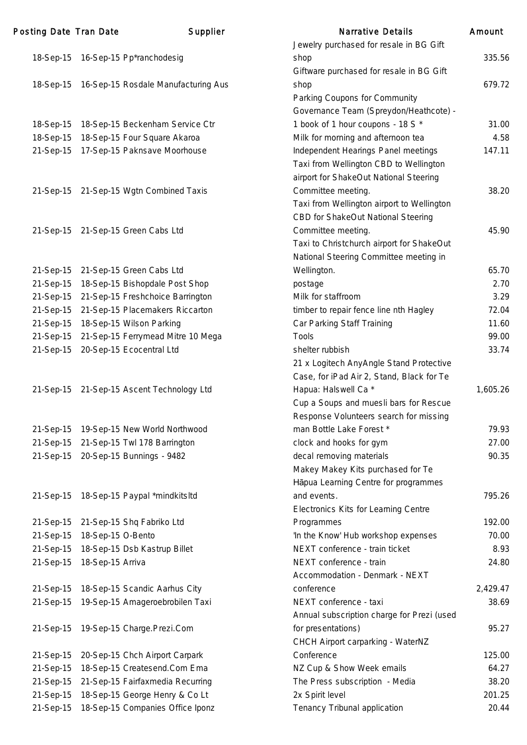| <b>Posting Date Tran Date</b> |                   | Supplier                                      | <b>Narrative Details</b>                          | Amount   |
|-------------------------------|-------------------|-----------------------------------------------|---------------------------------------------------|----------|
|                               |                   |                                               | Jewelry purchased for resale in BG Gift           |          |
|                               |                   | 18-Sep-15 16-Sep-15 Pp*ranchodesig            | shop                                              | 335.56   |
|                               |                   |                                               | Giftware purchased for resale in BG Gift          |          |
|                               |                   | 18-Sep-15 16-Sep-15 Rosdale Manufacturing Aus | shop                                              | 679.72   |
|                               |                   |                                               | Parking Coupons for Community                     |          |
|                               |                   |                                               | Governance Team (Spreydon/Heathcote) -            |          |
| 18-Sep-15                     |                   | 18-Sep-15 Beckenham Service Ctr               | 1 book of 1 hour coupons - 18 S *                 | 31.00    |
| 18-Sep-15                     |                   | 18-Sep-15 Four Square Akaroa                  | Milk for morning and afternoon tea                | 4.58     |
| 21-Sep-15                     |                   | 17-Sep-15 Paknsave Moorhouse                  | Independent Hearings Panel meetings               | 147.11   |
|                               |                   |                                               | Taxi from Wellington CBD to Wellington            |          |
|                               |                   |                                               | airport for ShakeOut National Steering            |          |
|                               |                   | 21-Sep-15 21-Sep-15 Wgtn Combined Taxis       | Committee meeting.                                | 38.20    |
|                               |                   |                                               | Taxi from Wellington airport to Wellington        |          |
|                               |                   |                                               | CBD for ShakeOut National Steering                |          |
|                               |                   | 21-Sep-15 21-Sep-15 Green Cabs Ltd            | Committee meeting.                                | 45.90    |
|                               |                   |                                               | Taxi to Christchurch airport for ShakeOut         |          |
|                               |                   |                                               | National Steering Committee meeting in            |          |
|                               |                   | 21-Sep-15 21-Sep-15 Green Cabs Ltd            | Wellington.                                       | 65.70    |
|                               |                   | 21-Sep-15 18-Sep-15 Bishopdale Post Shop      | postage                                           | 2.70     |
|                               |                   | 21-Sep-15 21-Sep-15 Freshchoice Barrington    | Milk for staffroom                                | 3.29     |
|                               |                   | 21-Sep-15 21-Sep-15 Placemakers Riccarton     | timber to repair fence line nth Hagley            | 72.04    |
| 21-Sep-15                     |                   | 18-Sep-15 Wilson Parking                      | Car Parking Staff Training                        | 11.60    |
|                               |                   | 21-Sep-15 21-Sep-15 Ferrymead Mitre 10 Mega   | <b>Tools</b>                                      | 99.00    |
|                               |                   | 21-Sep-15 20-Sep-15 Ecocentral Ltd            | shelter rubbish                                   | 33.74    |
|                               |                   |                                               | 21 x Logitech AnyAngle Stand Protective           |          |
|                               |                   |                                               | Case, for iPad Air 2, Stand, Black for Te         |          |
|                               |                   | 21-Sep-15 21-Sep-15 Ascent Technology Ltd     | Hapua: Halswell Ca *                              | 1,605.26 |
|                               |                   |                                               | Cup a Soups and muesli bars for Rescue            |          |
|                               |                   |                                               | Response Volunteers search for missing            |          |
|                               |                   | 21-Sep-15 19-Sep-15 New World Northwood       | man Bottle Lake Forest *                          | 79.93    |
|                               |                   | 21-Sep-15 21-Sep-15 Twl 178 Barrington        | clock and hooks for gym                           | 27.00    |
|                               |                   | 21-Sep-15 20-Sep-15 Bunnings - 9482           | decal removing materials                          | 90.35    |
|                               |                   |                                               | Makey Makey Kits purchased for Te                 |          |
|                               |                   |                                               | Hāpua Learning Centre for programmes              |          |
|                               |                   | 21-Sep-15 18-Sep-15 Paypal *mindkitsltd       | and events.                                       | 795.26   |
|                               |                   |                                               |                                                   |          |
|                               |                   |                                               | Electronics Kits for Learning Centre              | 192.00   |
|                               | 18-Sep-15 O-Bento | 21-Sep-15 21-Sep-15 Shq Fabriko Ltd           | Programmes<br>'In the Know' Hub workshop expenses | 70.00    |
| 21-Sep-15                     |                   |                                               |                                                   |          |
| 21-Sep-15                     |                   | 18-Sep-15 Dsb Kastrup Billet                  | NEXT conference - train ticket                    | 8.93     |
| 21-Sep-15                     | 18-Sep-15 Arriva  |                                               | NEXT conference - train                           | 24.80    |
|                               |                   |                                               | Accommodation - Denmark - NEXT                    |          |
|                               |                   | 21-Sep-15 18-Sep-15 Scandic Aarhus City       | conference                                        | 2,429.47 |
| 21-Sep-15                     |                   | 19-Sep-15 Amageroebrobilen Taxi               | NEXT conference - taxi                            | 38.69    |
|                               |                   |                                               | Annual subscription charge for Prezi (used        |          |
|                               |                   | 21-Sep-15 19-Sep-15 Charge.Prezi.Com          | for presentations)                                | 95.27    |
|                               |                   |                                               | CHCH Airport carparking - WaterNZ                 |          |
|                               |                   | 21-Sep-15 20-Sep-15 Chch Airport Carpark      | Conference                                        | 125.00   |
| 21-Sep-15                     |                   | 18-Sep-15 Createsend.Com Ema                  | NZ Cup & Show Week emails                         | 64.27    |
|                               |                   | 21-Sep-15 21-Sep-15 Fairfaxmedia Recurring    | The Press subscription - Media                    | 38.20    |
| 21-Sep-15                     |                   | 18-Sep-15 George Henry & Co Lt                | 2x Spirit level                                   | 201.25   |
| 21-Sep-15                     |                   | 18-Sep-15 Companies Office Iponz              | Tenancy Tribunal application                      | 20.44    |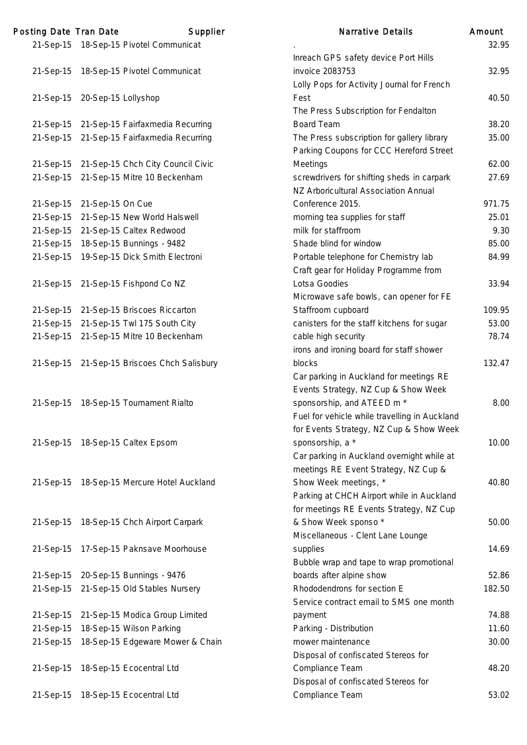| Posting Date Tran Date |                               | Supplier                                    | <b>Narrative Details</b>                      | Amount |
|------------------------|-------------------------------|---------------------------------------------|-----------------------------------------------|--------|
|                        |                               | 21-Sep-15 18-Sep-15 Pivotel Communicat      |                                               | 32.95  |
|                        |                               |                                             | Inreach GPS safety device Port Hills          |        |
|                        |                               | 21-Sep-15 18-Sep-15 Pivotel Communicat      | invoice 2083753                               | 32.95  |
|                        |                               |                                             | Lolly Pops for Activity Journal for French    |        |
|                        | 21-Sep-15 20-Sep-15 Lollyshop |                                             | Fest                                          | 40.50  |
|                        |                               |                                             | The Press Subscription for Fendalton          |        |
|                        |                               | 21-Sep-15 21-Sep-15 Fairfaxmedia Recurring  | <b>Board Team</b>                             | 38.20  |
|                        |                               | 21-Sep-15 21-Sep-15 Fairfaxmedia Recurring  | The Press subscription for gallery library    | 35.00  |
|                        |                               |                                             | Parking Coupons for CCC Hereford Street       |        |
|                        |                               | 21-Sep-15 21-Sep-15 Chch City Council Civic | Meetings                                      | 62.00  |
|                        |                               | 21-Sep-15 21-Sep-15 Mitre 10 Beckenham      | screwdrivers for shifting sheds in carpark    | 27.69  |
|                        |                               |                                             | NZ Arboricultural Association Annual          |        |
|                        | 21-Sep-15 21-Sep-15 On Cue    |                                             | Conference 2015.                              | 971.75 |
|                        |                               | 21-Sep-15 21-Sep-15 New World Halswell      | morning tea supplies for staff                | 25.01  |
|                        |                               | 21-Sep-15 21-Sep-15 Caltex Redwood          | milk for staffroom                            | 9.30   |
| 21-Sep-15              |                               | 18-Sep-15 Bunnings - 9482                   | Shade blind for window                        | 85.00  |
| 21-Sep-15              |                               | 19-Sep-15 Dick Smith Electroni              | Portable telephone for Chemistry lab          | 84.99  |
|                        |                               |                                             | Craft gear for Holiday Programme from         |        |
|                        |                               | 21-Sep-15 21-Sep-15 Fishpond Co NZ          | Lotsa Goodies                                 | 33.94  |
|                        |                               |                                             | Microwave safe bowls, can opener for FE       |        |
|                        |                               | 21-Sep-15 21-Sep-15 Briscoes Riccarton      | Staffroom cupboard                            | 109.95 |
|                        |                               | 21-Sep-15 21-Sep-15 Twl 175 South City      | canisters for the staff kitchens for sugar    | 53.00  |
|                        |                               | 21-Sep-15 21-Sep-15 Mitre 10 Beckenham      | cable high security                           | 78.74  |
|                        |                               |                                             | irons and ironing board for staff shower      |        |
|                        |                               | 21-Sep-15 21-Sep-15 Briscoes Chch Salisbury | blocks                                        | 132.47 |
|                        |                               |                                             |                                               |        |
|                        |                               |                                             | Car parking in Auckland for meetings RE       |        |
|                        |                               |                                             | Events Strategy, NZ Cup & Show Week           |        |
| 21-Sep-15              |                               | 18-Sep-15 Tournament Rialto                 | sponsorship, and ATEED m <sup>*</sup>         | 8.00   |
|                        |                               |                                             | Fuel for vehicle while travelling in Auckland |        |
|                        |                               |                                             | for Events Strategy, NZ Cup & Show Week       |        |
|                        |                               | 21-Sep-15 18-Sep-15 Caltex Epsom            | sponsorship, a *                              | 10.00  |
|                        |                               |                                             | Car parking in Auckland overnight while at    |        |
|                        |                               |                                             | meetings RE Event Strategy, NZ Cup &          |        |
|                        |                               | 21-Sep-15 18-Sep-15 Mercure Hotel Auckland  | Show Week meetings, *                         | 40.80  |
|                        |                               |                                             | Parking at CHCH Airport while in Auckland     |        |
|                        |                               |                                             | for meetings RE Events Strategy, NZ Cup       |        |
|                        |                               | 21-Sep-15 18-Sep-15 Chch Airport Carpark    | & Show Week sponso*                           | 50.00  |
|                        |                               |                                             | Miscellaneous - Clent Lane Lounge             |        |
|                        |                               | 21-Sep-15 17-Sep-15 Paknsave Moorhouse      | supplies                                      | 14.69  |
|                        |                               |                                             | Bubble wrap and tape to wrap promotional      |        |
|                        |                               | 21-Sep-15 20-Sep-15 Bunnings - 9476         | boards after alpine show                      | 52.86  |
|                        |                               | 21-Sep-15 21-Sep-15 Old Stables Nursery     | Rhododendrons for section E                   | 182.50 |
|                        |                               |                                             | Service contract email to SMS one month       |        |
| 21-Sep-15              |                               | 21-Sep-15 Modica Group Limited              | payment                                       | 74.88  |
| 21-Sep-15              |                               | 18-Sep-15 Wilson Parking                    | Parking - Distribution                        | 11.60  |
| 21-Sep-15              |                               | 18-Sep-15 Edgeware Mower & Chain            | mower maintenance                             | 30.00  |
|                        |                               |                                             | Disposal of confiscated Stereos for           |        |
| 21-Sep-15              |                               | 18-Sep-15 Ecocentral Ltd                    | Compliance Team                               | 48.20  |
|                        |                               |                                             | Disposal of confiscated Stereos for           |        |
|                        |                               | 21-Sep-15 18-Sep-15 Ecocentral Ltd          | Compliance Team                               | 53.02  |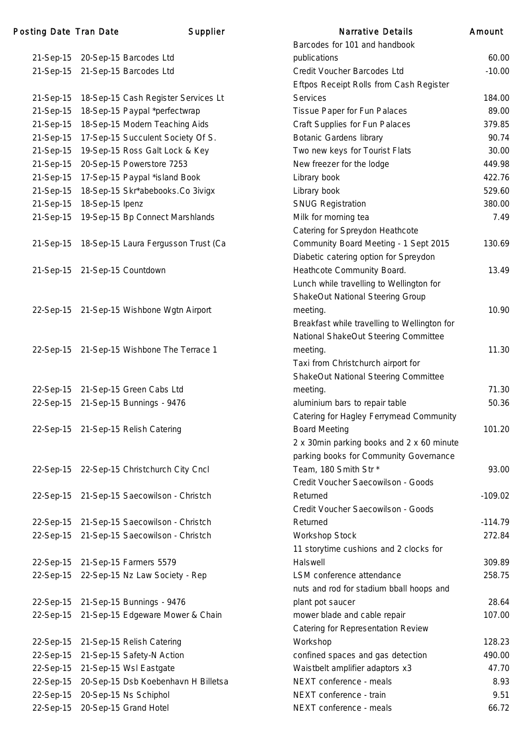| Posting Date Tran Date |                               | Supplier                                      | <b>Narrative Details</b>                     | Amount    |
|------------------------|-------------------------------|-----------------------------------------------|----------------------------------------------|-----------|
|                        |                               |                                               | Barcodes for 101 and handbook                |           |
|                        |                               | 21-Sep-15 20-Sep-15 Barcodes Ltd              | publications                                 | 60.00     |
|                        |                               | 21-Sep-15 21-Sep-15 Barcodes Ltd              | Credit Voucher Barcodes Ltd                  | $-10.00$  |
|                        |                               |                                               | Eftpos Receipt Rolls from Cash Register      |           |
|                        |                               | 21-Sep-15 18-Sep-15 Cash Register Services Lt | <b>Services</b>                              | 184.00    |
| 21-Sep-15              |                               | 18-Sep-15 Paypal *perfectwrap                 | Tissue Paper for Fun Palaces                 | 89.00     |
| 21-Sep-15              |                               | 18-Sep-15 Modern Teaching Aids                | Craft Supplies for Fun Palaces               | 379.85    |
| 21-Sep-15              |                               | 17-Sep-15 Succulent Society Of S.             | <b>Botanic Gardens library</b>               | 90.74     |
| 21-Sep-15              |                               | 19-Sep-15 Ross Galt Lock & Key                | Two new keys for Tourist Flats               | 30.00     |
| 21-Sep-15              |                               | 20-Sep-15 Powerstore 7253                     | New freezer for the lodge                    | 449.98    |
| 21-Sep-15              |                               | 17-Sep-15 Paypal *island Book                 | Library book                                 | 422.76    |
| 21-Sep-15              |                               | 18-Sep-15 Skr*abebooks.Co 3ivigx              | Library book                                 | 529.60    |
| 21-Sep-15              | 18-Sep-15 Ipenz               |                                               | <b>SNUG Registration</b>                     | 380.00    |
|                        |                               | 21-Sep-15 19-Sep-15 Bp Connect Marshlands     | Milk for morning tea                         | 7.49      |
|                        |                               |                                               | Catering for Spreydon Heathcote              |           |
|                        |                               | 21-Sep-15 18-Sep-15 Laura Fergusson Trust (Ca | Community Board Meeting - 1 Sept 2015        | 130.69    |
|                        |                               |                                               | Diabetic catering option for Spreydon        |           |
|                        | 21-Sep-15 21-Sep-15 Countdown |                                               | Heathcote Community Board.                   | 13.49     |
|                        |                               |                                               | Lunch while travelling to Wellington for     |           |
|                        |                               |                                               | ShakeOut National Steering Group             |           |
|                        |                               | 22-Sep-15 21-Sep-15 Wishbone Wgtn Airport     | meeting.                                     | 10.90     |
|                        |                               |                                               | Breakfast while travelling to Wellington for |           |
|                        |                               |                                               | National ShakeOut Steering Committee         |           |
| 22-Sep-15              |                               | 21-Sep-15 Wishbone The Terrace 1              | meeting.                                     | 11.30     |
|                        |                               |                                               | Taxi from Christchurch airport for           |           |
|                        |                               |                                               | ShakeOut National Steering Committee         |           |
|                        |                               | 22-Sep-15 21-Sep-15 Green Cabs Ltd            | meeting.                                     | 71.30     |
|                        |                               | 22-Sep-15 21-Sep-15 Bunnings - 9476           | aluminium bars to repair table               | 50.36     |
|                        |                               |                                               | Catering for Hagley Ferrymead Community      |           |
|                        |                               | 22-Sep-15 21-Sep-15 Relish Catering           | <b>Board Meeting</b>                         | 101.20    |
|                        |                               |                                               | 2 x 30min parking books and 2 x 60 minute    |           |
|                        |                               |                                               | parking books for Community Governance       |           |
|                        |                               | 22-Sep-15 22-Sep-15 Christchurch City Cncl    | Team, 180 Smith Str *                        | 93.00     |
|                        |                               |                                               | Credit Voucher Saecowilson - Goods           |           |
|                        |                               | 22-Sep-15 21-Sep-15 Saecowilson - Christch    | Returned                                     | $-109.02$ |
|                        |                               |                                               | Credit Voucher Saecowilson - Goods           |           |
|                        |                               | 22-Sep-15 21-Sep-15 Saecowilson - Christch    | Returned                                     | $-114.79$ |
|                        |                               | 22-Sep-15 21-Sep-15 Saecowilson - Christch    | Workshop Stock                               | 272.84    |
|                        |                               |                                               | 11 storytime cushions and 2 clocks for       |           |
|                        |                               | 22-Sep-15 21-Sep-15 Farmers 5579              | Halswell                                     | 309.89    |
|                        |                               | 22-Sep-15 22-Sep-15 Nz Law Society - Rep      | LSM conference attendance                    | 258.75    |
|                        |                               |                                               | nuts and rod for stadium bball hoops and     |           |
|                        |                               | 22-Sep-15 21-Sep-15 Bunnings - 9476           | plant pot saucer                             | 28.64     |
|                        |                               | 22-Sep-15 21-Sep-15 Edgeware Mower & Chain    | mower blade and cable repair                 | 107.00    |
|                        |                               |                                               | Catering for Representation Review           |           |
|                        |                               | 22-Sep-15 21-Sep-15 Relish Catering           | Workshop                                     | 128.23    |
|                        |                               | 22-Sep-15 21-Sep-15 Safety-N Action           | confined spaces and gas detection            | 490.00    |
|                        |                               | 22-Sep-15 21-Sep-15 Wsl Eastgate              | Waistbelt amplifier adaptors x3              | 47.70     |
| 22-Sep-15              |                               | 20-Sep-15 Dsb Koebenhavn H Billetsa           | NEXT conference - meals                      | 8.93      |
|                        |                               | 22-Sep-15 20-Sep-15 Ns Schiphol               | NEXT conference - train                      | 9.51      |
|                        |                               | 22-Sep-15 20-Sep-15 Grand Hotel               | NEXT conference - meals                      | 66.72     |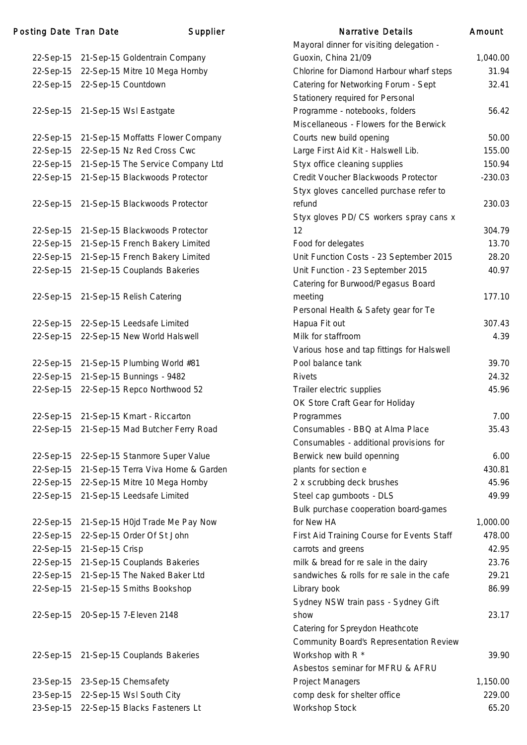### Posting Date Tran Date Narrative Supplier

| 22-Sep-15 | 21-Sep-15 Goldentrain Company      |
|-----------|------------------------------------|
| 22-Sep-15 | 22-Sep-15 Mitre 10 Mega Hornby     |
| 22-Sep-15 | 22-Sep-15 Countdown                |
|           |                                    |
| 22-Sep-15 | 21-Sep-15 Wsl Eastgate             |
|           |                                    |
| 22-Sep-15 | 21-Sep-15 Moffatts Flower Company  |
| 22-Sep-15 | 22-Sep-15 Nz Red Cross Cwc         |
| 22-Sep-15 | 21-Sep-15 The Service Company Ltd  |
| 22-Sep-15 | 21-Sep-15 Blackwoods Protector     |
|           |                                    |
| 22-Sep-15 | 21-Sep-15 Blackwoods Protector     |
|           |                                    |
|           | 21-Sep-15 Blackwoods Protector     |
| 22-Sep-15 |                                    |
| 22-Sep-15 | 21-Sep-15 French Bakery Limited    |
| 22-Sep-15 | 21-Sep-15 French Bakery Limited    |
| 22-Sep-15 | 21-Sep-15 Couplands Bakeries       |
|           |                                    |
| 22-Sep-15 | 21-Sep-15 Relish Catering          |
|           |                                    |
| 22-Sep-15 | 22-Sep-15 Leedsafe Limited         |
| 22-Sep-15 | 22-Sep-15 New World Halswell       |
|           |                                    |
| 22-Sep-15 | 21-Sep-15 Plumbing World #81       |
| 22-Sep-15 | 21-Sep-15 Bunnings - 9482          |
| 22-Sep-15 | 22-Sep-15 Repco Northwood 52       |
|           |                                    |
| 22-Sep-15 | 21-Sep-15 Kmart - Riccarton        |
| 22-Sep-15 | 21-Sep-15 Mad Butcher Ferry Road   |
|           |                                    |
|           |                                    |
| 22-Sep-15 | 22-Sep-15 Stanmore Super Value     |
| 22-Sep-15 | 21-Sep-15 Terra Viva Home & Garden |
| 22-Sep-15 | 22-Sep-15 Mitre 10 Mega Hornby     |
| 22-Sep-15 | 21-Sep-15 Leedsafe Limited         |
|           |                                    |
| 22-Sep-15 | 21-Sep-15 H0jd Trade Me Pay Now    |
| 22-Sep-15 | 22-Sep-15 Order Of St John         |
| 22-Sep-15 | 21-Sep-15 Crisp                    |
| 22-Sep-15 | 21-Sep-15 Couplands Bakeries       |
| 22-Sep-15 | 21-Sep-15 The Naked Baker Ltd      |
| 22-Sep-15 | 21-Sep-15 Smiths Bookshop          |
|           |                                    |
| 22-Sep-15 | 20-Sep-15 7-Eleven 2148            |
|           |                                    |
|           |                                    |
|           |                                    |
| 22-Sep-15 | 21-Sep-15 Couplands Bakeries       |
|           |                                    |
| 23-Sep-15 | 23-Sep-15 Chemsafety               |
| 23-Sep-15 | 22-Sep-15 Wsl South City           |
| 23-Sep-15 | 22-Sep-15 Blacks Fasteners Lt      |

|           | ing Date Tran Date | Supplier                                    | <b>Narrative Details</b>                       | Amount    |
|-----------|--------------------|---------------------------------------------|------------------------------------------------|-----------|
|           |                    |                                             | Mayoral dinner for visiting delegation -       |           |
|           |                    | 22-Sep-15 21-Sep-15 Goldentrain Company     | Guoxin, China 21/09                            | 1,040.00  |
|           |                    | 22-Sep-15 22-Sep-15 Mitre 10 Mega Hornby    | Chlorine for Diamond Harbour wharf steps       | 31.94     |
|           |                    | 22-Sep-15 22-Sep-15 Countdown               | Catering for Networking Forum - Sept           | 32.41     |
|           |                    |                                             | Stationery required for Personal               |           |
|           |                    | 22-Sep-15 21-Sep-15 Wsl Eastgate            | Programme - notebooks, folders                 | 56.42     |
|           |                    |                                             | Miscellaneous - Flowers for the Berwick        |           |
|           |                    | 22-Sep-15 21-Sep-15 Moffatts Flower Company | Courts new build opening                       | 50.00     |
|           |                    | 22-Sep-15 22-Sep-15 Nz Red Cross Cwc        | Large First Aid Kit - Halswell Lib.            | 155.00    |
|           |                    | 22-Sep-15 21-Sep-15 The Service Company Ltd | Styx office cleaning supplies                  | 150.94    |
|           |                    | 22-Sep-15 21-Sep-15 Blackwoods Protector    | Credit Voucher Blackwoods Protector            | $-230.03$ |
|           |                    |                                             | Styx gloves cancelled purchase refer to        |           |
|           |                    | 22-Sep-15 21-Sep-15 Blackwoods Protector    | refund                                         | 230.03    |
|           |                    |                                             | Styx gloves PD/ CS workers spray cans x        |           |
| 22-Sep-15 |                    | 21-Sep-15 Blackwoods Protector              | 12                                             | 304.79    |
|           |                    | 22-Sep-15 21-Sep-15 French Bakery Limited   | Food for delegates                             | 13.70     |
|           |                    | 22-Sep-15 21-Sep-15 French Bakery Limited   | Unit Function Costs - 23 September 2015        | 28.20     |
|           |                    | 22-Sep-15 21-Sep-15 Couplands Bakeries      | Unit Function - 23 September 2015              | 40.97     |
|           |                    |                                             | Catering for Burwood/Pegasus Board             |           |
|           |                    | 22-Sep-15 21-Sep-15 Relish Catering         | meeting                                        | 177.10    |
|           |                    |                                             | Personal Health & Safety gear for Te           |           |
|           |                    | 22-Sep-15 22-Sep-15 Leedsafe Limited        | Hapua Fit out                                  | 307.43    |
|           |                    | 22-Sep-15 22-Sep-15 New World Halswell      | Milk for staffroom                             | 4.39      |
|           |                    |                                             | Various hose and tap fittings for Halswell     |           |
|           |                    | 22-Sep-15 21-Sep-15 Plumbing World #81      | Pool balance tank                              | 39.70     |
|           |                    | 22-Sep-15 21-Sep-15 Bunnings - 9482         | <b>Rivets</b>                                  | 24.32     |
|           |                    | 22-Sep-15 22-Sep-15 Repco Northwood 52      | Trailer electric supplies                      | 45.96     |
|           |                    |                                             | OK Store Craft Gear for Holiday                |           |
|           |                    | 22-Sep-15 21-Sep-15 Kmart - Riccarton       | Programmes                                     | 7.00      |
|           |                    | 22-Sep-15 21-Sep-15 Mad Butcher Ferry Road  | Consumables - BBQ at Alma Place                | 35.43     |
|           |                    |                                             | Consumables - additional provisions for        |           |
|           |                    | 22-Sep-15 22-Sep-15 Stanmore Super Value    | Berwick new build openning                     | 6.00      |
| 22-Sep-15 |                    | 21-Sep-15 Terra Viva Home & Garden          | plants for section e                           | 430.81    |
|           |                    | 22-Sep-15 22-Sep-15 Mitre 10 Mega Hornby    | 2 x scrubbing deck brushes                     | 45.96     |
|           |                    | 22-Sep-15 21-Sep-15 Leedsafe Limited        | Steel cap gumboots - DLS                       | 49.99     |
|           |                    |                                             | Bulk purchase cooperation board-games          |           |
| 22-Sep-15 |                    | 21-Sep-15 H0jd Trade Me Pay Now             | for New HA                                     | 1,000.00  |
|           |                    | 22-Sep-15 22-Sep-15 Order Of St John        | First Aid Training Course for Events Staff     | 478.00    |
| 22-Sep-15 | 21-Sep-15 Crisp    |                                             | carrots and greens                             | 42.95     |
|           |                    | 22-Sep-15 21-Sep-15 Couplands Bakeries      | milk & bread for re sale in the dairy          | 23.76     |
| 22-Sep-15 |                    | 21-Sep-15 The Naked Baker Ltd               | sandwiches & rolls for re sale in the cafe     | 29.21     |
|           |                    | 22-Sep-15 21-Sep-15 Smiths Bookshop         | Library book                                   | 86.99     |
|           |                    |                                             | Sydney NSW train pass - Sydney Gift            |           |
|           |                    | 22-Sep-15 20-Sep-15 7-Eleven 2148           | show                                           | 23.17     |
|           |                    |                                             | Catering for Spreydon Heathcote                |           |
|           |                    |                                             | <b>Community Board's Representation Review</b> |           |
|           |                    | 22-Sep-15 21-Sep-15 Couplands Bakeries      | Workshop with R <sup>*</sup>                   | 39.90     |
|           |                    |                                             | Asbestos seminar for MFRU & AFRU               |           |
|           |                    | 23-Sep-15 23-Sep-15 Chemsafety              | <b>Project Managers</b>                        | 1,150.00  |
|           |                    | 23-Sep-15 22-Sep-15 Wsl South City          | comp desk for shelter office                   | 229.00    |
|           |                    | 23-Sep-15 22-Sep-15 Blacks Fasteners Lt     | Workshop Stock                                 | 65.20     |
|           |                    |                                             |                                                |           |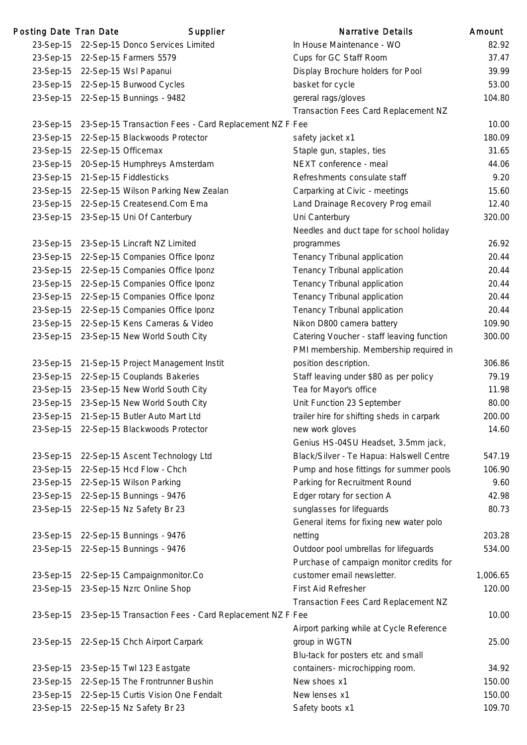| Posting Date Tran Date |                               | Supplier                                                         | <b>Narrative Details</b>                   | Amount   |
|------------------------|-------------------------------|------------------------------------------------------------------|--------------------------------------------|----------|
|                        |                               | 23-Sep-15 22-Sep-15 Donco Services Limited                       | In House Maintenance - WO                  | 82.92    |
|                        |                               | 23-Sep-15 22-Sep-15 Farmers 5579                                 | Cups for GC Staff Room                     | 37.47    |
|                        |                               | 23-Sep-15 22-Sep-15 Wsl Papanui                                  | Display Brochure holders for Pool          | 39.99    |
|                        |                               | 23-Sep-15 22-Sep-15 Burwood Cycles                               | basket for cycle                           | 53.00    |
|                        |                               | 23-Sep-15 22-Sep-15 Bunnings - 9482                              | gereral rags/gloves                        | 104.80   |
|                        |                               |                                                                  | Transaction Fees Card Replacement NZ       |          |
|                        |                               | 23-Sep-15 23-Sep-15 Transaction Fees - Card Replacement NZ F Fee |                                            | 10.00    |
|                        |                               | 23-Sep-15 22-Sep-15 Blackwoods Protector                         | safety jacket x1                           | 180.09   |
|                        | 23-Sep-15 22-Sep-15 Officemax |                                                                  | Staple gun, staples, ties                  | 31.65    |
|                        |                               | 23-Sep-15 20-Sep-15 Humphreys Amsterdam                          | NEXT conference - meal                     | 44.06    |
|                        |                               | 23-Sep-15 21-Sep-15 Fiddlesticks                                 | Refreshments consulate staff               | 9.20     |
|                        |                               | 23-Sep-15 22-Sep-15 Wilson Parking New Zealan                    | Carparking at Civic - meetings             | 15.60    |
|                        |                               | 23-Sep-15 22-Sep-15 Createsend.Com Ema                           | Land Drainage Recovery Prog email          | 12.40    |
|                        |                               | 23-Sep-15 23-Sep-15 Uni Of Canterbury                            | Uni Canterbury                             | 320.00   |
|                        |                               |                                                                  | Needles and duct tape for school holiday   |          |
|                        |                               | 23-Sep-15 23-Sep-15 Lincraft NZ Limited                          | programmes                                 | 26.92    |
|                        |                               | 23-Sep-15 22-Sep-15 Companies Office Iponz                       | Tenancy Tribunal application               | 20.44    |
|                        |                               | 23-Sep-15 22-Sep-15 Companies Office Iponz                       | Tenancy Tribunal application               | 20.44    |
|                        |                               | 23-Sep-15 22-Sep-15 Companies Office Iponz                       | Tenancy Tribunal application               | 20.44    |
|                        |                               | 23-Sep-15 22-Sep-15 Companies Office Iponz                       | Tenancy Tribunal application               | 20.44    |
|                        |                               | 23-Sep-15 22-Sep-15 Companies Office Iponz                       | Tenancy Tribunal application               | 20.44    |
|                        |                               | 23-Sep-15 22-Sep-15 Kens Cameras & Video                         | Nikon D800 camera battery                  | 109.90   |
|                        |                               | 23-Sep-15 23-Sep-15 New World South City                         | Catering Voucher - staff leaving function  | 300.00   |
|                        |                               |                                                                  | PMI membership. Membership required in     |          |
|                        |                               | 23-Sep-15 21-Sep-15 Project Management Instit                    | position description.                      | 306.86   |
|                        |                               | 23-Sep-15 22-Sep-15 Couplands Bakeries                           | Staff leaving under \$80 as per policy     | 79.19    |
|                        |                               | 23-Sep-15 23-Sep-15 New World South City                         | Tea for Mayor's office                     | 11.98    |
|                        |                               | 23-Sep-15 23-Sep-15 New World South City                         | Unit Function 23 September                 | 80.00    |
|                        |                               | 23-Sep-15 21-Sep-15 Butler Auto Mart Ltd                         | trailer hire for shifting sheds in carpark | 200.00   |
|                        |                               | 23-Sep-15 22-Sep-15 Blackwoods Protector                         | new work gloves                            | 14.60    |
|                        |                               |                                                                  | Genius HS-04SU Headset, 3.5mm jack,        |          |
|                        |                               | 23-Sep-15 22-Sep-15 Ascent Technology Ltd                        | Black/Silver - Te Hapua: Halswell Centre   | 547.19   |
|                        |                               | 23-Sep-15 22-Sep-15 Hcd Flow - Chch                              | Pump and hose fittings for summer pools    | 106.90   |
|                        |                               | 23-Sep-15 22-Sep-15 Wilson Parking                               | Parking for Recruitment Round              | 9.60     |
|                        |                               | 23-Sep-15 22-Sep-15 Bunnings - 9476                              | Edger rotary for section A                 | 42.98    |
|                        |                               | 23-Sep-15 22-Sep-15 Nz Safety Br 23                              | sunglasses for lifeguards                  | 80.73    |
|                        |                               |                                                                  | General items for fixing new water polo    |          |
|                        |                               | 23-Sep-15 22-Sep-15 Bunnings - 9476                              | netting                                    | 203.28   |
|                        |                               | 23-Sep-15 22-Sep-15 Bunnings - 9476                              | Outdoor pool umbrellas for lifeguards      | 534.00   |
|                        |                               |                                                                  | Purchase of campaign monitor credits for   |          |
|                        |                               | 23-Sep-15 22-Sep-15 Campaignmonitor.Co                           | customer email newsletter.                 | 1,006.65 |
|                        |                               | 23-Sep-15 23-Sep-15 Nzrc Online Shop                             | First Aid Refresher                        | 120.00   |
|                        |                               |                                                                  | Transaction Fees Card Replacement NZ       |          |
|                        |                               | 23-Sep-15 23-Sep-15 Transaction Fees - Card Replacement NZ F Fee |                                            | 10.00    |
|                        |                               |                                                                  | Airport parking while at Cycle Reference   |          |
|                        |                               | 23-Sep-15 22-Sep-15 Chch Airport Carpark                         | group in WGTN                              | 25.00    |
|                        |                               |                                                                  | Blu-tack for posters etc and small         |          |
|                        |                               | 23-Sep-15 23-Sep-15 Twl 123 Eastgate                             | containers- microchipping room.            | 34.92    |
|                        |                               | 23-Sep-15 22-Sep-15 The Frontrunner Bushin                       | New shoes x1                               | 150.00   |
|                        |                               | 23-Sep-15 22-Sep-15 Curtis Vision One Fendalt                    | New lenses x1                              | 150.00   |
|                        |                               | 23-Sep-15 22-Sep-15 Nz Safety Br 23                              | Safety boots x1                            | 109.70   |
|                        |                               |                                                                  |                                            |          |